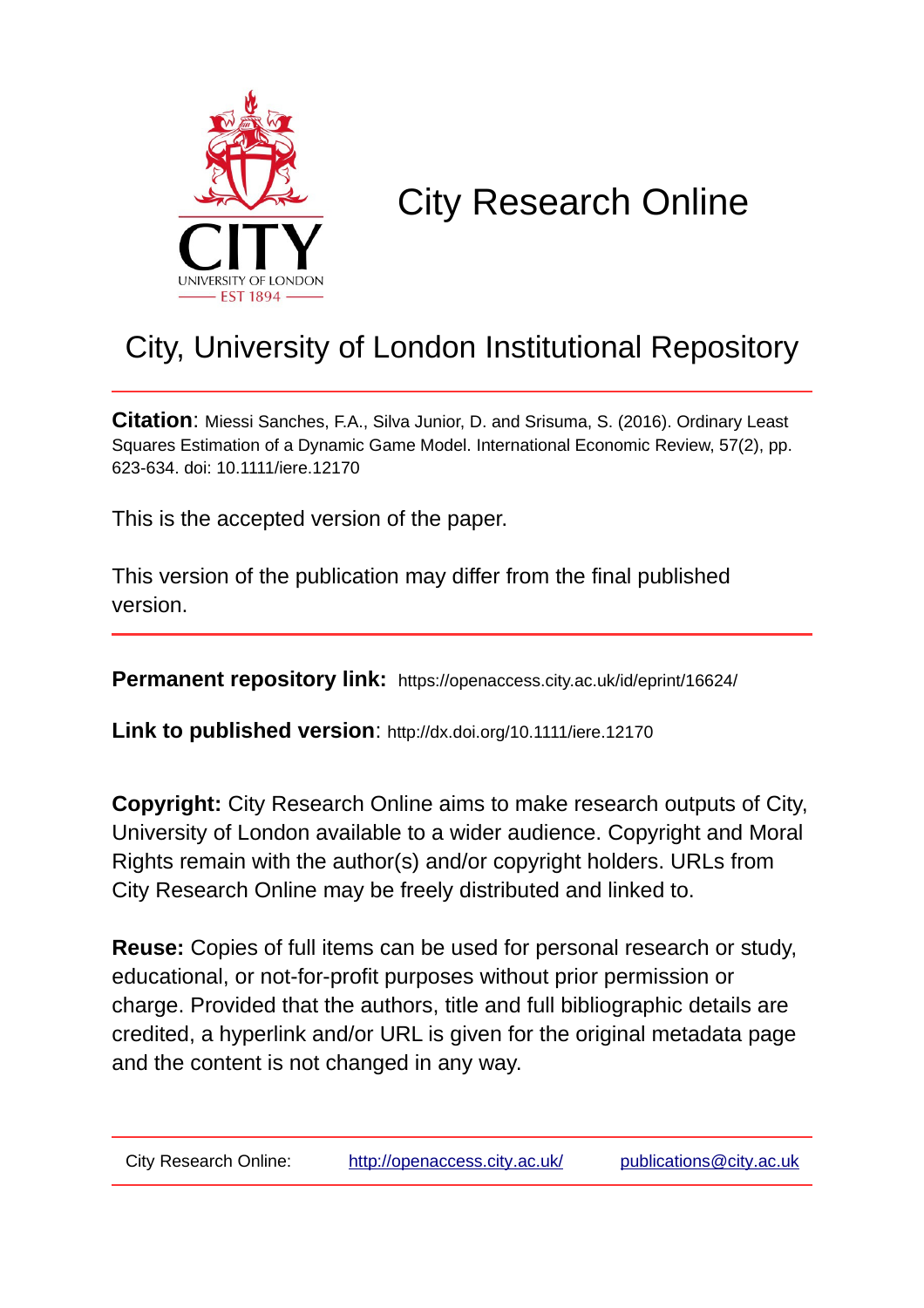

# City Research Online

# City, University of London Institutional Repository

**Citation**: Miessi Sanches, F.A., Silva Junior, D. and Srisuma, S. (2016). Ordinary Least Squares Estimation of a Dynamic Game Model. International Economic Review, 57(2), pp. 623-634. doi: 10.1111/iere.12170

This is the accepted version of the paper.

This version of the publication may differ from the final published version.

**Permanent repository link:** https://openaccess.city.ac.uk/id/eprint/16624/

**Link to published version**: http://dx.doi.org/10.1111/iere.12170

**Copyright:** City Research Online aims to make research outputs of City, University of London available to a wider audience. Copyright and Moral Rights remain with the author(s) and/or copyright holders. URLs from City Research Online may be freely distributed and linked to.

**Reuse:** Copies of full items can be used for personal research or study, educational, or not-for-profit purposes without prior permission or charge. Provided that the authors, title and full bibliographic details are credited, a hyperlink and/or URL is given for the original metadata page and the content is not changed in any way.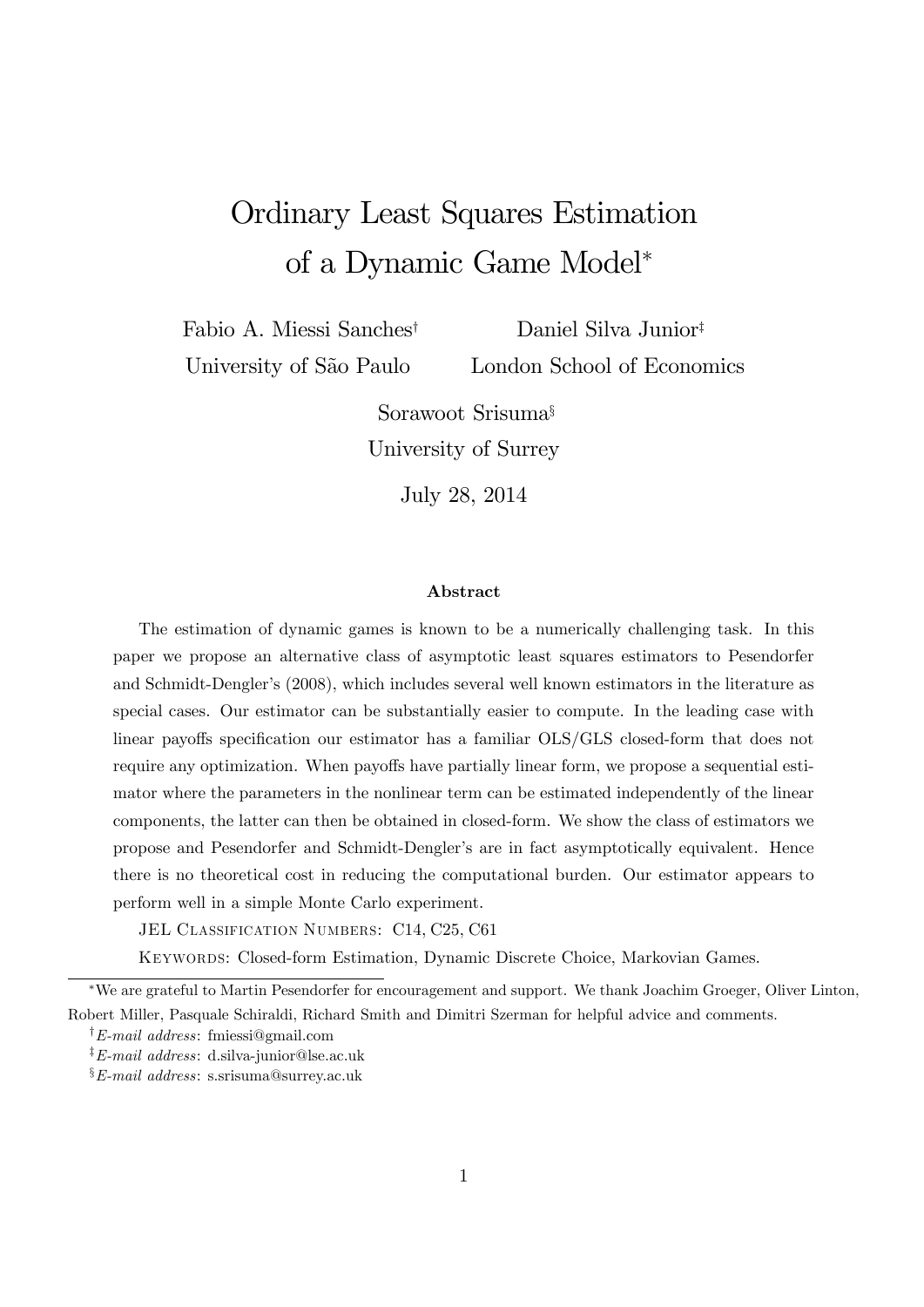# Ordinary Least Squares Estimation of a Dynamic Game Model

Fabio A. Miessi Sanches<sup>†</sup> University of São Paulo

Daniel Silva Junior<sup>‡</sup> London School of Economics

Sorawoot Srisuma<sup>§</sup> University of Surrey

July 28, 2014

#### Abstract

The estimation of dynamic games is known to be a numerically challenging task. In this paper we propose an alternative class of asymptotic least squares estimators to Pesendorfer and Schmidt-Dengler's (2008), which includes several well known estimators in the literature as special cases. Our estimator can be substantially easier to compute. In the leading case with linear payoffs specification our estimator has a familiar OLS/GLS closed-form that does not require any optimization. When payoffs have partially linear form, we propose a sequential estimator where the parameters in the nonlinear term can be estimated independently of the linear components, the latter can then be obtained in closed-form. We show the class of estimators we propose and Pesendorfer and Schmidt-Denglerís are in fact asymptotically equivalent. Hence there is no theoretical cost in reducing the computational burden. Our estimator appears to perform well in a simple Monte Carlo experiment.

JEL CLASSIFICATION NUMBERS: C14, C25, C61

Keywords: Closed-form Estimation, Dynamic Discrete Choice, Markovian Games.

We are grateful to Martin Pesendorfer for encouragement and support. We thank Joachim Groeger, Oliver Linton, Robert Miller, Pasquale Schiraldi, Richard Smith and Dimitri Szerman for helpful advice and comments.

 $\dagger$ E-mail address: fmiessi@gmail.com

<sup>‡</sup>E-mail address: d.silva-junior@lse.ac.uk

 $\S E$ -mail address: s.srisuma@surrey.ac.uk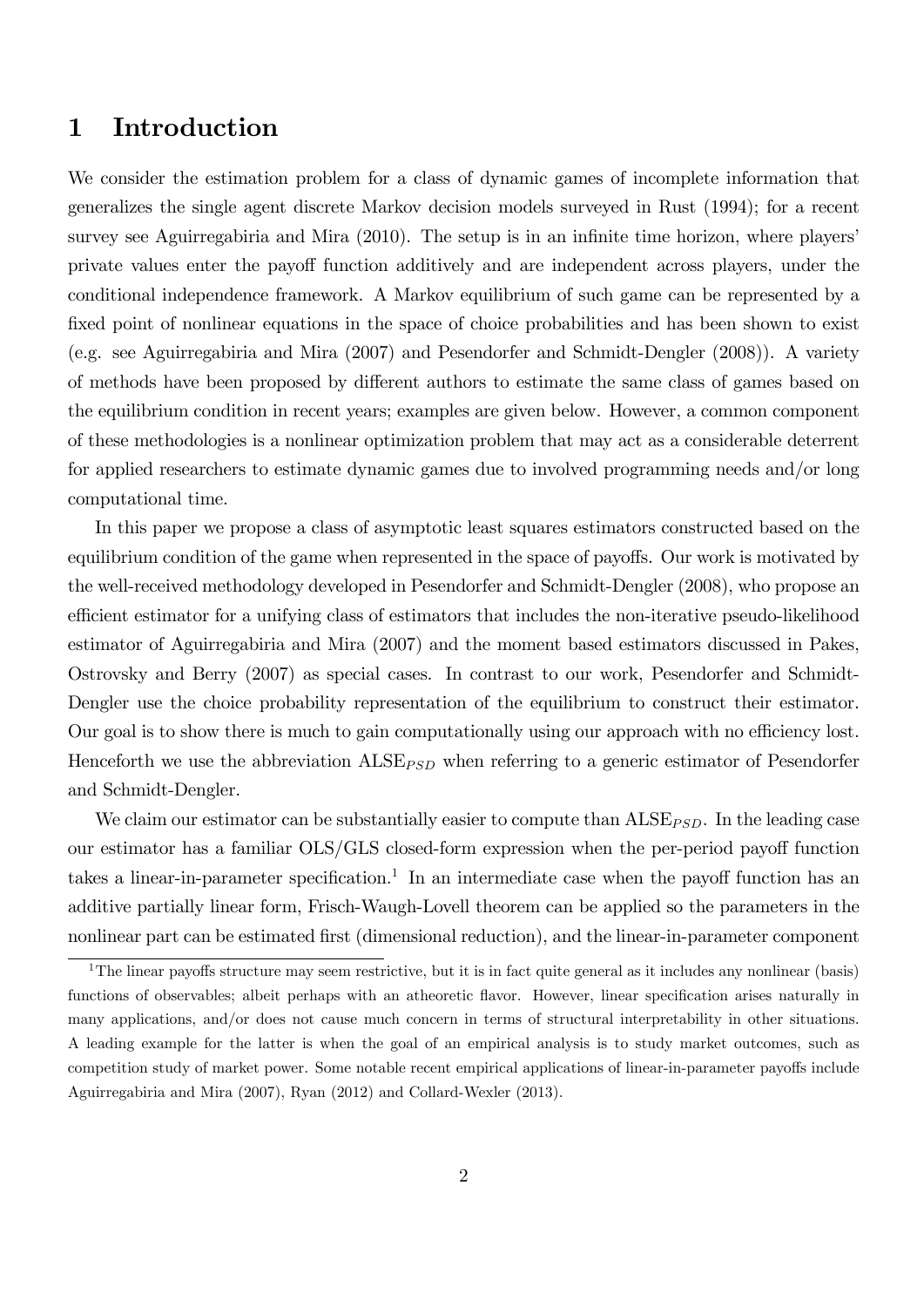## 1 Introduction

We consider the estimation problem for a class of dynamic games of incomplete information that generalizes the single agent discrete Markov decision models surveyed in Rust (1994); for a recent survey see Aguirregabiria and Mira  $(2010)$ . The setup is in an infinite time horizon, where players' private values enter the payoff function additively and are independent across players, under the conditional independence framework. A Markov equilibrium of such game can be represented by a fixed point of nonlinear equations in the space of choice probabilities and has been shown to exist (e.g. see Aguirregabiria and Mira (2007) and Pesendorfer and Schmidt-Dengler (2008)). A variety of methods have been proposed by different authors to estimate the same class of games based on the equilibrium condition in recent years; examples are given below. However, a common component of these methodologies is a nonlinear optimization problem that may act as a considerable deterrent for applied researchers to estimate dynamic games due to involved programming needs and/or long computational time.

In this paper we propose a class of asymptotic least squares estimators constructed based on the equilibrium condition of the game when represented in the space of payoffs. Our work is motivated by the well-received methodology developed in Pesendorfer and Schmidt-Dengler (2008), who propose an efficient estimator for a unifying class of estimators that includes the non-iterative pseudo-likelihood estimator of Aguirregabiria and Mira (2007) and the moment based estimators discussed in Pakes, Ostrovsky and Berry (2007) as special cases. In contrast to our work, Pesendorfer and Schmidt-Dengler use the choice probability representation of the equilibrium to construct their estimator. Our goal is to show there is much to gain computationally using our approach with no efficiency lost. Henceforth we use the abbreviation  $\text{ALSE}_{PSD}$  when referring to a generic estimator of Pesendorfer and Schmidt-Dengler.

We claim our estimator can be substantially easier to compute than  $\text{ALSE}_{PSD}$ . In the leading case our estimator has a familiar OLS/GLS closed-form expression when the per-period payoff function takes a linear-in-parameter specification.<sup>1</sup> In an intermediate case when the payoff function has an additive partially linear form, Frisch-Waugh-Lovell theorem can be applied so the parameters in the nonlinear part can be estimated first (dimensional reduction), and the linear-in-parameter component

<sup>&</sup>lt;sup>1</sup>The linear payoffs structure may seem restrictive, but it is in fact quite general as it includes any nonlinear (basis) functions of observables; albeit perhaps with an atheoretic flavor. However, linear specification arises naturally in many applications, and/or does not cause much concern in terms of structural interpretability in other situations. A leading example for the latter is when the goal of an empirical analysis is to study market outcomes, such as competition study of market power. Some notable recent empirical applications of linear-in-parameter payoffs include Aguirregabiria and Mira (2007), Ryan (2012) and Collard-Wexler (2013).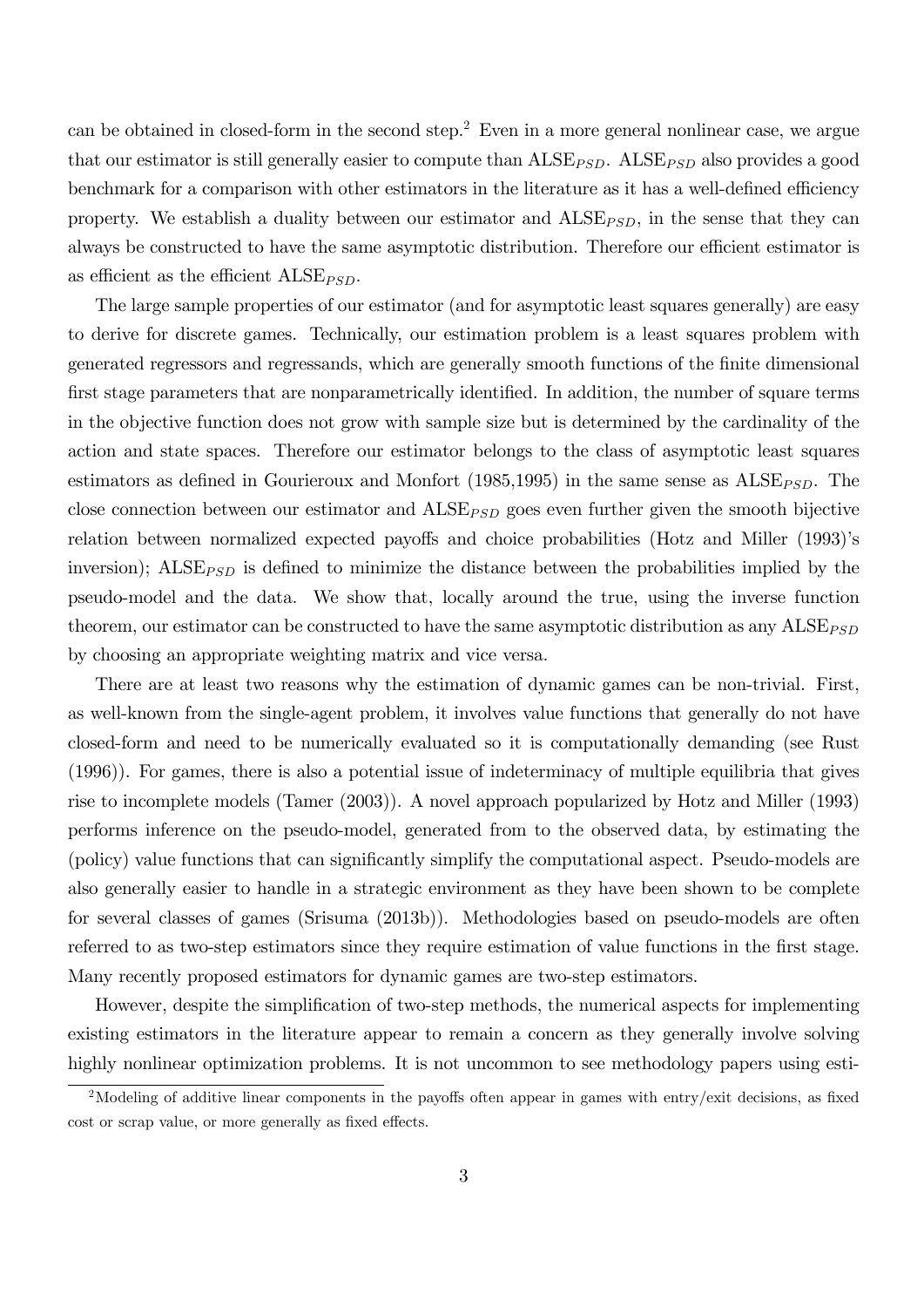can be obtained in closed-form in the second step.<sup>2</sup> Even in a more general nonlinear case, we argue that our estimator is still generally easier to compute than  $\text{ALSE}_{PSD}$ .  $\text{ALSE}_{PSD}$  also provides a good benchmark for a comparison with other estimators in the literature as it has a well-defined efficiency property. We establish a duality between our estimator and  $\text{ALSE}_{\text{PSD}}$ , in the sense that they can always be constructed to have the same asymptotic distribution. Therefore our efficient estimator is as efficient as the efficient  $\text{ALSE}_{\text{PSD}}$ .

The large sample properties of our estimator (and for asymptotic least squares generally) are easy to derive for discrete games. Technically, our estimation problem is a least squares problem with generated regressors and regressands, which are generally smooth functions of the finite dimensional first stage parameters that are nonparametrically identified. In addition, the number of square terms in the objective function does not grow with sample size but is determined by the cardinality of the action and state spaces. Therefore our estimator belongs to the class of asymptotic least squares estimators as defined in Gourieroux and Monfort (1985,1995) in the same sense as  $\text{ALSE}_{PSD}$ . The close connection between our estimator and  $\text{ALSE}_{\text{PSD}}$  goes even further given the smooth bijective relation between normalized expected payoffs and choice probabilities (Hotz and Miller (1993)'s inversion);  $\text{ALSE}_{\text{PSD}}$  is defined to minimize the distance between the probabilities implied by the pseudo-model and the data. We show that, locally around the true, using the inverse function theorem, our estimator can be constructed to have the same asymptotic distribution as any  $\text{ALSE}_{\text{PSD}}$ by choosing an appropriate weighting matrix and vice versa.

There are at least two reasons why the estimation of dynamic games can be non-trivial. First, as well-known from the single-agent problem, it involves value functions that generally do not have closed-form and need to be numerically evaluated so it is computationally demanding (see Rust (1996)). For games, there is also a potential issue of indeterminacy of multiple equilibria that gives rise to incomplete models (Tamer (2003)). A novel approach popularized by Hotz and Miller (1993) performs inference on the pseudo-model, generated from to the observed data, by estimating the (policy) value functions that can significantly simplify the computational aspect. Pseudo-models are also generally easier to handle in a strategic environment as they have been shown to be complete for several classes of games (Srisuma (2013b)). Methodologies based on pseudo-models are often referred to as two-step estimators since they require estimation of value functions in the first stage. Many recently proposed estimators for dynamic games are two-step estimators.

However, despite the simplification of two-step methods, the numerical aspects for implementing existing estimators in the literature appear to remain a concern as they generally involve solving highly nonlinear optimization problems. It is not uncommon to see methodology papers using esti-

<sup>&</sup>lt;sup>2</sup>Modeling of additive linear components in the payoffs often appear in games with entry/exit decisions, as fixed cost or scrap value, or more generally as fixed effects.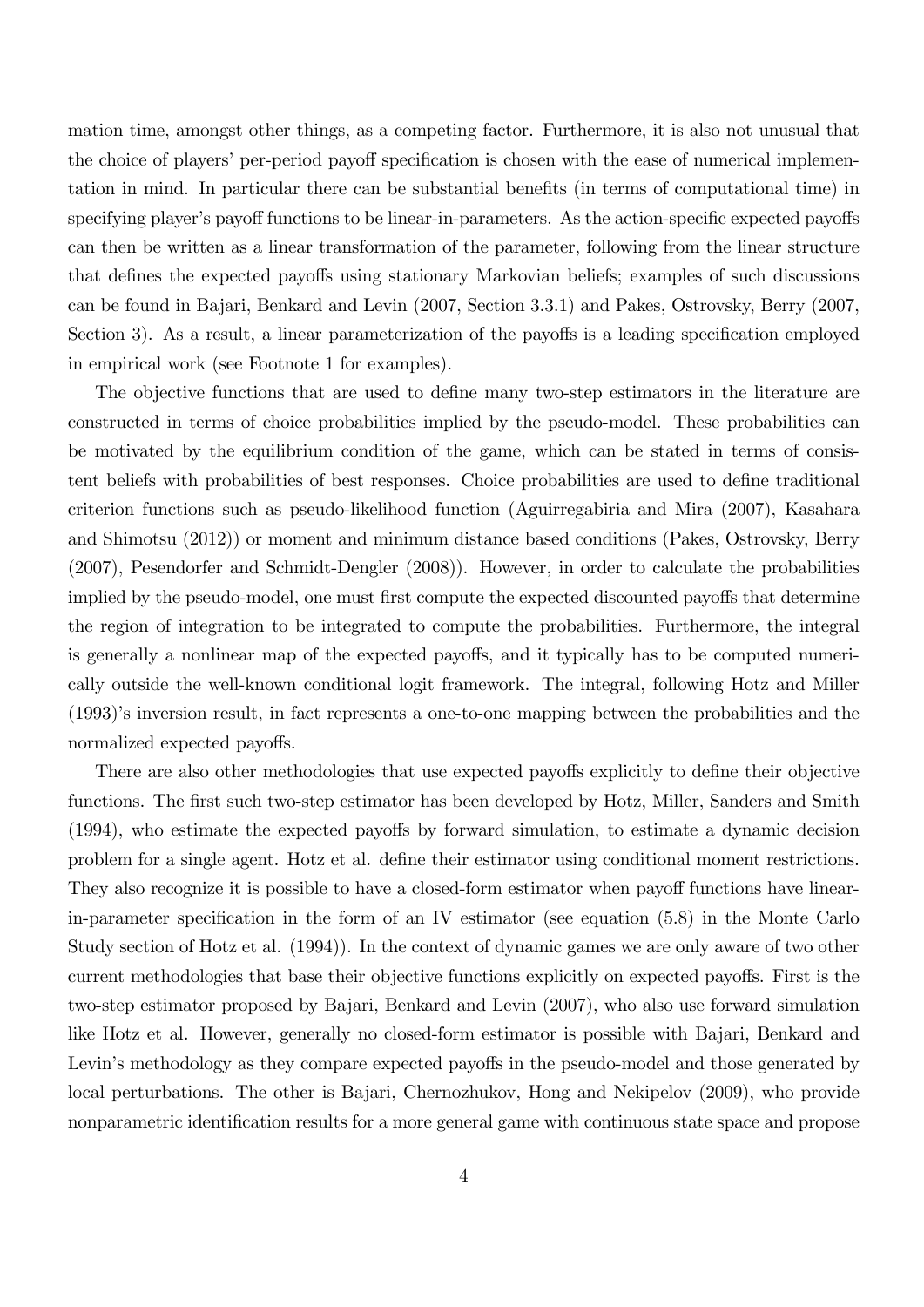mation time, amongst other things, as a competing factor. Furthermore, it is also not unusual that the choice of players' per-period payoff specification is chosen with the ease of numerical implementation in mind. In particular there can be substantial benefits (in terms of computational time) in specifying player's payoff functions to be linear-in-parameters. As the action-specific expected payoffs can then be written as a linear transformation of the parameter, following from the linear structure that defines the expected payoffs using stationary Markovian beliefs; examples of such discussions can be found in Bajari, Benkard and Levin (2007, Section 3.3.1) and Pakes, Ostrovsky, Berry (2007, Section 3). As a result, a linear parameterization of the payoffs is a leading specification employed in empirical work (see Footnote 1 for examples).

The objective functions that are used to define many two-step estimators in the literature are constructed in terms of choice probabilities implied by the pseudo-model. These probabilities can be motivated by the equilibrium condition of the game, which can be stated in terms of consistent beliefs with probabilities of best responses. Choice probabilities are used to define traditional criterion functions such as pseudo-likelihood function (Aguirregabiria and Mira (2007), Kasahara and Shimotsu (2012)) or moment and minimum distance based conditions (Pakes, Ostrovsky, Berry (2007), Pesendorfer and Schmidt-Dengler (2008)). However, in order to calculate the probabilities implied by the pseudo-model, one must first compute the expected discounted payoffs that determine the region of integration to be integrated to compute the probabilities. Furthermore, the integral is generally a nonlinear map of the expected payoffs, and it typically has to be computed numerically outside the well-known conditional logit framework. The integral, following Hotz and Miller (1993)ís inversion result, in fact represents a one-to-one mapping between the probabilities and the normalized expected payoffs.

There are also other methodologies that use expected payoffs explicitly to define their objective functions. The first such two-step estimator has been developed by Hotz, Miller, Sanders and Smith  $(1994)$ , who estimate the expected payoffs by forward simulation, to estimate a dynamic decision problem for a single agent. Hotz et al. define their estimator using conditional moment restrictions. They also recognize it is possible to have a closed-form estimator when payoff functions have linearin-parameter specification in the form of an IV estimator (see equation  $(5.8)$ ) in the Monte Carlo Study section of Hotz et al. (1994)). In the context of dynamic games we are only aware of two other current methodologies that base their objective functions explicitly on expected payoffs. First is the two-step estimator proposed by Bajari, Benkard and Levin (2007), who also use forward simulation like Hotz et al. However, generally no closed-form estimator is possible with Bajari, Benkard and Levin's methodology as they compare expected payoffs in the pseudo-model and those generated by local perturbations. The other is Bajari, Chernozhukov, Hong and Nekipelov (2009), who provide nonparametric identification results for a more general game with continuous state space and propose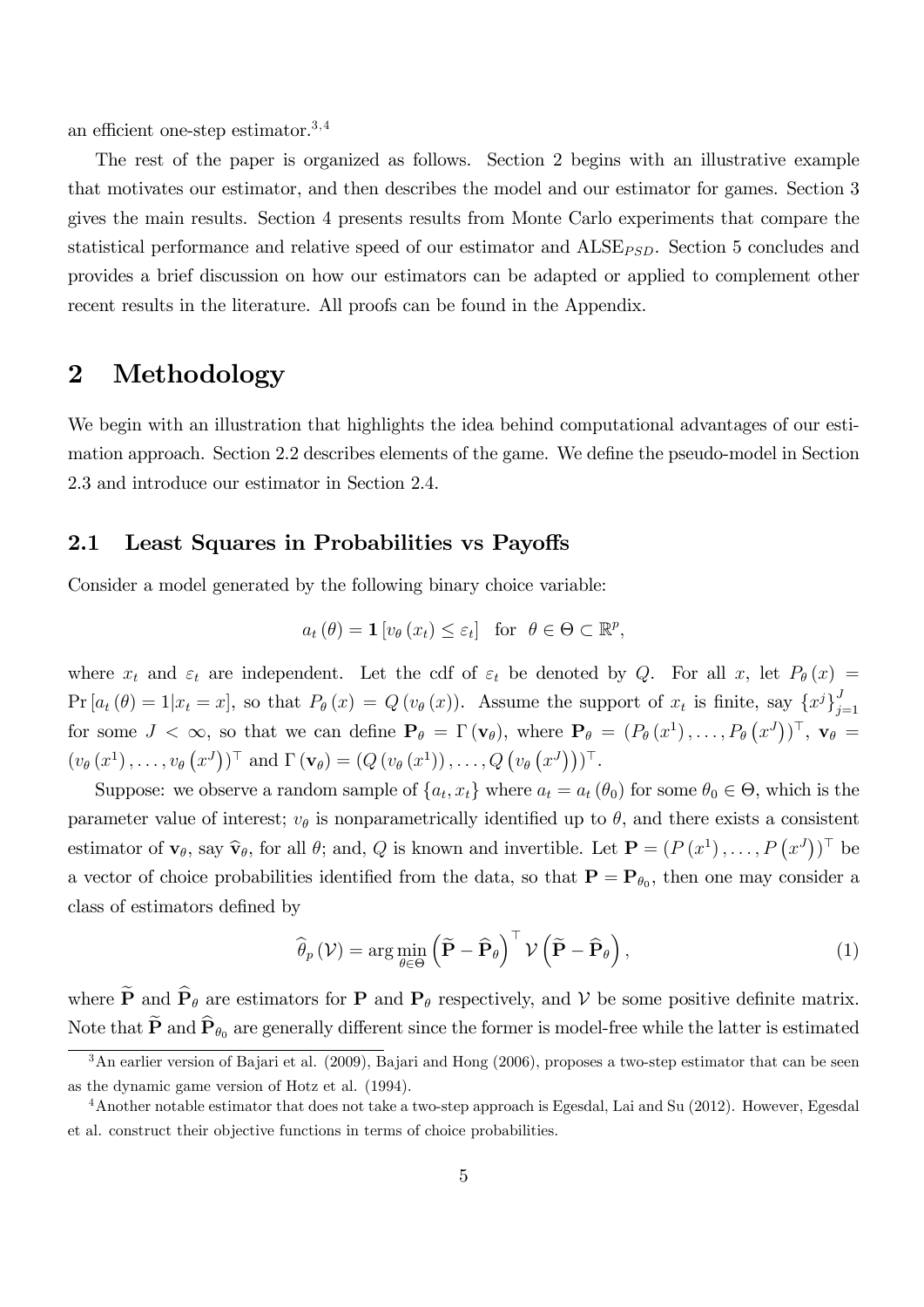an efficient one-step estimator. $3,4$ 

The rest of the paper is organized as follows. Section 2 begins with an illustrative example that motivates our estimator, and then describes the model and our estimator for games. Section 3 gives the main results. Section 4 presents results from Monte Carlo experiments that compare the statistical performance and relative speed of our estimator and  $\text{ALSE}_{\text{PSD}}$ . Section 5 concludes and provides a brief discussion on how our estimators can be adapted or applied to complement other recent results in the literature. All proofs can be found in the Appendix.

## 2 Methodology

We begin with an illustration that highlights the idea behind computational advantages of our estimation approach. Section 2.2 describes elements of the game. We define the pseudo-model in Section 2.3 and introduce our estimator in Section 2.4.

#### 2.1 Least Squares in Probabilities vs Payoffs

Consider a model generated by the following binary choice variable:

$$
a_t(\theta) = \mathbf{1}[v_{\theta}(x_t) \leq \varepsilon_t]
$$
 for  $\theta \in \Theta \subset \mathbb{R}^p$ ,

where  $x_t$  and  $\varepsilon_t$  are independent. Let the cdf of  $\varepsilon_t$  be denoted by Q. For all x, let  $P_\theta(x)$  =  $Pr[a_t(\theta) = 1 | x_t = x],$  so that  $P_\theta(x) = Q(v_\theta(x))$ . Assume the support of  $x_t$  is finite, say  $\{x^j\}_{j=1}^N$  $j=1$ for some  $J < \infty$ , so that we can define  $\mathbf{P}_{\theta} = \Gamma(\mathbf{v}_{\theta})$ , where  $\mathbf{P}_{\theta} = (P_{\theta}(x^1), \dots, P_{\theta}(x^J))^{\top}$ ,  $\mathbf{v}_{\theta} =$  $(v_{\theta}(x^1),...,v_{\theta}(x^J))^{\top}$  and  $\Gamma(\mathbf{v}_{\theta}) = (Q(v_{\theta}(x^1)),...,Q(v_{\theta}(x^J)))^{\top}$ .

Suppose: we observe a random sample of  $\{a_t, x_t\}$  where  $a_t = a_t(\theta_0)$  for some  $\theta_0 \in \Theta$ , which is the parameter value of interest;  $v_{\theta}$  is nonparametrically identified up to  $\theta$ , and there exists a consistent estimator of  $\mathbf{v}_{\theta}$ , say  $\hat{\mathbf{v}}_{\theta}$ , for all  $\theta$ ; and,  $Q$  is known and invertible. Let  $\mathbf{P} = (P(x^1), \ldots, P(x^J))^T$  be a vector of choice probabilities identified from the data, so that  $\mathbf{P} = \mathbf{P}_{\theta_0}$ , then one may consider a class of estimators defined by

$$
\widehat{\theta}_{p}(\mathcal{V}) = \arg\min_{\theta \in \Theta} \left( \widetilde{\mathbf{P}} - \widehat{\mathbf{P}}_{\theta} \right)^{\top} \mathcal{V} \left( \widetilde{\mathbf{P}} - \widehat{\mathbf{P}}_{\theta} \right), \tag{1}
$$

where  $\widetilde{\mathbf{P}}$  and  $\widehat{\mathbf{P}}_{\theta}$  are estimators for **P** and **P**<sub> $\theta$ </sub> respectively, and **V** be some positive definite matrix. Note that  $\widetilde{\mathbf{P}}$  and  $\widehat{\mathbf{P}}_{\theta_0}$  are generally different since the former is model-free while the latter is estimated

 $3$ An earlier version of Bajari et al. (2009), Bajari and Hong (2006), proposes a two-step estimator that can be seen as the dynamic game version of Hotz et al. (1994).

<sup>4</sup>Another notable estimator that does not take a two-step approach is Egesdal, Lai and Su (2012). However, Egesdal et al. construct their objective functions in terms of choice probabilities.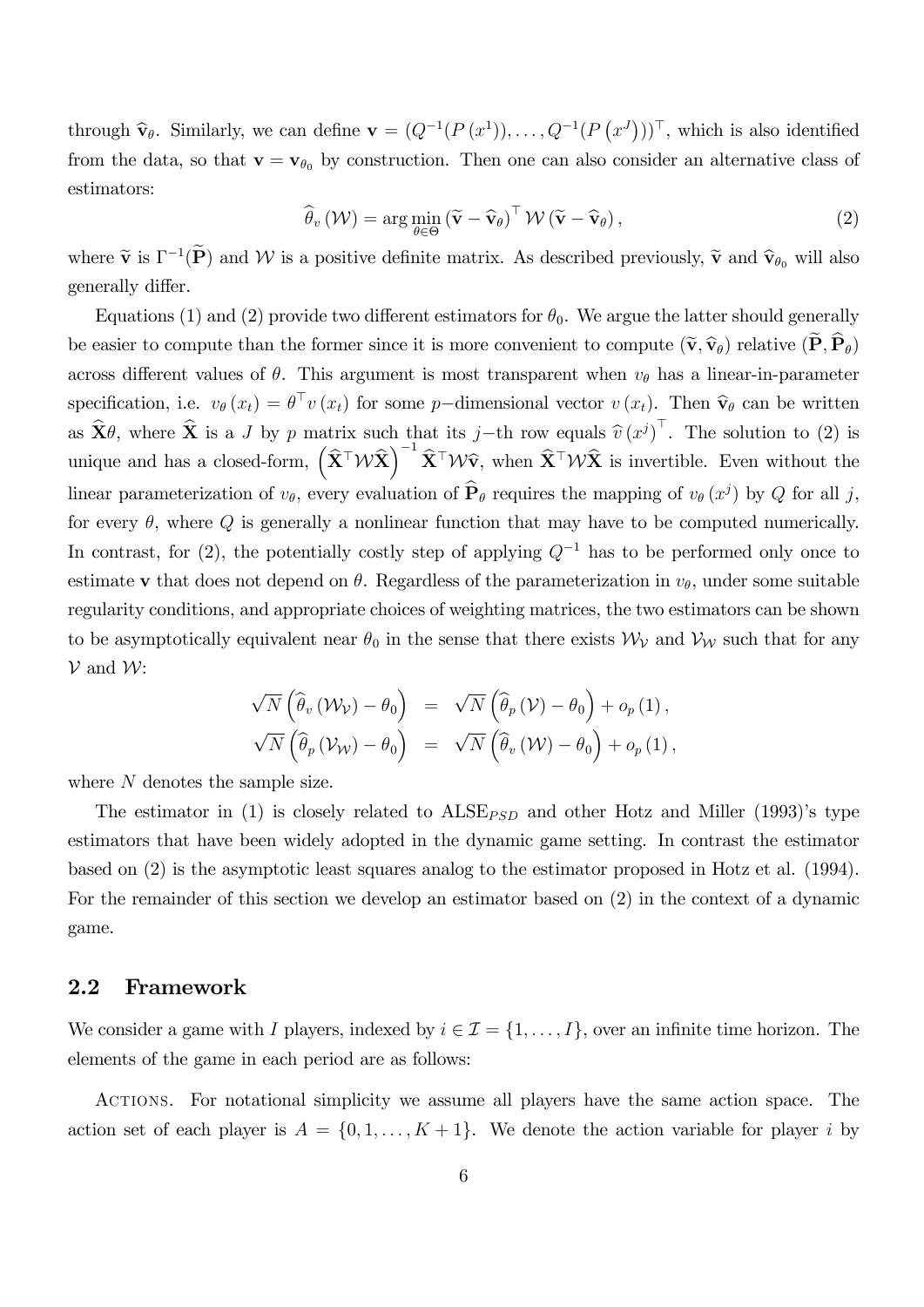through  $\hat{\mathbf{v}}_{\theta}$ . Similarly, we can define  $\mathbf{v} = (Q^{-1}(P(x^1)), \ldots, Q^{-1}(P(x^J)))^{\top}$ , which is also identified from the data, so that  $\mathbf{v} = \mathbf{v}_{\theta_0}$  by construction. Then one can also consider an alternative class of estimators:

$$
\widehat{\theta}_{v}(\mathcal{W}) = \arg\min_{\theta \in \Theta} (\widetilde{\mathbf{v}} - \widehat{\mathbf{v}}_{\theta})^{\top} \mathcal{W} (\widetilde{\mathbf{v}} - \widehat{\mathbf{v}}_{\theta}), \qquad (2)
$$

where  $\tilde{\mathbf{v}}$  is  $\Gamma^{-1}(\tilde{\mathbf{P}})$  and  $\mathcal{W}$  is a positive definite matrix. As described previously,  $\tilde{\mathbf{v}}$  and  $\hat{\mathbf{v}}_{\theta_0}$  will also generally differ.

Equations (1) and (2) provide two different estimators for  $\theta_0$ . We argue the latter should generally be easier to compute than the former since it is more convenient to compute  $(\tilde{\mathbf{v}}, \hat{\mathbf{v}}_{\theta})$  relative  $(\mathbf{P}, \mathbf{P}_{\theta})$ across different values of  $\theta$ . This argument is most transparent when  $v_{\theta}$  has a linear-in-parameter specification, i.e.  $v_{\theta}(x_t) = \theta^{\top} v(x_t)$  for some p-dimensional vector  $v(x_t)$ . Then  $\hat{\mathbf{v}}_{\theta}$  can be written as  $\hat{\mathbf{X}}\theta$ , where  $\hat{\mathbf{X}}$  is a J by p matrix such that its j-th row equals  $\hat{v}(x^j)$ . The solution to (2) is unique and has a closed-form,  $(\hat{\mathbf{X}}^{\top}\mathcal{W}\hat{\mathbf{X}})^{-1}\hat{\mathbf{X}}^{\top}\mathcal{W}\hat{\mathbf{v}}$ , when  $\hat{\mathbf{X}}^{\top}\mathcal{W}\hat{\mathbf{X}}$  is invertible. Even without the linear parameterization of  $v_{\theta}$ , every evaluation of  $\hat{\mathbf{P}}_{\theta}$  requires the mapping of  $v_{\theta}(x^j)$  by Q for all j, for every  $\theta$ , where Q is generally a nonlinear function that may have to be computed numerically. In contrast, for (2), the potentially costly step of applying  $Q^{-1}$  has to be performed only once to estimate v that does not depend on  $\theta$ . Regardless of the parameterization in  $v_{\theta}$ , under some suitable regularity conditions, and appropriate choices of weighting matrices, the two estimators can be shown to be asymptotically equivalent near  $\theta_0$  in the sense that there exists  $\mathcal{W}_{\mathcal{V}}$  and  $\mathcal{V}_{\mathcal{W}}$  such that for any  $V$  and  $W$ :

$$
\begin{array}{rcl}\n\sqrt{N}\left(\widehat{\theta}_{v}\left(\mathcal{W}_{\mathcal{V}}\right)-\theta_{0}\right)&=&\sqrt{N}\left(\widehat{\theta}_{p}\left(\mathcal{V}\right)-\theta_{0}\right)+o_{p}\left(1\right),\\
\sqrt{N}\left(\widehat{\theta}_{p}\left(\mathcal{V}_{\mathcal{W}}\right)-\theta_{0}\right)&=&\sqrt{N}\left(\widehat{\theta}_{v}\left(\mathcal{W}\right)-\theta_{0}\right)+o_{p}\left(1\right),\end{array}
$$

where N denotes the sample size.

The estimator in (1) is closely related to  $A \text{LSE}_{PSD}$  and other Hotz and Miller (1993)'s type estimators that have been widely adopted in the dynamic game setting. In contrast the estimator based on (2) is the asymptotic least squares analog to the estimator proposed in Hotz et al. (1994). For the remainder of this section we develop an estimator based on (2) in the context of a dynamic game.

#### 2.2 Framework

We consider a game with I players, indexed by  $i \in \mathcal{I} = \{1, \ldots, I\}$ , over an infinite time horizon. The elements of the game in each period are as follows:

Actions. For notational simplicity we assume all players have the same action space. The action set of each player is  $A = \{0, 1, \ldots, K+1\}$ . We denote the action variable for player i by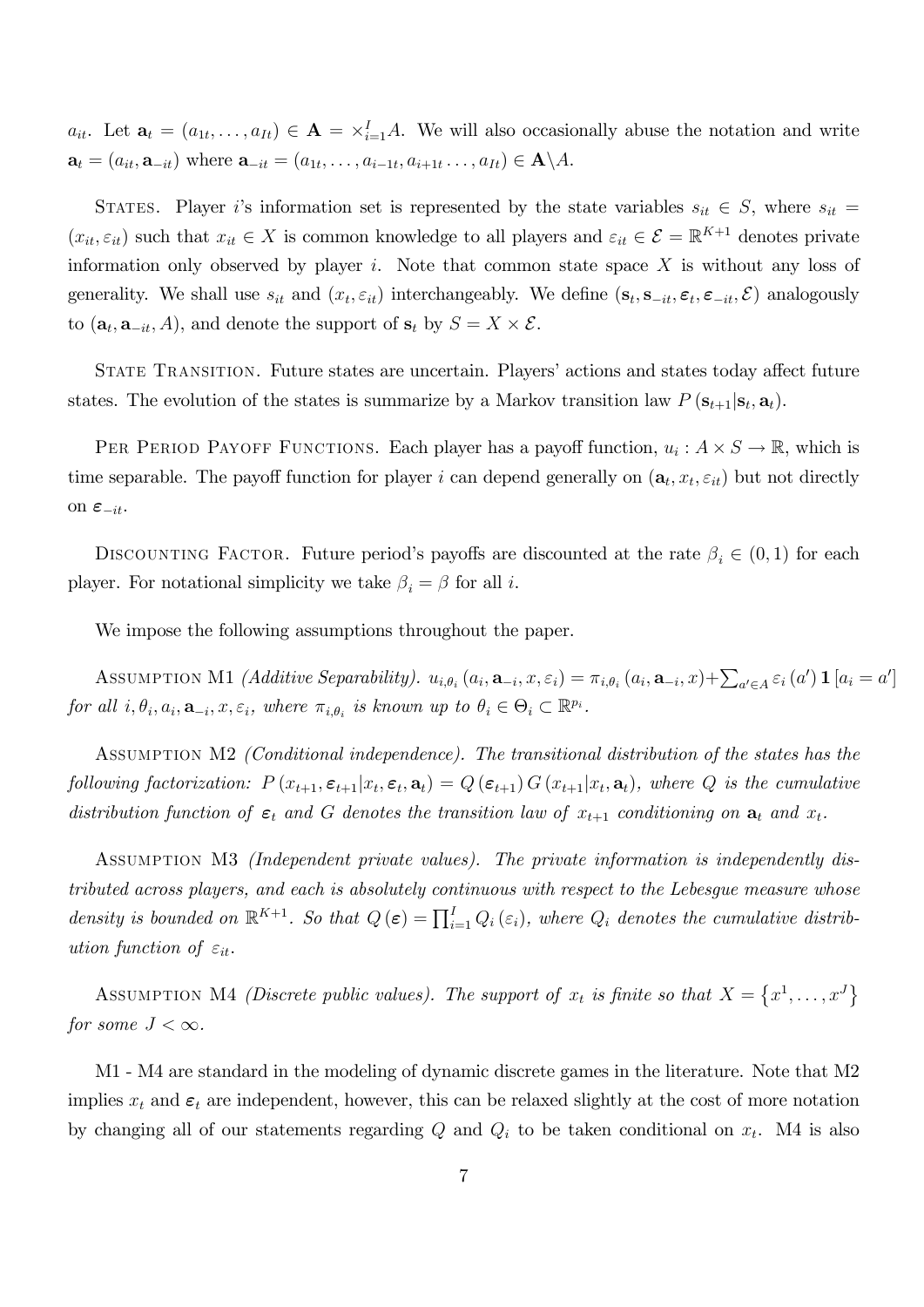$a_{it}$ . Let  $\mathbf{a}_t = (a_{1t}, \dots, a_{It}) \in \mathbf{A} = \times_{i=1}^I A$ . We will also occasionally abuse the notation and write  $\mathbf{a}_t = (a_{it}, \mathbf{a}_{-it})$  where  $\mathbf{a}_{-it} = (a_{1t}, \ldots, a_{i-1t}, a_{i+1t}, \ldots, a_{It}) \in \mathbf{A} \setminus A$ .

STATES. Player i's information set is represented by the state variables  $s_{it} \in S$ , where  $s_{it} =$  $(x_{it}, \varepsilon_{it})$  such that  $x_{it} \in X$  is common knowledge to all players and  $\varepsilon_{it} \in \mathcal{E} = \mathbb{R}^{K+1}$  denotes private information only observed by player  $i$ . Note that common state space  $X$  is without any loss of generality. We shall use  $s_{it}$  and  $(x_t, \varepsilon_{it})$  interchangeably. We define  $(\mathbf{s}_t, \mathbf{s}_{-it}, \varepsilon_t, \varepsilon_{-it}, \mathcal{E})$  analogously to  $(\mathbf{a}_t, \mathbf{a}_{-it}, A)$ , and denote the support of  $\mathbf{s}_t$  by  $S = X \times \mathcal{E}$ .

STATE TRANSITION. Future states are uncertain. Players' actions and states today affect future states. The evolution of the states is summarize by a Markov transition law  $P(\mathbf{s}_{t+1}|\mathbf{s}_t,\mathbf{a}_t)$ .

PER PERIOD PAYOFF FUNCTIONS. Each player has a payoff function,  $u_i : A \times S \to \mathbb{R}$ , which is time separable. The payoff function for player i can depend generally on  $(\mathbf{a}_t, x_t, \varepsilon_{it})$  but not directly on  $\varepsilon_{-it}$ .

DISCOUNTING FACTOR. Future period's payoffs are discounted at the rate  $\beta_i \in (0,1)$  for each player. For notational simplicity we take  $\beta_i = \beta$  for all i.

We impose the following assumptions throughout the paper.

ASSUMPTION M1 *(Additive Separability).*  $u_{i,\theta_i}(a_i, \mathbf{a}_{-i}, x, \varepsilon_i) = \pi_{i,\theta_i}(a_i, \mathbf{a}_{-i}, x) + \sum_{a' \in A} \varepsilon_i(a') \mathbf{1}[a_i = a']$ for all  $i, \theta_i, a_i, \mathbf{a}_{-i}, x, \varepsilon_i$ , where  $\pi_{i, \theta_i}$  is known up to  $\theta_i \in \Theta_i \subset \mathbb{R}^{p_i}$ .

ASSUMPTION M2 (Conditional independence). The transitional distribution of the states has the following factorization:  $P(x_{t+1}, \varepsilon_{t+1}|x_t, \varepsilon_t, \mathbf{a}_t) = Q(\varepsilon_{t+1}) G(x_{t+1}|x_t, \mathbf{a}_t)$ , where Q is the cumulative distribution function of  $\epsilon_t$  and G denotes the transition law of  $x_{t+1}$  conditioning on  $\mathbf{a}_t$  and  $x_t$ .

Assumption M3 (Independent private values). The private information is independently distributed across players, and each is absolutely continuous with respect to the Lebesgue measure whose density is bounded on  $\mathbb{R}^{K+1}$ . So that  $Q(\epsilon) = \prod_{i=1}^{I} Q_i(\epsilon_i)$ , where  $Q_i$  denotes the cumulative distribution function of  $\varepsilon_{it}$ .

ASSUMPTION M4 *(Discrete public values)*. The support of  $x_t$  is finite so that  $X = \{x^1, \ldots, x^J\}$ for some  $J < \infty$ .

M1 - M4 are standard in the modeling of dynamic discrete games in the literature. Note that M2 implies  $x_t$  and  $\epsilon_t$  are independent, however, this can be relaxed slightly at the cost of more notation by changing all of our statements regarding  $Q$  and  $Q_i$  to be taken conditional on  $x_t$ . M4 is also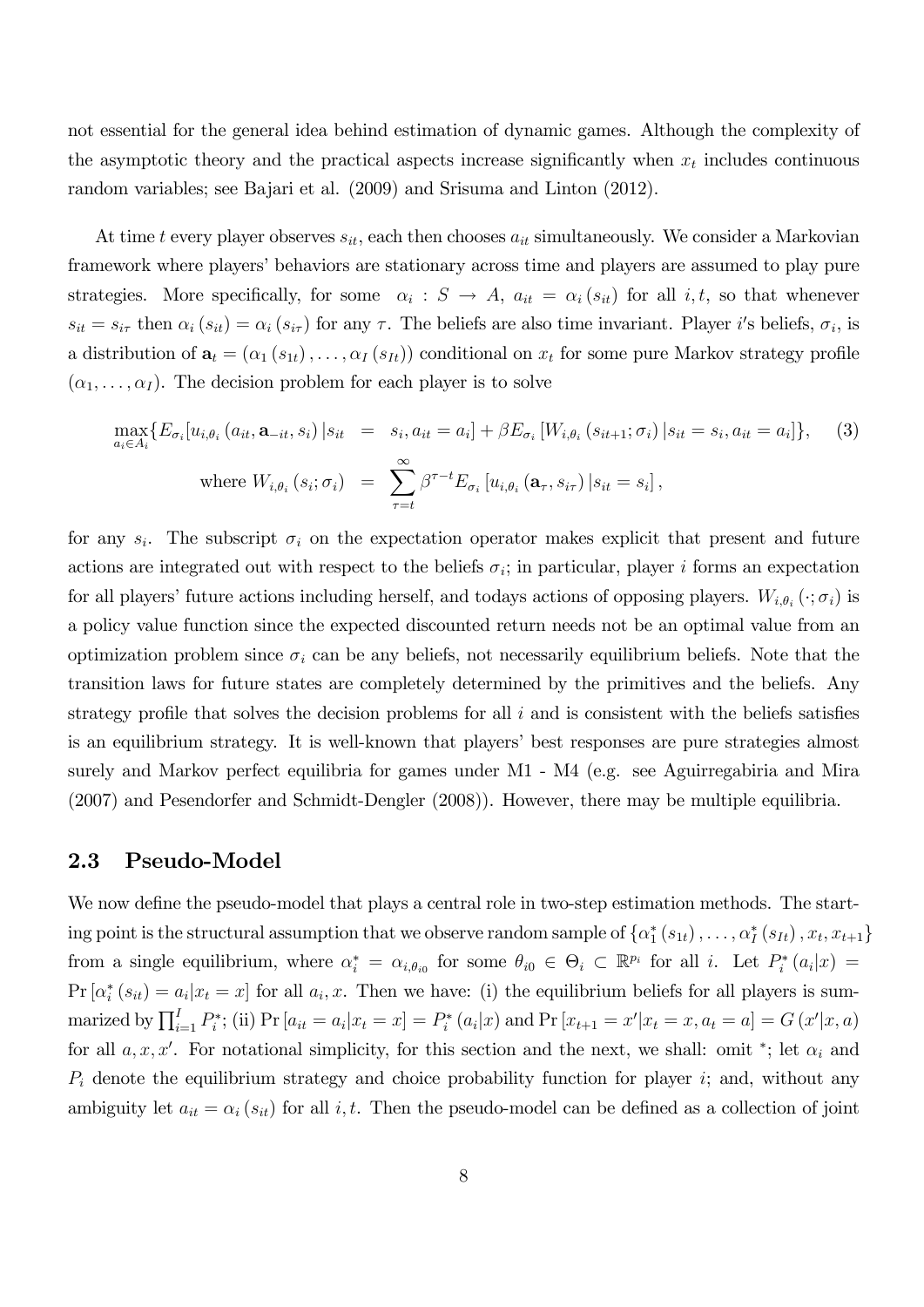not essential for the general idea behind estimation of dynamic games. Although the complexity of the asymptotic theory and the practical aspects increase significantly when  $x_t$  includes continuous random variables; see Bajari et al. (2009) and Srisuma and Linton (2012).

At time t every player observes  $s_{it}$ , each then chooses  $a_{it}$  simultaneously. We consider a Markovian framework where players' behaviors are stationary across time and players are assumed to play pure strategies. More specifically, for some  $\alpha_i : S \to A$ ,  $a_{it} = \alpha_i (s_{it})$  for all  $i, t$ , so that whenever  $s_{it} = s_{i\tau}$  then  $\alpha_i (s_{it}) = \alpha_i (s_{i\tau})$  for any  $\tau$ . The beliefs are also time invariant. Player i's beliefs,  $\sigma_i$ , is a distribution of  $\mathbf{a}_t = (\alpha_1(s_{1t}), \dots, \alpha_I(s_{It}))$  conditional on  $x_t$  for some pure Markov strategy profile  $(\alpha_1, \ldots, \alpha_I)$ . The decision problem for each player is to solve

$$
\max_{a_i \in A_i} \{ E_{\sigma_i} [u_{i,\theta_i} (a_{it}, \mathbf{a}_{-it}, s_i) | s_{it} = s_i, a_{it} = a_i] + \beta E_{\sigma_i} [W_{i,\theta_i} (s_{it+1}; \sigma_i) | s_{it} = s_i, a_{it} = a_i] \}, \quad (3)
$$
\n
$$
\text{where } W_{i,\theta_i} (s_i; \sigma_i) = \sum_{\tau=t}^{\infty} \beta^{\tau-t} E_{\sigma_i} [u_{i,\theta_i} (\mathbf{a}_{\tau}, s_{i\tau}) | s_{it} = s_i],
$$

for any  $s_i$ . The subscript  $\sigma_i$  on the expectation operator makes explicit that present and future actions are integrated out with respect to the beliefs  $\sigma_i$ ; in particular, player i forms an expectation for all players' future actions including herself, and todays actions of opposing players.  $W_{i,\theta_i}(\cdot;\sigma_i)$  is a policy value function since the expected discounted return needs not be an optimal value from an optimization problem since  $\sigma_i$  can be any beliefs, not necessarily equilibrium beliefs. Note that the transition laws for future states are completely determined by the primitives and the beliefs. Any strategy profile that solves the decision problems for all  $i$  and is consistent with the beliefs satisfies is an equilibrium strategy. It is well-known that players' best responses are pure strategies almost surely and Markov perfect equilibria for games under M1 - M4 (e.g. see Aguirregabiria and Mira (2007) and Pesendorfer and Schmidt-Dengler (2008)). However, there may be multiple equilibria.

#### 2.3 Pseudo-Model

We now define the pseudo-model that plays a central role in two-step estimation methods. The starting point is the structural assumption that we observe random sample of  $\{\alpha_1^*(s_{1t}),\ldots,\alpha_I^*(s_{It}),x_t,x_{t+1}\}$ from a single equilibrium, where  $\alpha_i^* = \alpha_{i,\theta_{i0}}$  for some  $\theta_{i0} \in \Theta_i \subset \mathbb{R}^{p_i}$  for all i. Let  $P_i^*(a_i|x) =$  $Pr\left[\alpha_i^*(s_{it}) = a_i | x_t = x\right]$  for all  $a_i, x$ . Then we have: (i) the equilibrium beliefs for all players is summarized by  $\prod_{i=1}^{I} P_i^*$ ; (ii)  $Pr[a_{it} = a_i | x_t = x] = P_i^* (a_i | x)$  and  $Pr[x_{t+1} = x' | x_t = x, a_t = a] = G(x' | x, a)$ for all  $a, x, x'$ . For notational simplicity, for this section and the next, we shall: omit \*; let  $\alpha_i$  and  $P_i$  denote the equilibrium strategy and choice probability function for player i; and, without any ambiguity let  $a_{it} = \alpha_i (s_{it})$  for all i, t. Then the pseudo-model can be defined as a collection of joint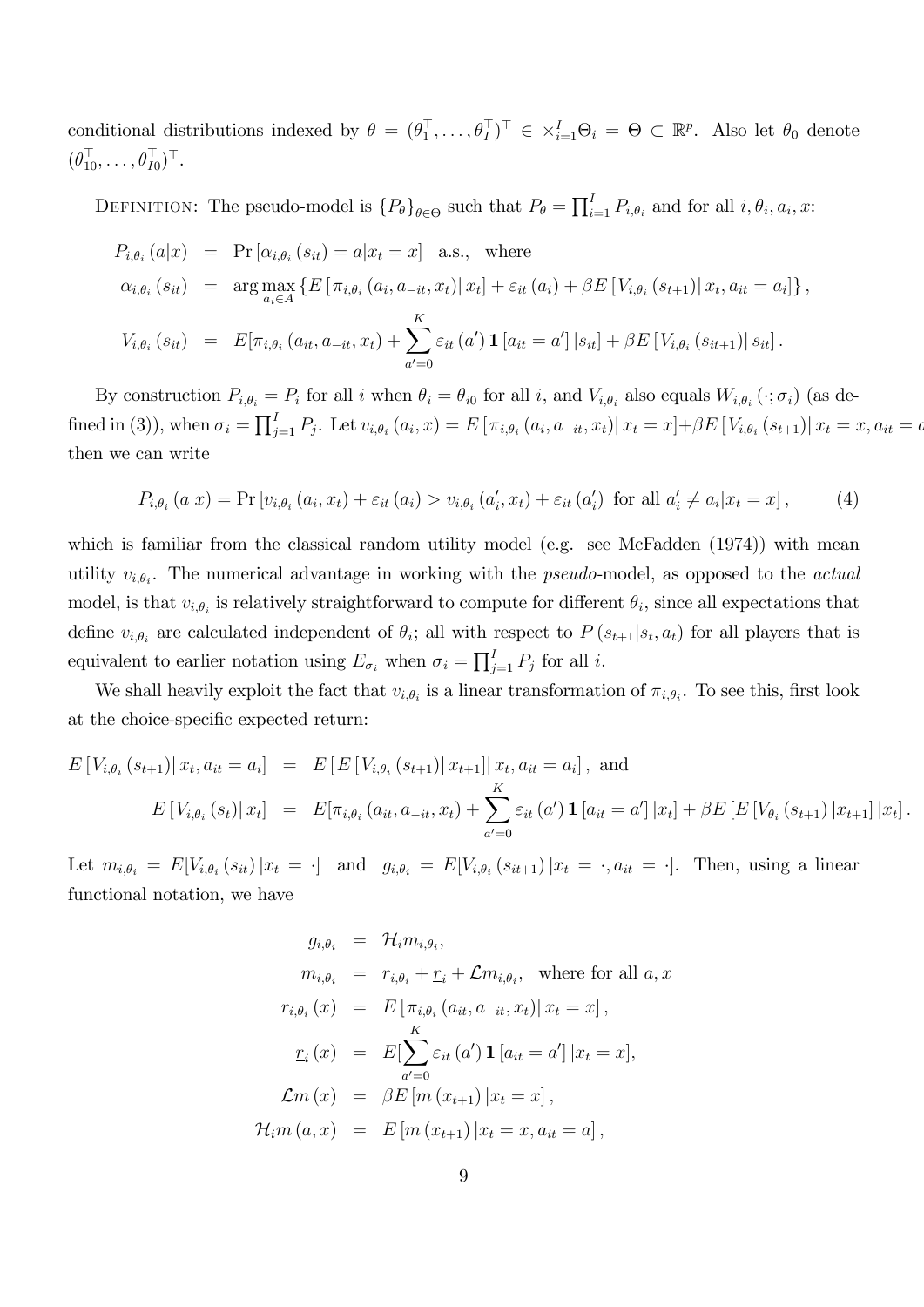conditional distributions indexed by  $\theta = (\theta_1^\top, \dots, \theta_I^\top)^\top \in \times_{i=1}^I \Theta_i = \Theta \subset \mathbb{R}^p$ . Also let  $\theta_0$  denote  $(\theta_{10}^{\perp}, \ldots, \theta_{I0}^{\perp})^{\perp}$ .

DEFINITION: The pseudo-model is  $\{P_{\theta}\}_{{\theta\in\Theta}}$  such that  $P_{\theta} = \prod_{i=1}^{I} P_{i,\theta_i}$  and for all  $i, \theta_i, a_i, x$ :

$$
P_{i,\theta_i}(a|x) = \Pr[\alpha_{i,\theta_i}(s_{it}) = a|x_t = x] \text{ a.s., where}
$$
  
\n
$$
\alpha_{i,\theta_i}(s_{it}) = \arg \max_{a_i \in A} \{ E[\pi_{i,\theta_i}(a_i, a_{-it}, x_t) | x_t] + \varepsilon_{it}(a_i) + \beta E[V_{i,\theta_i}(s_{t+1}) | x_t, a_{it} = a_i] \},
$$
  
\n
$$
V_{i,\theta_i}(s_{it}) = E[\pi_{i,\theta_i}(a_{it}, a_{-it}, x_t) + \sum_{a'=0}^{K} \varepsilon_{it}(a') \mathbf{1}[a_{it} = a'] | s_{it}] + \beta E[V_{i,\theta_i}(s_{it+1}) | s_{it}].
$$

By construction  $P_{i,\theta_i} = P_i$  for all i when  $\theta_i = \theta_{i0}$  for all i, and  $V_{i,\theta_i}$  also equals  $W_{i,\theta_i} (\cdot; \sigma_i)$  (as defined in (3)), when  $\sigma_i = \prod_{j=1}^{I} P_j$ . Let  $v_{i,\theta_i}(a_i, x) = E[\pi_{i,\theta_i}(a_i, a_{-it}, x_t) | x_t = x] + \beta E[V_{i,\theta_i}(s_{t+1}) | x_t = x, a_{it} = a_t]$ then we can write

$$
P_{i,\theta_i}(a|x) = \Pr[v_{i,\theta_i}(a_i, x_t) + \varepsilon_{it}(a_i) > v_{i,\theta_i}(a'_i, x_t) + \varepsilon_{it}(a'_i) \text{ for all } a'_i \neq a_i | x_t = x], \tag{4}
$$

which is familiar from the classical random utility model (e.g. see McFadden (1974)) with mean utility  $v_{i,\theta_i}$ . The numerical advantage in working with the *pseudo-model*, as opposed to the *actual* model, is that  $v_{i,\theta_i}$  is relatively straightforward to compute for different  $\theta_i$ , since all expectations that define  $v_{i,\theta_i}$  are calculated independent of  $\theta_i$ ; all with respect to  $P(s_{t+1}|s_t, a_t)$  for all players that is equivalent to earlier notation using  $E_{\sigma_i}$  when  $\sigma_i = \prod_{j=1}^I P_j$  for all i.

We shall heavily exploit the fact that  $v_{i,\theta_i}$  is a linear transformation of  $\pi_{i,\theta_i}$ . To see this, first look at the choice-specific expected return:

$$
E[V_{i,\theta_i}(s_{t+1})|x_t, a_{it} = a_i] = E[E[V_{i,\theta_i}(s_{t+1})|x_{t+1}]|x_t, a_{it} = a_i], \text{ and}
$$
  

$$
E[V_{i,\theta_i}(s_t)|x_t] = E[\pi_{i,\theta_i}(a_{it}, a_{-it}, x_t) + \sum_{a'=0}^{K} \varepsilon_{it}(a') \mathbf{1}[a_{it} = a'] |x_t] + \beta E[E[V_{\theta_i}(s_{t+1})|x_{t+1}] |x_t].
$$

Let  $m_{i,\theta_i} = E[V_{i,\theta_i}(s_{it})|x_t = \cdot]$  and  $g_{i,\theta_i} = E[V_{i,\theta_i}(s_{it+1})|x_t = \cdot, a_{it} = \cdot]$ . Then, using a linear functional notation, we have

$$
g_{i,\theta_i} = \mathcal{H}_i m_{i,\theta_i},
$$
  
\n
$$
m_{i,\theta_i} = r_{i,\theta_i} + \underline{r}_i + \mathcal{L} m_{i,\theta_i}, \text{ where for all } a, x
$$
  
\n
$$
r_{i,\theta_i}(x) = E[\pi_{i,\theta_i}(a_{it}, a_{-it}, x_t) | x_t = x],
$$
  
\n
$$
\underline{r}_i(x) = E[\sum_{a'=0}^K \varepsilon_{it}(a') \mathbf{1}[a_{it} = a'] | x_t = x],
$$
  
\n
$$
\mathcal{L}m(x) = \beta E[m(x_{t+1}) | x_t = x],
$$
  
\n
$$
\mathcal{H}_i m(a, x) = E[m(x_{t+1}) | x_t = x, a_{it} = a],
$$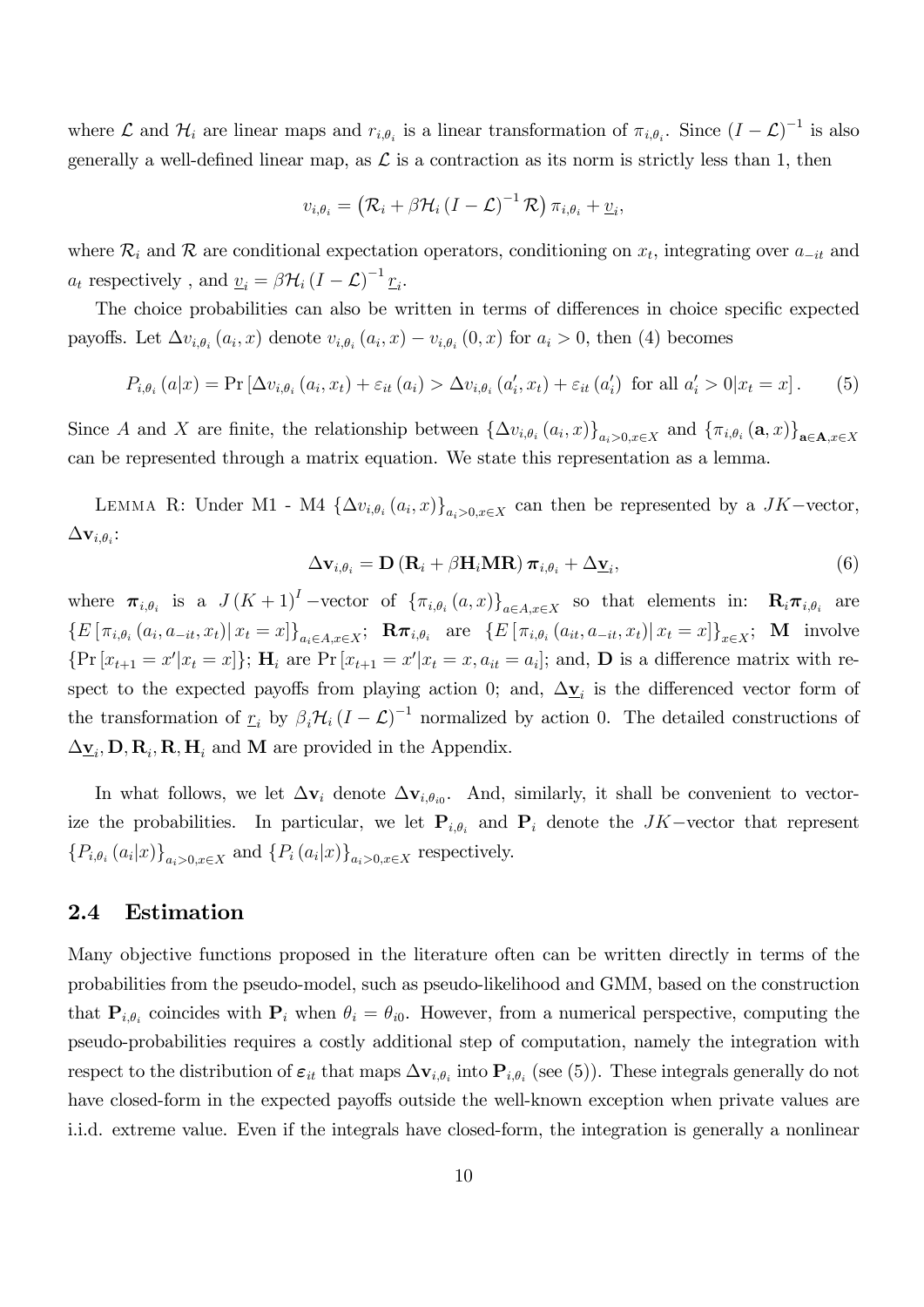where  $\mathcal L$  and  $\mathcal H_i$  are linear maps and  $r_{i,\theta_i}$  is a linear transformation of  $\pi_{i,\theta_i}$ . Since  $(I-\mathcal L)^{-1}$  is also generally a well-defined linear map, as  $\mathcal L$  is a contraction as its norm is strictly less than 1, then

$$
v_{i,\theta_i} = \left(\mathcal{R}_i + \beta \mathcal{H}_i \left(I - \mathcal{L}\right)^{-1} \mathcal{R}\right) \pi_{i,\theta_i} + \underline{v}_i,
$$

where  $\mathcal{R}_i$  and  $\mathcal{R}$  are conditional expectation operators, conditioning on  $x_t$ , integrating over  $a_{-it}$  and  $a_t$  respectively, and  $\underline{v}_i = \beta \mathcal{H}_i (I - \mathcal{L})^{-1} \underline{r}_i$ .

The choice probabilities can also be written in terms of differences in choice specific expected payoffs. Let  $\Delta v_{i,\theta_i}(a_i,x)$  denote  $v_{i,\theta_i}(a_i,x) - v_{i,\theta_i}(0,x)$  for  $a_i > 0$ , then (4) becomes

$$
P_{i,\theta_i}(a|x) = \Pr\left[\Delta v_{i,\theta_i}(a_i, x_t) + \varepsilon_{it}(a_i) > \Delta v_{i,\theta_i}(a'_i, x_t) + \varepsilon_{it}(a'_i) \text{ for all } a'_i > 0 | x_t = x\right].
$$
 (5)

Since A and X are finite, the relationship between  $\{\Delta v_{i,\theta_i}(a_i,x)\}_{a_i>0,x\in X}$  and  $\{\pi_{i,\theta_i}(\mathbf{a},x)\}_{\mathbf{a}\in \mathbf{A},x\in X}$ can be represented through a matrix equation. We state this representation as a lemma.

LEMMA R: Under M1 - M4  $\{\Delta v_{i,\theta_i}(a_i,x)\}_{a_i>0,x\in X}$  can then be represented by a  $JK-\text{vector}$ ,  $\Delta\mathbf{v}_{i,\theta_i}$ :

$$
\Delta \mathbf{v}_{i,\theta_i} = \mathbf{D} \left( \mathbf{R}_i + \beta \mathbf{H}_i \mathbf{M} \mathbf{R} \right) \boldsymbol{\pi}_{i,\theta_i} + \Delta \mathbf{v}_i, \tag{6}
$$

where  $\pi_{i,\theta_i}$  is a  $J(K+1)^I$  -vector of  $\{\pi_{i,\theta_i}(a,x)\}_{a\in A,x\in X}$  so that elements in:  $\mathbf{R}_i \pi_{i,\theta_i}$  are  $\{E\left[\pi_{i,\theta_i}(a_i, a_{-it}, x_t)|x_t = x\right]\}_{a_i \in A, x \in X}; \;\; \mathbf{R}\pi_{i,\theta_i} \;\; \text{are} \;\; \{E\left[\pi_{i,\theta_i}(a_{it}, a_{-it}, x_t)|x_t = x\right]\}_{x \in X}; \;\; \mathbf{M} \;\; \text{involve}$  $\{\Pr[x_{t+1} = x'|x_t = x]\};$   $\mathbf{H}_i$  are  $\Pr[x_{t+1} = x'|x_t = x, a_{it} = a_i]$ ; and,  $\mathbf{D}$  is a difference matrix with respect to the expected payoffs from playing action 0; and,  $\Delta \underline{\mathbf{v}}_i$  is the differenced vector form of the transformation of  $\underline{r}_i$  by  $\beta_i \mathcal{H}_i (I - \mathcal{L})^{-1}$  normalized by action 0. The detailed constructions of  $\Delta \mathbf{v}_i$ , **D**, **R**<sub>i</sub>, **R**, **H**<sub>i</sub> and **M** are provided in the Appendix.

In what follows, we let  $\Delta v_i$  denote  $\Delta v_{i,\theta_{i0}}$ . And, similarly, it shall be convenient to vectorize the probabilities. In particular, we let  $P_{i,\theta_i}$  and  $P_i$  denote the  $JK-$  vector that represent  ${P_{i,\theta_i}(a_i|x)}_{a_i>0,x\in X}$  and  ${P_i(a_i|x)}_{a_i>0,x\in X}$  respectively.

#### 2.4 Estimation

Many objective functions proposed in the literature often can be written directly in terms of the probabilities from the pseudo-model, such as pseudo-likelihood and GMM, based on the construction that  $P_{i,\theta_i}$  coincides with  $P_i$  when  $\theta_i = \theta_{i0}$ . However, from a numerical perspective, computing the pseudo-probabilities requires a costly additional step of computation, namely the integration with respect to the distribution of  $\varepsilon_{it}$  that maps  $\Delta \mathbf{v}_{i,\theta_i}$  into  $\mathbf{P}_{i,\theta_i}$  (see (5)). These integrals generally do not have closed-form in the expected payoffs outside the well-known exception when private values are i.i.d. extreme value. Even if the integrals have closed-form, the integration is generally a nonlinear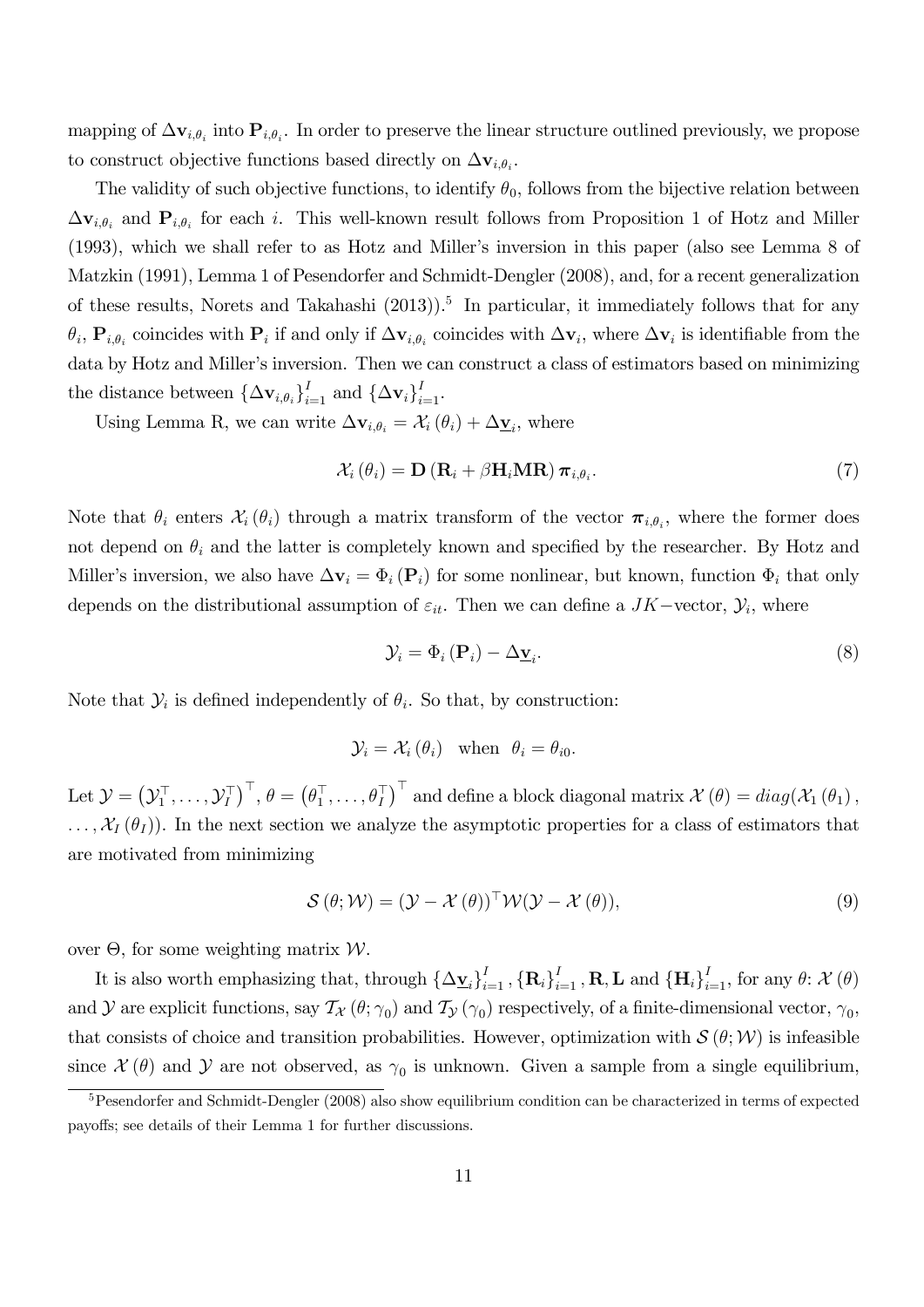mapping of  $\Delta\mathbf{v}_{i,\theta_i}$  into  $\mathbf{P}_{i,\theta_i}$ . In order to preserve the linear structure outlined previously, we propose to construct objective functions based directly on  $\Delta\mathbf{v}_{i,\theta_i}$ .

The validity of such objective functions, to identify  $\theta_0$ , follows from the bijective relation between  $\Delta \mathbf{v}_{i,\theta_i}$  and  $\mathbf{P}_{i,\theta_i}$  for each i. This well-known result follows from Proposition 1 of Hotz and Miller (1993), which we shall refer to as Hotz and Miller's inversion in this paper (also see Lemma 8 of Matzkin (1991), Lemma 1 of Pesendorfer and Schmidt-Dengler (2008), and, for a recent generalization of these results, Norets and Takahashi (2013)).<sup>5</sup> In particular, it immediately follows that for any  $\theta_i$ ,  $\mathbf{P}_{i,\theta_i}$  coincides with  $\mathbf{P}_i$  if and only if  $\Delta\mathbf{v}_{i,\theta_i}$  coincides with  $\Delta\mathbf{v}_i$ , where  $\Delta\mathbf{v}_i$  is identifiable from the data by Hotz and Miller's inversion. Then we can construct a class of estimators based on minimizing the distance between  $\{\Delta \mathbf{v}_{i,\theta_i}\}_{i=1}^I$  and  $\{\Delta \mathbf{v}_i\}_{i=1}^I$ .

Using Lemma R, we can write  $\Delta \mathbf{v}_{i,\theta_i} = \mathcal{X}_i (\theta_i) + \Delta \mathbf{y}_i$ , where

$$
\mathcal{X}_{i}(\theta_{i}) = \mathbf{D}(\mathbf{R}_{i} + \beta \mathbf{H}_{i} \mathbf{M} \mathbf{R}) \pi_{i, \theta_{i}}.
$$
\n(7)

Note that  $\theta_i$  enters  $\mathcal{X}_i(\theta_i)$  through a matrix transform of the vector  $\pi_{i,\theta_i}$ , where the former does not depend on  $\theta_i$  and the latter is completely known and specified by the researcher. By Hotz and Miller's inversion, we also have  $\Delta v_i = \Phi_i(P_i)$  for some nonlinear, but known, function  $\Phi_i$  that only depends on the distributional assumption of  $\varepsilon_{it}$ . Then we can define a  $JK-\text{vector}$ ,  $\mathcal{Y}_i$ , where

$$
\mathcal{Y}_i = \Phi_i(\mathbf{P}_i) - \Delta \underline{\mathbf{v}}_i. \tag{8}
$$

Note that  $\mathcal{Y}_i$  is defined independently of  $\theta_i$ . So that, by construction:

$$
\mathcal{Y}_i = \mathcal{X}_i(\theta_i) \quad \text{when} \quad \theta_i = \theta_{i0}.
$$

Let  $\mathcal{Y} = (\mathcal{Y}_1^\top, \ldots, \mathcal{Y}_I^\top)^\top, \theta = \left(\theta_1^\top, \ldots, \theta_I^\top\right)^\top$  and define a block diagonal matrix  $\mathcal{X}\left(\theta\right) = diag(\mathcal{X}_1\left(\theta_1\right),$  $\ldots, \mathcal{X}_I(\theta_I)$ . In the next section we analyze the asymptotic properties for a class of estimators that are motivated from minimizing

$$
S(\theta; \mathcal{W}) = (\mathcal{Y} - \mathcal{X}(\theta))^{\top} \mathcal{W}(\mathcal{Y} - \mathcal{X}(\theta)),
$$
\n(9)

over  $\Theta$ , for some weighting matrix  $\mathcal{W}$ .

It is also worth emphasizing that, through  $\{\Delta \underline{\mathbf{v}}_i\}_{i=1}^I$ ,  $\{\mathbf{R}_i\}_{i=1}^I$ , **R**, **L** and  $\{\mathbf{H}_i\}_{i=1}^I$ , for any  $\theta$ :  $\mathcal{X}(\theta)$ and  $\mathcal Y$  are explicit functions, say  $\mathcal T_{\mathcal X}(\theta;\gamma_0)$  and  $\mathcal T_{\mathcal Y}(\gamma_0)$  respectively, of a finite-dimensional vector,  $\gamma_0$ , that consists of choice and transition probabilities. However, optimization with  $\mathcal{S}(\theta;\mathcal{W})$  is infeasible since  $\mathcal{X}(\theta)$  and  $\mathcal{Y}$  are not observed, as  $\gamma_0$  is unknown. Given a sample from a single equilibrium,

<sup>5</sup>Pesendorfer and Schmidt-Dengler (2008) also show equilibrium condition can be characterized in terms of expected payoffs; see details of their Lemma 1 for further discussions.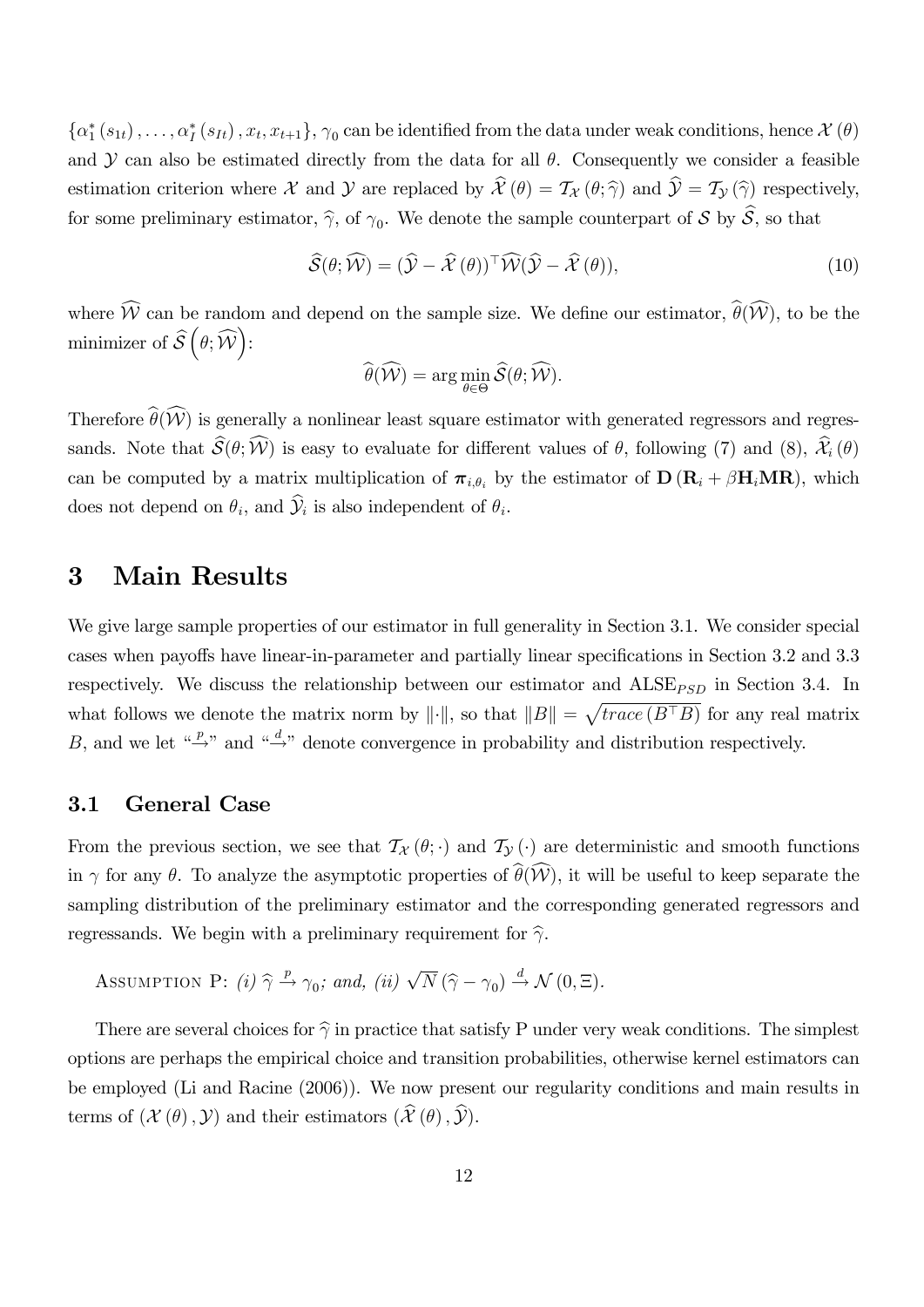$\{\alpha_1^*(s_{1t}),\ldots,\alpha_I^*(s_{It}),x_t,x_{t+1}\},\gamma_0$  can be identified from the data under weak conditions, hence  $\mathcal{X}(\theta)$ and  $\mathcal Y$  can also be estimated directly from the data for all  $\theta$ . Consequently we consider a feasible estimation criterion where X and Y are replaced by  $\hat{\mathcal{X}}(\theta) = \mathcal{T}_{\mathcal{X}}(\theta; \hat{\gamma})$  and  $\hat{\mathcal{Y}} = \mathcal{T}_{\mathcal{Y}}(\hat{\gamma})$  respectively, for some preliminary estimator,  $\hat{\gamma}$ , of  $\gamma_0$ . We denote the sample counterpart of S by S, so that

$$
\widehat{\mathcal{S}}(\theta; \widehat{\mathcal{W}}) = (\widehat{\mathcal{Y}} - \widehat{\mathcal{X}}(\theta))^{\top} \widehat{\mathcal{W}}(\widehat{\mathcal{Y}} - \widehat{\mathcal{X}}(\theta)),
$$
\n(10)

where  $\widehat{W}$  can be random and depend on the sample size. We define our estimator,  $\widehat{\theta}(\widehat{W})$ , to be the minimizer of  $\widehat{\mathcal{S}}\left(\theta;\widehat{\mathcal{W}}\right)$ :

$$
\widehat{\theta}(\widehat{\mathcal{W}}) = \arg\min_{\theta \in \Theta} \widehat{\mathcal{S}}(\theta; \widehat{\mathcal{W}}).
$$

Therefore  $\widehat{\theta}(\widehat{\mathcal{W}})$  is generally a nonlinear least square estimator with generated regressors and regressands. Note that  $\widehat{\mathcal{S}}(\theta; \widehat{\mathcal{W}})$  is easy to evaluate for different values of  $\theta$ , following (7) and (8),  $\widehat{\mathcal{X}}_i(\theta)$ can be computed by a matrix multiplication of  $\pi_{i,\theta_i}$  by the estimator of  $\mathbf{D}(\mathbf{R}_i + \beta \mathbf{H}_i \mathbf{MR})$ , which does not depend on  $\theta_i$ , and  $\mathcal{Y}_i$  is also independent of  $\theta_i$ .

## 3 Main Results

We give large sample properties of our estimator in full generality in Section 3.1. We consider special cases when payoffs have linear-in-parameter and partially linear specifications in Section 3.2 and 3.3 respectively. We discuss the relationship between our estimator and  $\text{ALSE}_{PSD}$  in Section 3.4. In what follows we denote the matrix norm by  $\|\cdot\|$ , so that  $\|B\| = \sqrt{trace(B^{\top}B)}$  for any real matrix B, and we let  $\stackrel{a}{\rightarrow}$ " and  $\stackrel{a}{\rightarrow}$ " denote convergence in probability and distribution respectively.

#### 3.1 General Case

From the previous section, we see that  $\mathcal{T}_{\mathcal{X}}(\theta; \cdot)$  and  $\mathcal{T}_{\mathcal{Y}}(\cdot)$  are deterministic and smooth functions in  $\gamma$  for any  $\theta$ . To analyze the asymptotic properties of  $\widehat{\theta}(\widehat{\mathcal{W}})$ , it will be useful to keep separate the sampling distribution of the preliminary estimator and the corresponding generated regressors and regressands. We begin with a preliminary requirement for  $\hat{\gamma}$ .

ASSUMPTION P: (i)  $\hat{\gamma} \stackrel{p}{\rightarrow} \gamma_0$ ; and, (ii)  $\sqrt{N} (\hat{\gamma} - \gamma_0) \stackrel{d}{\rightarrow} \mathcal{N} (0, \Xi)$ .

There are several choices for  $\hat{\gamma}$  in practice that satisfy P under very weak conditions. The simplest options are perhaps the empirical choice and transition probabilities, otherwise kernel estimators can be employed (Li and Racine (2006)). We now present our regularity conditions and main results in terms of  $(\mathcal{X}(\theta),\mathcal{Y})$  and their estimators  $(\widehat{\mathcal{X}}(\theta),\widehat{\mathcal{Y}})$ .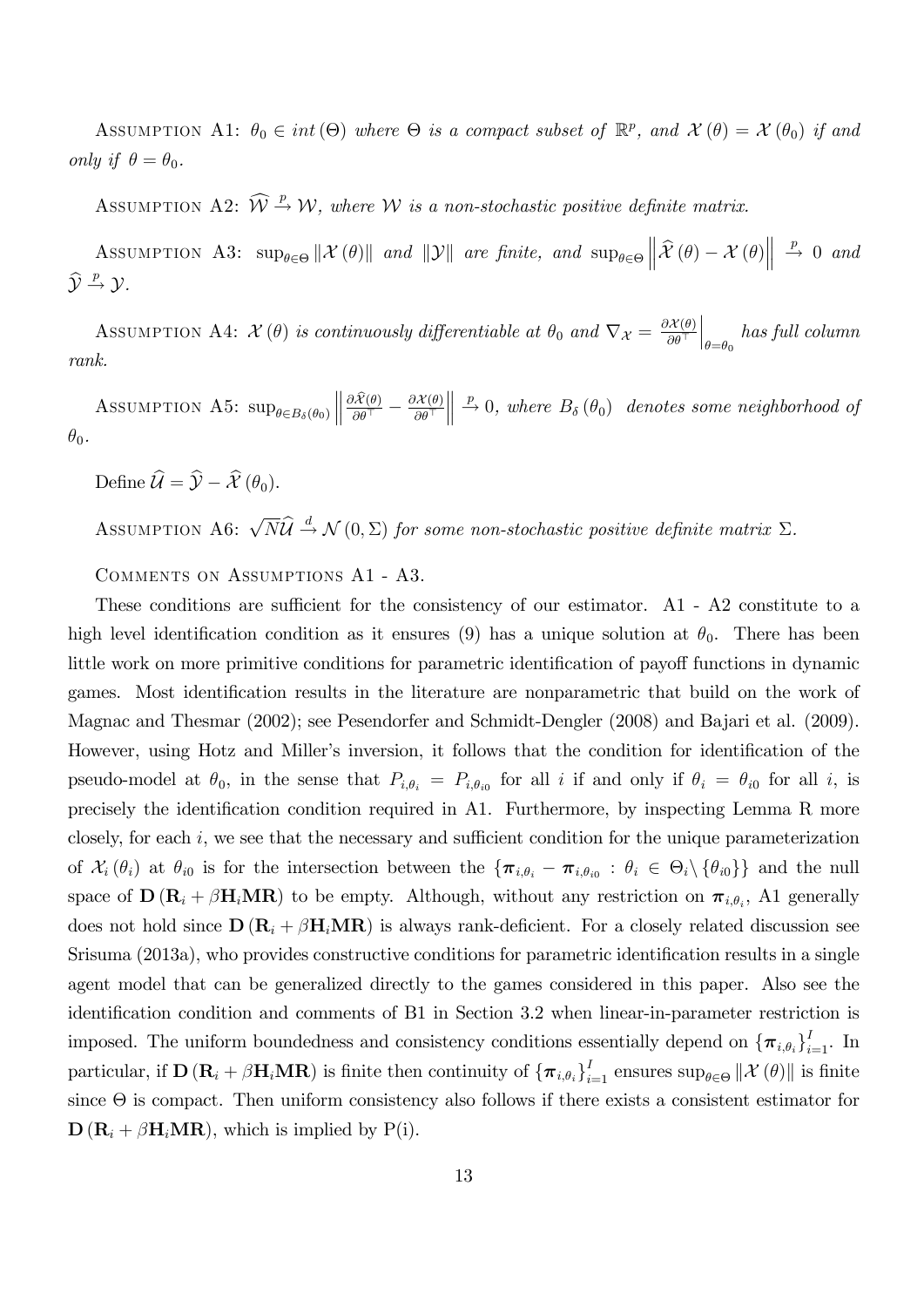ASSUMPTION A1:  $\theta_0 \in int(\Theta)$  where  $\Theta$  is a compact subset of  $\mathbb{R}^p$ , and  $\mathcal{X}(\theta) = \mathcal{X}(\theta_0)$  if and only if  $\theta = \theta_0$ .

ASSUMPTION A2:  $\widehat{W} \stackrel{p}{\rightarrow} W$ , where W is a non-stochastic positive definite matrix.

ASSUMPTION A3:  $\sup_{\theta \in \Theta} \|\mathcal{X}(\theta)\|$  and  $\|\mathcal{Y}\|$  are finite, and  $\sup_{\theta \in \Theta}$  $\left\| \mathcal{\widehat{X}}\left( \theta\right) -\mathcal{X}\left( \theta\right) \right\|$  $\stackrel{p}{\rightarrow} 0$  and  $\widehat{\mathcal{Y}} \stackrel{p}{\rightarrow} \mathcal{Y}$ .

ASSUMPTION A4:  $\mathcal{X}(\theta)$  is continuously differentiable at  $\theta_0$  and  $\nabla_{\mathcal{X}} = \frac{\partial \mathcal{X}(\theta)}{\partial \theta^\top}$  $\Big|_{\theta = \theta_0}$  has full column rank.

ASSUMPTION A5:  $\sup_{\theta \in B_{\delta}(\theta_0)}$  $\frac{\partial \mathcal{X}(\theta)}{\partial \theta^\top} - \frac{\partial \mathcal{X}(\theta)}{\partial \theta^\top}$   $\stackrel{p}{\rightarrow} 0$ , where  $B_{\delta}(\theta_0)$  denotes some neighborhood of  $\theta_0$ .

Define  $\widehat{\mathcal{U}} = \widehat{\mathcal{Y}} - \widehat{\mathcal{X}}(\theta_0)$ .

ASSUMPTION A6:  $\sqrt{N}\hat{\mathcal{U}} \stackrel{d}{\rightarrow} \mathcal{N}(0,\Sigma)$  for some non-stochastic positive definite matrix  $\Sigma$ .

Comments on Assumptions A1 - A3.

These conditions are sufficient for the consistency of our estimator. A  $-$  A  $2$  constitute to a high level identification condition as it ensures (9) has a unique solution at  $\theta_0$ . There has been little work on more primitive conditions for parametric identification of payoff functions in dynamic games. Most identification results in the literature are nonparametric that build on the work of Magnac and Thesmar (2002); see Pesendorfer and Schmidt-Dengler (2008) and Bajari et al. (2009). However, using Hotz and Miller's inversion, it follows that the condition for identification of the pseudo-model at  $\theta_0$ , in the sense that  $P_{i,\theta_i} = P_{i,\theta_{i0}}$  for all i if and only if  $\theta_i = \theta_{i0}$  for all i, is precisely the identification condition required in A1. Furthermore, by inspecting Lemma R more closely, for each  $i$ , we see that the necessary and sufficient condition for the unique parameterization of  $\mathcal{X}_i(\theta_i)$  at  $\theta_{i0}$  is for the intersection between the  $\{\pi_{i,\theta_i} - \pi_{i,\theta_{i0}} : \theta_i \in \Theta_i \setminus \{\theta_{i0}\}\}\$ and the null space of  $\mathbf{D}(\mathbf{R}_i + \beta \mathbf{H}_i \mathbf{M} \mathbf{R})$  to be empty. Although, without any restriction on  $\boldsymbol{\pi}_{i,\theta_i}$ , A1 generally does not hold since  $\mathbf{D}(\mathbf{R}_i + \beta \mathbf{H}_i \mathbf{M} \mathbf{R})$  is always rank-deficient. For a closely related discussion see Srisuma (2013a), who provides constructive conditions for parametric identification results in a single agent model that can be generalized directly to the games considered in this paper. Also see the identification condition and comments of B1 in Section 3.2 when linear-in-parameter restriction is imposed. The uniform boundedness and consistency conditions essentially depend on  ${\{\pi_{i,\theta_i}\}}_{i=1}^I$ . In particular, if  $\mathbf{D} (\mathbf{R}_i + \beta \mathbf{H}_i \mathbf{M} \mathbf{R})$  is finite then continuity of  ${\{\boldsymbol{\pi}_{i,\theta_i}\}}_{i=1}^I$  ensures  $\sup_{\theta \in \Theta} ||\mathcal{X}(\theta)||$  is finite  $\sin \theta$  is compact. Then uniform consistency also follows if there exists a consistent estimator for  $\mathbf{D}(\mathbf{R}_i + \beta \mathbf{H}_i \mathbf{M} \mathbf{R})$ , which is implied by P(i).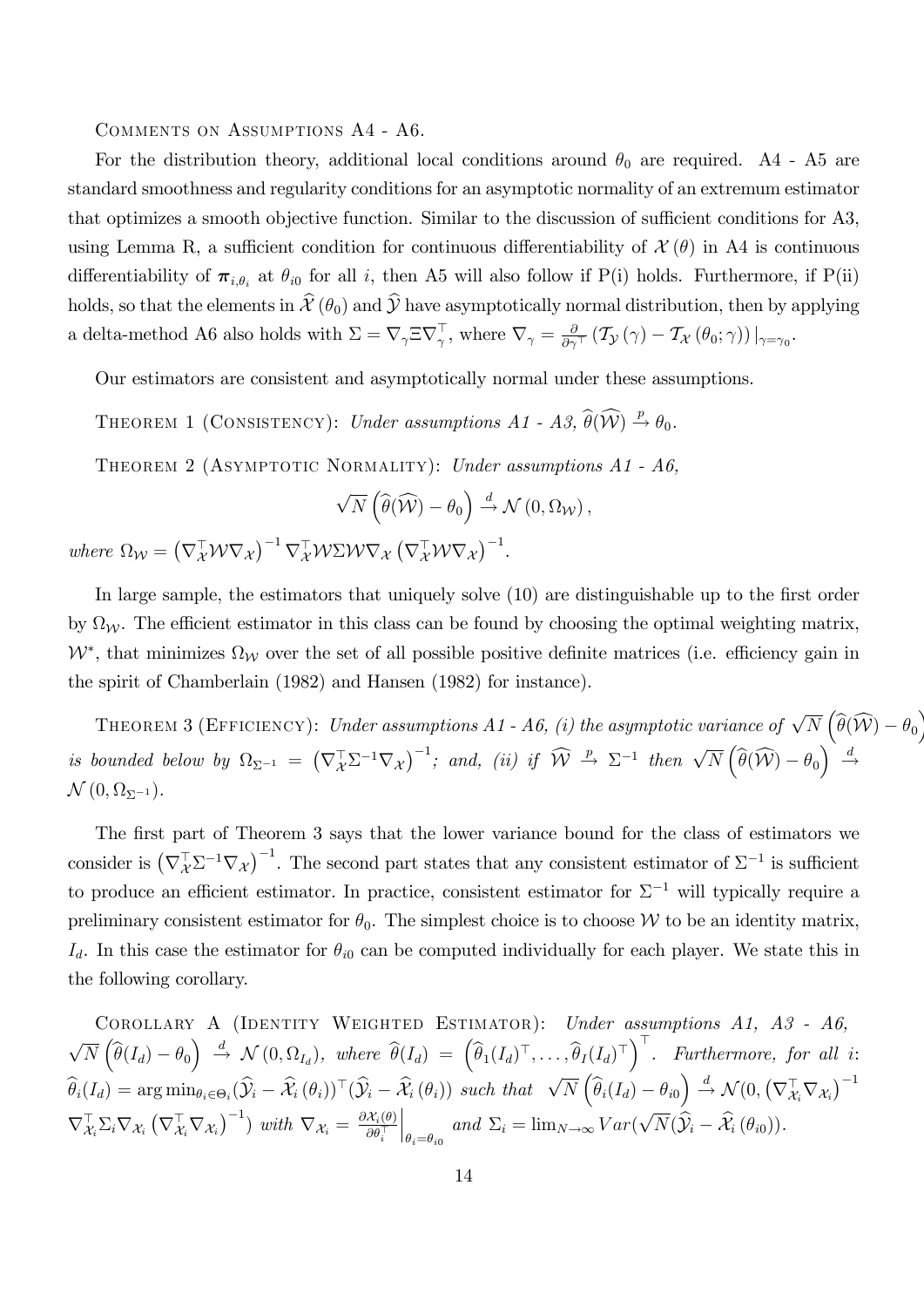Comments on Assumptions A4 - A6.

For the distribution theory, additional local conditions around  $\theta_0$  are required. A4 - A5 are standard smoothness and regularity conditions for an asymptotic normality of an extremum estimator that optimizes a smooth objective function. Similar to the discussion of sufficient conditions for A3, using Lemma R, a sufficient condition for continuous differentiability of  $\mathcal{X}(\theta)$  in A4 is continuous differentiability of  $\pi_{i,\theta_i}$  at  $\theta_{i0}$  for all i, then A5 will also follow if P(i) holds. Furthermore, if P(ii) holds, so that the elements in  $\hat{\mathcal{X}}(\theta_0)$  and  $\hat{\mathcal{Y}}$  have asymptotically normal distribution, then by applying a delta-method A6 also holds with  $\Sigma = \nabla_{\gamma} \Xi \nabla_{\gamma}^{\top}$ , where  $\nabla_{\gamma} = \frac{\partial}{\partial \gamma^{\top}} (\mathcal{T}_{\mathcal{Y}}(\gamma) - \mathcal{T}_{\mathcal{X}}(\theta_0; \gamma))|_{\gamma = \gamma_0}$ .

Our estimators are consistent and asymptotically normal under these assumptions.

THEOREM 1 (CONSISTENCY): Under assumptions  $A1$  -  $A3$ ,  $\widehat{\theta}(\widehat{\mathcal{W}}) \stackrel{p}{\rightarrow} \theta_0$ . THEOREM 2 (ASYMPTOTIC NORMALITY): Under assumptions A1 - A6.

$$
\sqrt{N}\left(\widehat{\theta}(\widehat{\mathcal{W}})-\theta_0\right) \stackrel{d}{\rightarrow} \mathcal{N}\left(0,\Omega_{\mathcal{W}}\right),\,
$$

where  $\Omega_W = (\nabla_X^{\top} W \nabla_X)^{-1} \nabla_X^{\top} W \Sigma W \nabla_X (\nabla_X^{\top} W \nabla_X)^{-1}.$ 

In large sample, the estimators that uniquely solve (10) are distinguishable up to the first order by  $\Omega_{\mathcal{W}}$ . The efficient estimator in this class can be found by choosing the optimal weighting matrix,  $W^*$ , that minimizes  $\Omega_W$  over the set of all possible positive definite matrices (i.e. efficiency gain in the spirit of Chamberlain (1982) and Hansen (1982) for instance).

THEOREM 3 (EFFICIENCY): Under assumptions A1 - A6, (i) the asymptotic variance of  $\sqrt{N}\left(\widehat{\theta}(\widehat{\mathcal{W}})-\theta_0\right)$ is bounded below by  $\Omega_{\Sigma^{-1}} = (\nabla^{\top}_X \Sigma^{-1} \nabla_X)^{-1}$ ; and, (ii) if  $\widehat{W} \stackrel{p}{\to} \Sigma^{-1}$  then  $\sqrt{N} (\widehat{\theta}(\widehat{W}) - \theta_0)^{\top} \stackrel{d}{\to}$  $\mathcal{N}\left(0,\Omega_{\Sigma^{-1}}\right)$ .

The first part of Theorem 3 says that the lower variance bound for the class of estimators we consider is  $(\nabla^{\top}_X \Sigma^{-1} \nabla_X)^{-1}$ . The second part states that any consistent estimator of  $\Sigma^{-1}$  is sufficient to produce an efficient estimator. In practice, consistent estimator for  $\Sigma^{-1}$  will typically require a preliminary consistent estimator for  $\theta_0$ . The simplest choice is to choose W to be an identity matrix,  $I_d$ . In this case the estimator for  $\theta_{i0}$  can be computed individually for each player. We state this in the following corollary.

COROLLARY A (IDENTITY WEIGHTED ESTIMATOR): Under assumptions  $A1$ ,  $A3$  -  $A6$ ,  $\sqrt{N}\left(\widehat{\theta}(I_d) - \theta_0\right) \stackrel{d}{\rightarrow} \mathcal{N}(0, \Omega_{I_d}),$  where  $\widehat{\theta}(I_d) = \left(\widehat{\theta}_1(I_d)^{\top}, \ldots, \widehat{\theta}_I(I_d)^{\top}\right)^{\top}$ . Furthermore, for all i:  $\widehat{\theta}_i(I_d) = \arg\min_{\theta_i \in \Theta_i} (\widehat{\mathcal{Y}}_i - \widehat{\mathcal{X}}_i(\theta_i))^{\top} (\widehat{\mathcal{Y}}_i - \widehat{\mathcal{X}}_i(\theta_i)) \text{ such that } \sqrt{N} \left( \widehat{\theta}_i(I_d) - \theta_{i0} \right) \overset{d}{\rightarrow} \mathcal{N}(0, \left( \nabla^{\top}_{\mathcal{X}_i} \nabla_{\mathcal{X}_i} \right)^{-1}$  $\nabla_{\mathcal{X}_i}^{\top} \Sigma_i \nabla_{\mathcal{X}_i} \left( \nabla_{\mathcal{X}_i}^{\top} \nabla_{\mathcal{X}_i} \right)^{-1}$  with  $\nabla_{\mathcal{X}_i} = \frac{\partial \mathcal{X}_i(\theta)}{\partial \theta_i^{\top}}$  $\Big|_{\theta_i=\theta_{i0}}$  and  $\Sigma_i = \lim_{N\to\infty} Var(\sqrt{N}(\hat{\mathcal{Y}}_i - \hat{\mathcal{X}}_i(\theta_{i0})).$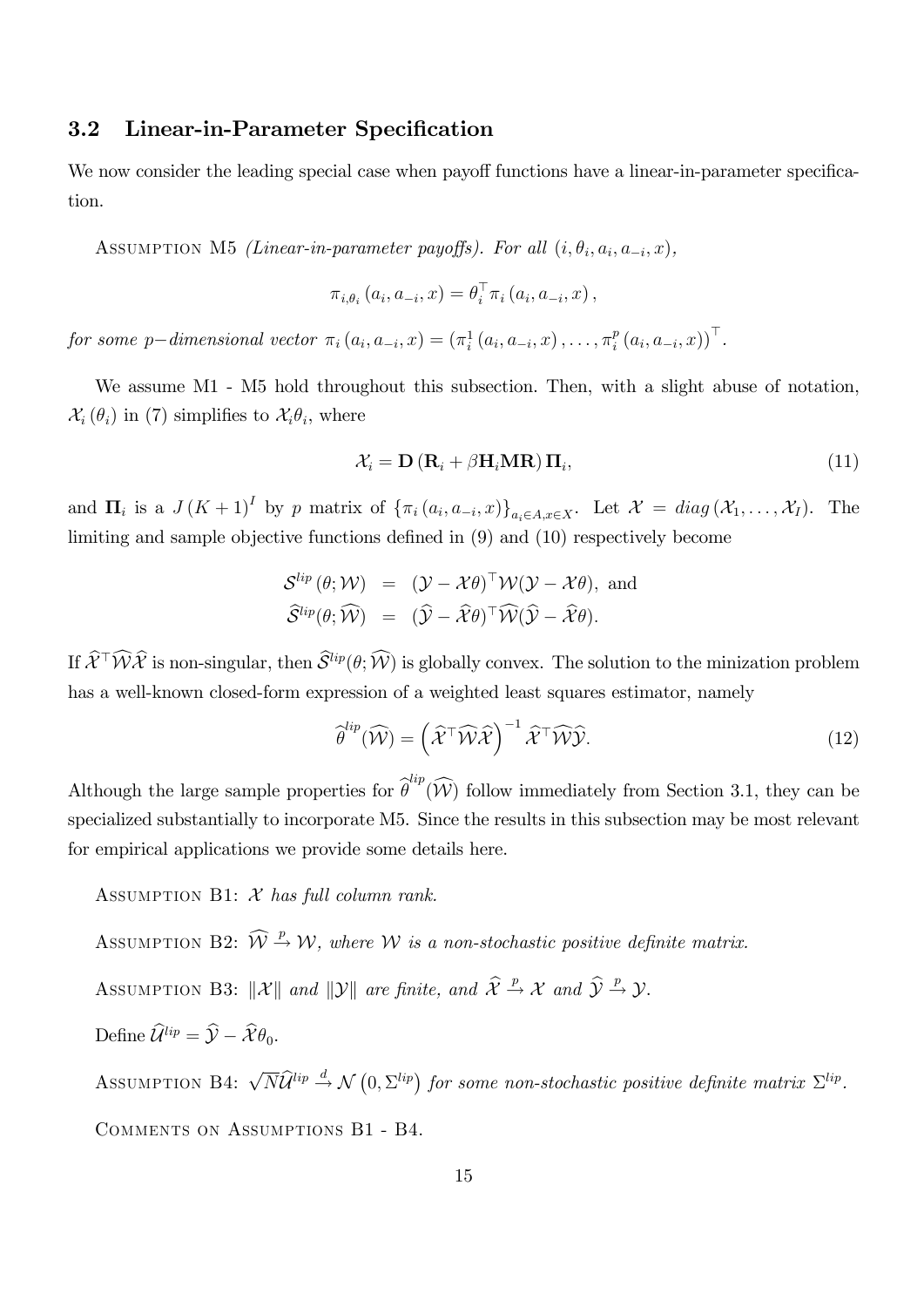## 3.2 Linear-in-Parameter Specification

We now consider the leading special case when payoff functions have a linear-in-parameter specification.

ASSUMPTION M5 *(Linear-in-parameter payoffs). For all*  $(i, \theta_i, a_i, a_{-i}, x)$ ,

$$
\pi_{i,\theta_i}\left(a_i,a_{-i},x\right)=\theta_i^{\top}\pi_i\left(a_i,a_{-i},x\right),
$$

for some p-dimensional vector  $\pi_i(a_i, a_{-i}, x) = (\pi_i^1(a_i, a_{-i}, x), \dots, \pi_i^p)$  $_{i}^{p}(a_{i},a_{-i},x))$ <sup>'</sup>.

We assume M1 - M5 hold throughout this subsection. Then, with a slight abuse of notation,  $\mathcal{X}_i(\theta_i)$  in (7) simplifies to  $\mathcal{X}_i\theta_i$ , where

$$
\mathcal{X}_i = \mathbf{D} \left( \mathbf{R}_i + \beta \mathbf{H}_i \mathbf{M} \mathbf{R} \right) \mathbf{\Pi}_i, \tag{11}
$$

and  $\Pi_i$  is a  $J(K+1)^I$  by p matrix of  $\{\pi_i(a_i, a_{-i}, x)\}_{a_i \in A, x \in X}$ . Let  $\mathcal{X} = diag(\mathcal{X}_1, \ldots, \mathcal{X}_I)$ . The limiting and sample objective functions defined in  $(9)$  and  $(10)$  respectively become

$$
\mathcal{S}^{lip}(\theta; \mathcal{W}) = (\mathcal{Y} - \mathcal{X}\theta)^{\top} \mathcal{W}(\mathcal{Y} - \mathcal{X}\theta), \text{ and}
$$
  

$$
\widehat{\mathcal{S}}^{lip}(\theta; \widehat{\mathcal{W}}) = (\widehat{\mathcal{Y}} - \widehat{\mathcal{X}}\theta)^{\top} \widehat{\mathcal{W}}(\widehat{\mathcal{Y}} - \widehat{\mathcal{X}}\theta).
$$

If  $\widehat{\mathcal{X}}^{\dagger}\widehat{\mathcal{W}}\widehat{\mathcal{X}}$  is non-singular, then  $\widehat{\mathcal{S}}^{lip}(\theta;\widehat{\mathcal{W}})$  is globally convex. The solution to the minization problem has a well-known closed-form expression of a weighted least squares estimator, namely

$$
\widehat{\theta}^{lip}(\widehat{\mathcal{W}}) = \left(\widehat{\mathcal{X}}^{\top}\widehat{\mathcal{W}}\widehat{\mathcal{X}}\right)^{-1}\widehat{\mathcal{X}}^{\top}\widehat{\mathcal{W}}\widehat{\mathcal{Y}}.\tag{12}
$$

Although the large sample properties for  $\hat{\theta}^{lip}(\widehat{W})$  follow immediately from Section 3.1, they can be specialized substantially to incorporate M5. Since the results in this subsection may be most relevant for empirical applications we provide some details here.

ASSUMPTION B1:  $X$  has full column rank.

ASSUMPTION B2:  $\widehat{W} \stackrel{p}{\rightarrow} \mathcal{W}$ , where W is a non-stochastic positive definite matrix.

ASSUMPTION B3:  $\|\mathcal{X}\|$  and  $\|\mathcal{Y}\|$  are finite, and  $\widehat{\mathcal{X}} \stackrel{p}{\to} \mathcal{X}$  and  $\widehat{\mathcal{Y}} \stackrel{p}{\to} \mathcal{Y}$ .

Define  $\widehat{\mathcal{U}}^{lip} = \widehat{\mathcal{V}} - \widehat{\mathcal{X}} \theta_0$ .

ASSUMPTION B4:  $\sqrt{N} \hat{\mathcal{U}}^{lip} \stackrel{d}{\rightarrow} \mathcal{N} (0, \Sigma^{lip})$  for some non-stochastic positive definite matrix  $\Sigma^{lip}$ . Comments on Assumptions B1 - B4.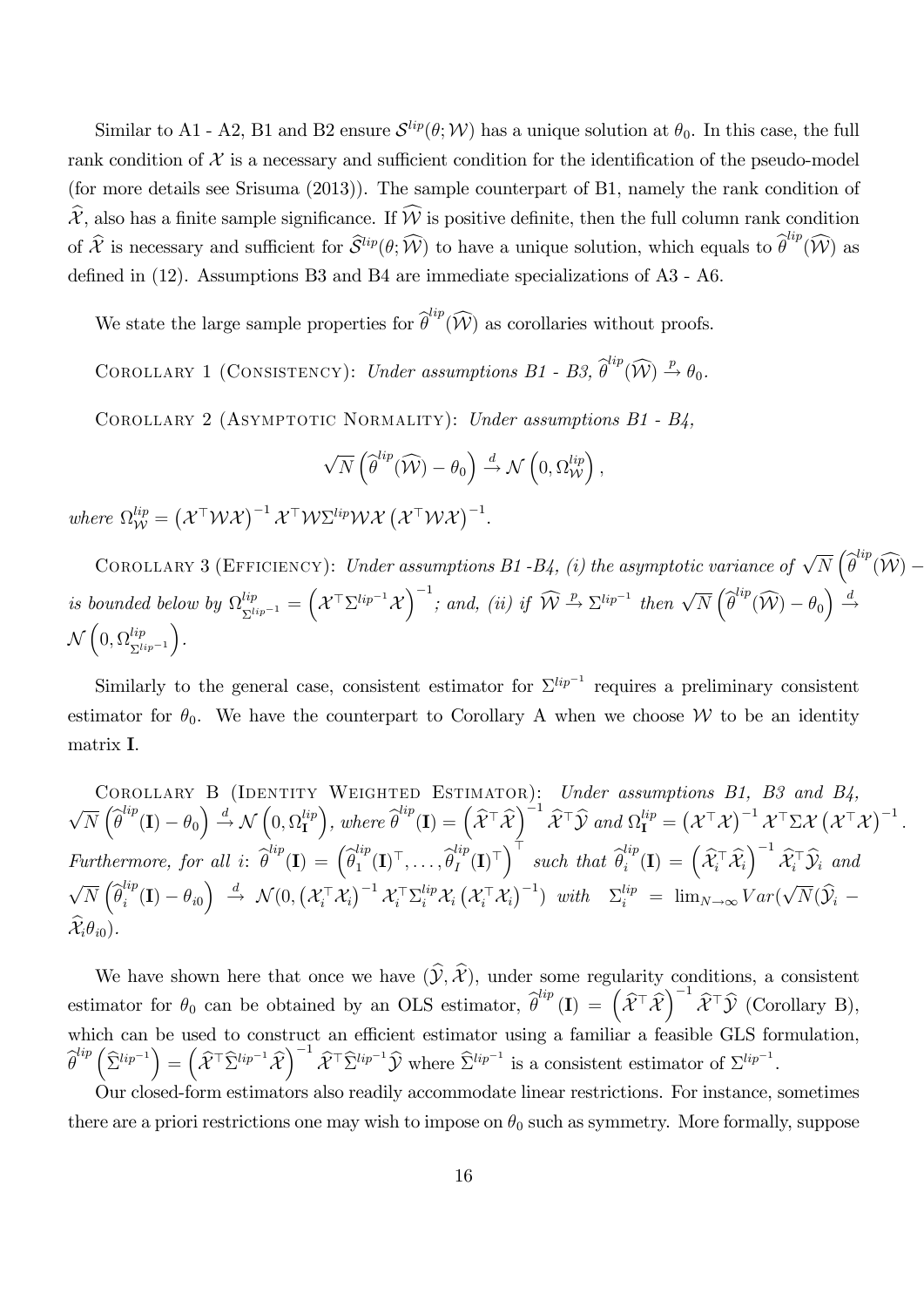Similar to A1 - A2, B1 and B2 ensure  $\mathcal{S}^{lip}(\theta; \mathcal{W})$  has a unique solution at  $\theta_0$ . In this case, the full rank condition of  $\mathcal X$  is a necessary and sufficient condition for the identification of the pseudo-model (for more details see Srisuma (2013)). The sample counterpart of B1, namely the rank condition of  $\hat{\mathcal{X}}$ , also has a finite sample significance. If  $\widehat{\mathcal{W}}$  is positive definite, then the full column rank condition of  $\hat{\mathcal{X}}$  is necessary and sufficient for  $\hat{\mathcal{S}}^{lip}(\theta; \widehat{\mathcal{W}})$  to have a unique solution, which equals to  $\widehat{\theta}^{lip}(\widehat{\mathcal{W}})$  as defined in  $(12)$ . Assumptions B3 and B4 are immediate specializations of A3 - A6.

We state the large sample properties for  $\widehat{\theta}^{ip}(\widehat{\mathcal{W}})$  as corollaries without proofs.

COROLLARY 1 (CONSISTENCY): Under assumptions B1 - B3,  $\widehat{\theta}^{lip}(\widehat{\mathcal{W}}) \stackrel{p}{\rightarrow} \theta_0$ .

COROLLARY 2 (ASYMPTOTIC NORMALITY): Under assumptions B1 - B4,

$$
\sqrt{N}\left(\widehat{\boldsymbol{\theta}}^{lip}(\widehat{\mathcal{W}})-\theta_0\right) \stackrel{d}{\rightarrow} \mathcal{N}\left(0,\Omega_{\mathcal{W}}^{lip}\right),
$$

where  $\Omega_{\mathcal{W}}^{lip} = (\mathcal{X}^{\top} \mathcal{W} \mathcal{X})^{-1} \mathcal{X}^{\top} \mathcal{W} \Sigma^{lip} \mathcal{W} \mathcal{X} (\mathcal{X}^{\top} \mathcal{W} \mathcal{X})^{-1}.$ 

COROLLARY 3 (EFFICIENCY): Under assumptions B1-B4, (i) the asymptotic variance of  $\sqrt{N}\left(\widehat{\boldsymbol{\theta}}^{lip}(\widehat{\mathcal{W}})\right.$ is bounded below by  $\Omega_{\Sigma^{lip-1}}^{lip}=\Big($  $\mathcal{X}^\top \Sigma^{lip^{-1}} \mathcal{X}$  $\int^{-1}$ ; and, (ii) if  $\widehat{W} \stackrel{p}{\rightarrow} \Sigma^{lip^{-1}}$  then  $\sqrt{N} \left( \widehat{\theta}^{lip}(\widehat{W}) - \theta_0 \right) \stackrel{d}{\rightarrow}$  $\sqrt{2}$  $\left(0, \Omega_{\Sigma_k}^{lip}\right)$  $\Sigma^{lip-1}$ .

Similarly to the general case, consistent estimator for  $\Sigma^{lip^{-1}}$  requires a preliminary consistent estimator for  $\theta_0$ . We have the counterpart to Corollary A when we choose W to be an identity matrix I.

COROLLARY B (IDENTITY WEIGHTED ESTIMATOR): Under assumptions B1, B3 and B4,  $\sqrt{N}\left(\widehat{\boldsymbol \theta}^{lip}({\bf I}) - \theta_0\right) \stackrel{d}{\to} \mathcal{N}\left(0,\Omega^{lip}_{{\bf I}}\right)$ I  $\Big),\ where\ \widehat{\boldsymbol{\theta}}^{lip}(\mathbf{I})=\Big(\widehat{\mathcal{X}}^\top\widehat{\mathcal{X}}$  $\int^{-1}\widehat{\mathcal{X}}^\top \widehat{\mathcal{Y}} \ and \ \Omega_{\mathbf{I}}^{lip} = \left(\mathcal{X}^\top \mathcal{X}\right)^{-1} \mathcal{X}^\top \Sigma \mathcal{X} \left(\mathcal{X}^\top \mathcal{X}\right)^{-1}.$ Furthermore, for all i:  $\widehat{\theta}^{lip}(\mathbf{I}) = \left(\widehat{\theta}_1^{lip}\right)$  $i_1^{lip}({\bf I})^\top,\ldots,\widehat{\theta}_I^{lip}$  $\left(\begin{matrix} \mathbf{I} \end{matrix}\right)^{\top} \left\{\begin{matrix} \mathbf{I} \end{matrix}\right\} \text{ such that } \widehat{\theta}^{lip}_i$  $\begin{equation} \begin{aligned} \mathop{\rm{dip}}_i(\mathbf{I}) \ = \ \begin{pmatrix} \widehat{\mathcal{X}}_i^\top \widehat{\mathcal{X}}_i \end{pmatrix} \end{equation} \end{equation}$  $\setminus^{-1}$  $\mathcal{X}_i^{\perp} \mathcal{Y}_i$  and  $\sqrt{N}\left(\widehat{\boldsymbol{\theta}}_{i}^{lip}\right)$  $\begin{array}{rcl} \mathcal{L}^{lip}(\mathbf{I})-\theta_{i0} \end{array} \Big\vert \hspace{0.25cm} \overset{d}{\rightarrow} \hspace{0.25cm} \mathcal{N}(0, \big( \mathcal{X}_i^\top \mathcal{X}_i \big)^{-1} \mathcal{X}_i^\top \Sigma_i^{lip} \mathcal{X}_i \, \big( \mathcal{X}_i^\top \mathcal{X}_i \big)^{-1} ) \hspace{0.25cm} with \hspace{0.25cm} \Sigma_i^{lip} \hspace{0.25cm} = \hspace{0.25cm} \lim_{N\rightarrow \infty} Var(\sqrt{N}(\widehat{\mathcal$  $\widehat{\mathcal{X}}_i \theta_{i0}$ ).

We have shown here that once we have  $(\widehat{\mathcal{Y}}, \widehat{\mathcal{X}})$ , under some regularity conditions, a consistent estimator for  $\theta_0$  can be obtained by an OLS estimator,  $\hat{\theta}^{lip}(\mathbf{I}) = (\hat{\mathcal{X}}^{\top}\hat{\mathcal{X}})$  $\int$ <sup>-1</sup> $\widehat{\mathcal{X}}^{\top} \widehat{\mathcal{Y}}$  (Corollary B), which can be used to construct an efficient estimator using a familiar a feasible GLS formulation,  ${\widehat{\theta}}^{lip}\left({\widehat{\Sigma}}^{lip^{-1}}\right) = \left({\widehat{\mathcal X}}^\top{\widehat{\Sigma}}^{lip^{-1}}{\widehat{\mathcal X}}\right)$  $\int^{-1} \widehat{\mathcal{X}}^{\top} \widehat{\Sigma}^{lip^{-1}} \widehat{\mathcal{Y}}$  where  $\widehat{\Sigma}^{lip^{-1}}$  is a consistent estimator of  $\Sigma^{lip^{-1}}$ .

Our closed-form estimators also readily accommodate linear restrictions. For instance, sometimes there are a priori restrictions one may wish to impose on  $\theta_0$  such as symmetry. More formally, suppose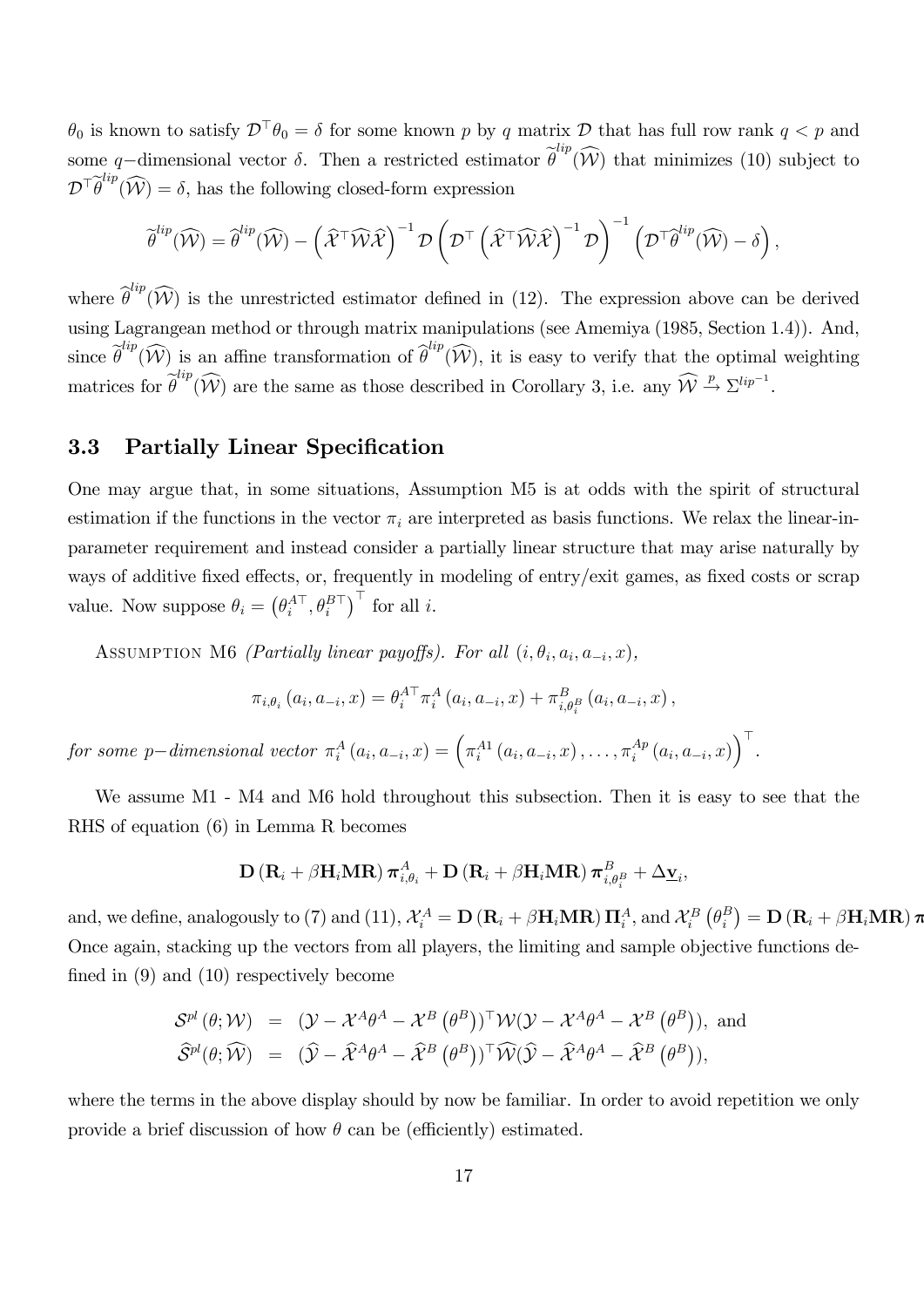$\theta_0$  is known to satisfy  $\mathcal{D}^\top \theta_0 = \delta$  for some known p by q matrix  $\mathcal{D}$  that has full row rank  $q < p$  and some q-dimensional vector  $\delta$ . Then a restricted estimator  $\tilde{\theta}^{lip}(\widehat{W})$  that minimizes (10) subject to  $\mathcal{D}^{\top} \widehat{\theta}^{lip}(\widehat{\mathcal{W}}) = \delta$ , has the following closed-form expression

$$
\widetilde{\boldsymbol{\theta}}^{lip}(\widehat{\mathcal{W}}) = \widehat{\boldsymbol{\theta}}^{lip}(\widehat{\mathcal{W}}) - \left(\widehat{\mathcal{X}}^{\top}\widehat{\mathcal{W}}\widehat{\mathcal{X}}\right)^{-1} \mathcal{D} \left(\mathcal{D}^{\top} \left(\widehat{\mathcal{X}}^{\top}\widehat{\mathcal{W}}\widehat{\mathcal{X}}\right)^{-1} \mathcal{D}\right)^{-1} \left(\mathcal{D}^{\top} \widehat{\boldsymbol{\theta}}^{lip}(\widehat{\mathcal{W}}) - \delta\right),
$$

where  $\hat{\theta}^{lip}(\widehat{W})$  is the unrestricted estimator defined in (12). The expression above can be derived using Lagrangean method or through matrix manipulations (see Amemiya (1985, Section 1.4)). And, since  $\tilde{\theta}^{lip}(\widehat{W})$  is an affine transformation of  $\tilde{\theta}^{lip}(\widehat{W})$ , it is easy to verify that the optimal weighting matrices for  $\widehat{\theta}^{lip}(\widehat{\mathcal{W}})$  are the same as those described in Corollary 3, i.e. any  $\widehat{\mathcal{W}} \stackrel{p}{\rightarrow} \Sigma^{lip^{-1}}$ .

### 3.3 Partially Linear Specification

One may argue that, in some situations, Assumption M5 is at odds with the spirit of structural estimation if the functions in the vector  $\pi_i$  are interpreted as basis functions. We relax the linear-inparameter requirement and instead consider a partially linear structure that may arise naturally by ways of additive fixed effects, or, frequently in modeling of entry/exit games, as fixed costs or scrap value. Now suppose  $\theta_i = \left(\theta_i^{A\top}, \theta_i^{B\top}\right)^\top$  for all i.

ASSUMPTION M6 *(Partially linear payoffs)*. For all  $(i, \theta_i, a_i, a_{-i}, x)$ ,

$$
\pi_{i,\theta_i} (a_i, a_{-i}, x) = \theta_i^{A \top} \pi_i^A (a_i, a_{-i}, x) + \pi_{i,\theta_i^B}^B (a_i, a_{-i}, x),
$$

for some p-dimensional vector  $\pi_i^A(a_i, a_{-i}, x) = \left(\pi_i^{A1}(a_i, a_{-i}, x), \ldots, \pi_i^{A p}\right)$  $\int\limits_{i}^{Ap}\left( a_{i},a_{-i},x\right) \bigg) ^{\top}.$ 

We assume M1 - M4 and M6 hold throughout this subsection. Then it is easy to see that the RHS of equation (6) in Lemma R becomes

$$
\mathbf{D} \left( \mathbf{R}_i + \beta \mathbf{H}_i \mathbf{M} \mathbf{R} \right) \boldsymbol{\pi}_{i,\theta_i}^A + \mathbf{D} \left( \mathbf{R}_i + \beta \mathbf{H}_i \mathbf{M} \mathbf{R} \right) \boldsymbol{\pi}_{i,\theta_i}^B + \Delta \mathbf{\underline{v}}_i,
$$

and, we define, analogously to (7) and (11),  $\mathcal{X}_i^A = \mathbf{D} (\mathbf{R}_i + \beta \mathbf{H}_i \mathbf{M} \mathbf{R}) \mathbf{\Pi}_i^A$ , and  $\mathcal{X}_i^B (\theta_i^B)$  $\binom{B}{i} = \mathbf{D}\left(\mathbf{R}_{i} + \beta\mathbf{H}_{i}\mathbf{M}\mathbf{R}\right)\boldsymbol{\pi}$ Once again, stacking up the vectors from all players, the limiting and sample objective functions defined in  $(9)$  and  $(10)$  respectively become

$$
\begin{array}{rcl}\mathcal{S}^{pl} \left( \theta ; \mathcal{W} \right) & = & (\mathcal{Y} - \mathcal{X}^A \theta^A - \mathcal{X}^B \left( \theta^B \right))^\top \mathcal{W} (\mathcal{Y} - \mathcal{X}^A \theta^A - \mathcal{X}^B \left( \theta^B \right)), \text{ and} \\
\widehat{\mathcal{S}}^{pl}(\theta; \widehat{\mathcal{W}}) & = & (\widehat{\mathcal{Y}} - \widehat{\mathcal{X}}^A \theta^A - \widehat{\mathcal{X}}^B \left( \theta^B \right))^\top \widehat{\mathcal{W}} (\widehat{\mathcal{Y}} - \widehat{\mathcal{X}}^A \theta^A - \widehat{\mathcal{X}}^B \left( \theta^B \right)),\n\end{array}
$$

where the terms in the above display should by now be familiar. In order to avoid repetition we only provide a brief discussion of how  $\theta$  can be (efficiently) estimated.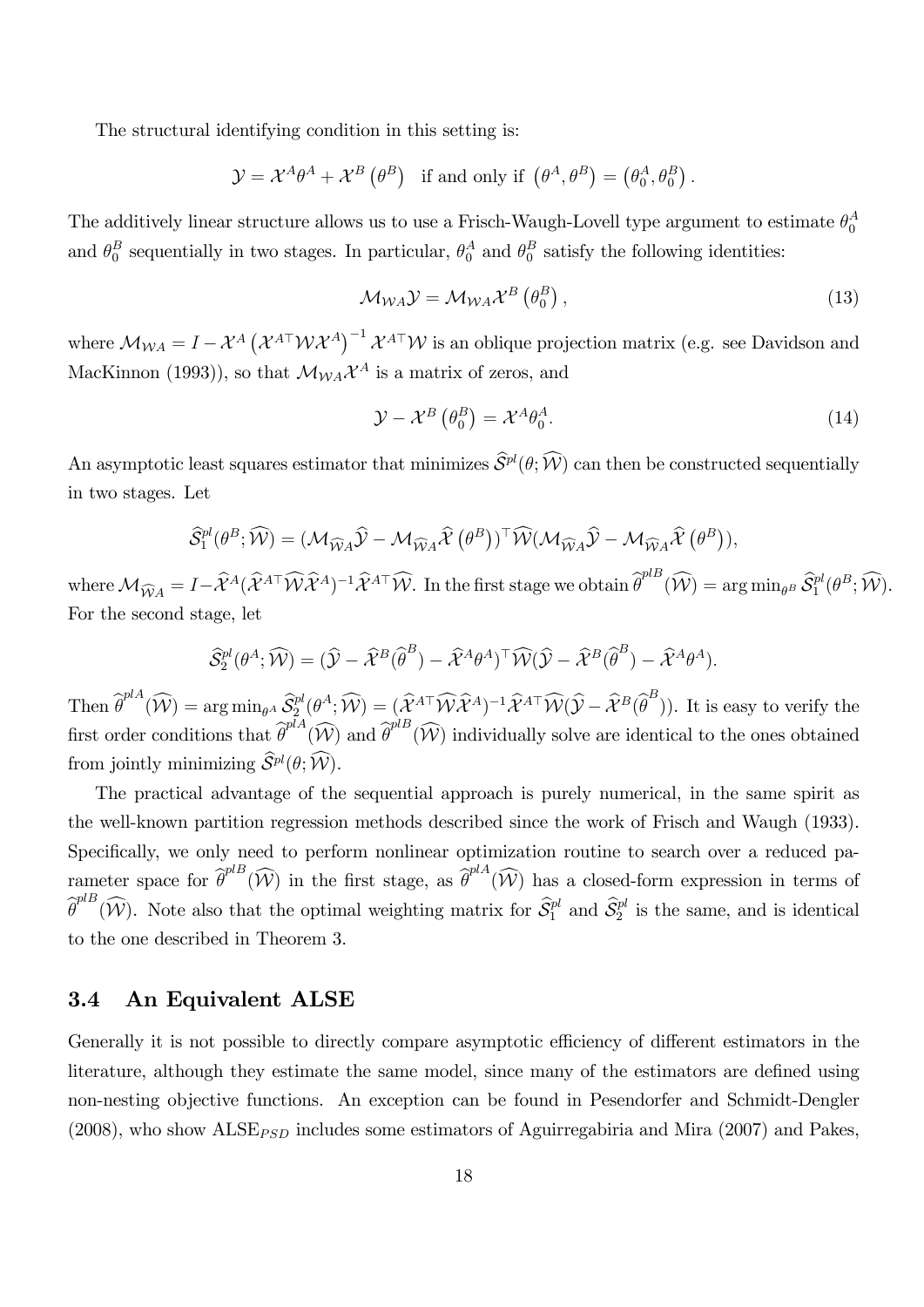The structural identifying condition in this setting is:

$$
\mathcal{Y} = \mathcal{X}^A \theta^A + \mathcal{X}^B (\theta^B) \text{ if and only if } (\theta^A, \theta^B) = (\theta_0^A, \theta_0^B).
$$

The additively linear structure allows us to use a Frisch-Waugh-Lovell type argument to estimate  $\theta_0^A$  $\mathbf 0$ and  $\theta_0^B$  $_0^B$  sequentially in two stages. In particular,  $\theta_0^A$  and  $\theta_0^B$  $\frac{B}{0}$  satisfy the following identities:

$$
\mathcal{M}_{WA} \mathcal{Y} = \mathcal{M}_{WA} \mathcal{X}^B \left( \theta_0^B \right), \tag{13}
$$

where  $M_{WA} = I - \mathcal{X}^{A} (\mathcal{X}^{A\top} \mathcal{W} \mathcal{X}^{A})^{-1} \mathcal{X}^{A\top} \mathcal{W}$  is an oblique projection matrix (e.g. see Davidson and MacKinnon (1993)), so that  $\mathcal{M}_{WA} \mathcal{X}^A$  is a matrix of zeros, and

$$
\mathcal{Y} - \mathcal{X}^B \left( \theta_0^B \right) = \mathcal{X}^A \theta_0^A. \tag{14}
$$

An asymptotic least squares estimator that minimizes  $\hat{S}^{pl}(\theta; \hat{W})$  can then be constructed sequentially in two stages. Let

$$
\widehat{\mathcal{S}}_1^{pl}(\theta^B; \widehat{\mathcal{W}}) = (\mathcal{M}_{\widehat{\mathcal{W}}A}\widehat{\mathcal{Y}} - \mathcal{M}_{\widehat{\mathcal{W}}A}\widehat{\mathcal{X}}(\theta^B))^{\top} \widehat{\mathcal{W}}(\mathcal{M}_{\widehat{\mathcal{W}}A}\widehat{\mathcal{Y}} - \mathcal{M}_{\widehat{\mathcal{W}}A}\widehat{\mathcal{X}}(\theta^B)),
$$

where  $\mathcal{M}_{\widehat{W}A} = I - \widehat{\mathcal{X}}^{A}(\widehat{\mathcal{X}}^{A\top}\widehat{\mathcal{W}}\widehat{\mathcal{X}}^{A})^{-1}\widehat{\mathcal{X}}^{A\top}\widehat{\mathcal{W}}.$  In the first stage we obtain  $\widehat{\theta}^{plB}(\widehat{\mathcal{W}}) = \arg\min_{\theta^{B}} \widehat{\mathcal{S}}_{1}^{pl}(\theta^{B}; \widehat{\mathcal{W}}).$ For the second stage, let

$$
\widehat{\mathcal{S}}_2^{pl}(\theta^A; \widehat{\mathcal{W}}) = (\widehat{\mathcal{Y}} - \widehat{\mathcal{X}}^B(\widehat{\theta}^B) - \widehat{\mathcal{X}}^A \theta^A)^{\top} \widehat{\mathcal{W}} (\widehat{\mathcal{Y}} - \widehat{\mathcal{X}}^B(\widehat{\theta}^B) - \widehat{\mathcal{X}}^A \theta^A).
$$

Then  $\widehat{\theta}^{p|A}(\widehat{\mathcal{W}}) = \arg \min_{\theta^A} \widehat{\mathcal{S}}_2^{pl}(\theta^A; \widehat{\mathcal{W}}) = (\widehat{\mathcal{X}}^{A\top} \widehat{\mathcal{W}} \widehat{\mathcal{X}}^{A})^{-1} \widehat{\mathcal{X}}^{A\top} \widehat{\mathcal{W}} (\widehat{\mathcal{Y}} - \widehat{\mathcal{X}}^B (\widehat{\theta}^B)).$  It is easy to verify the first order conditions that  $\widehat{\theta}^{plA}(\widehat{W})$  and  $\widehat{\theta}^{plB}(\widehat{W})$  individually solve are identical to the ones obtained from jointly minimizing  $\widehat{S}^{pl}(\theta; \widehat{\mathcal{W}})$ .

The practical advantage of the sequential approach is purely numerical, in the same spirit as the well-known partition regression methods described since the work of Frisch and Waugh (1933). Specifically, we only need to perform nonlinear optimization routine to search over a reduced parameter space for  $\widehat{\theta}^{plB}(\widehat{\mathcal{W}})$  in the first stage, as  $\widehat{\theta}^{plA}(\widehat{\mathcal{W}})$  has a closed-form expression in terms of  $\widehat{\theta}^{plB}(\widehat{W})$ . Note also that the optimal weighting matrix for  $\widehat{\mathcal{S}}_1^{pl}$  and  $\widehat{\mathcal{S}}_2^{pl}$  is the same, and is identical to the one described in Theorem 3.

#### 3.4 An Equivalent ALSE

Generally it is not possible to directly compare asymptotic efficiency of different estimators in the literature, although they estimate the same model, since many of the estimators are defined using non-nesting objective functions. An exception can be found in Pesendorfer and Schmidt-Dengler (2008), who show  $\text{ALSE}_{\text{PSD}}$  includes some estimators of Aguirregabiria and Mira (2007) and Pakes,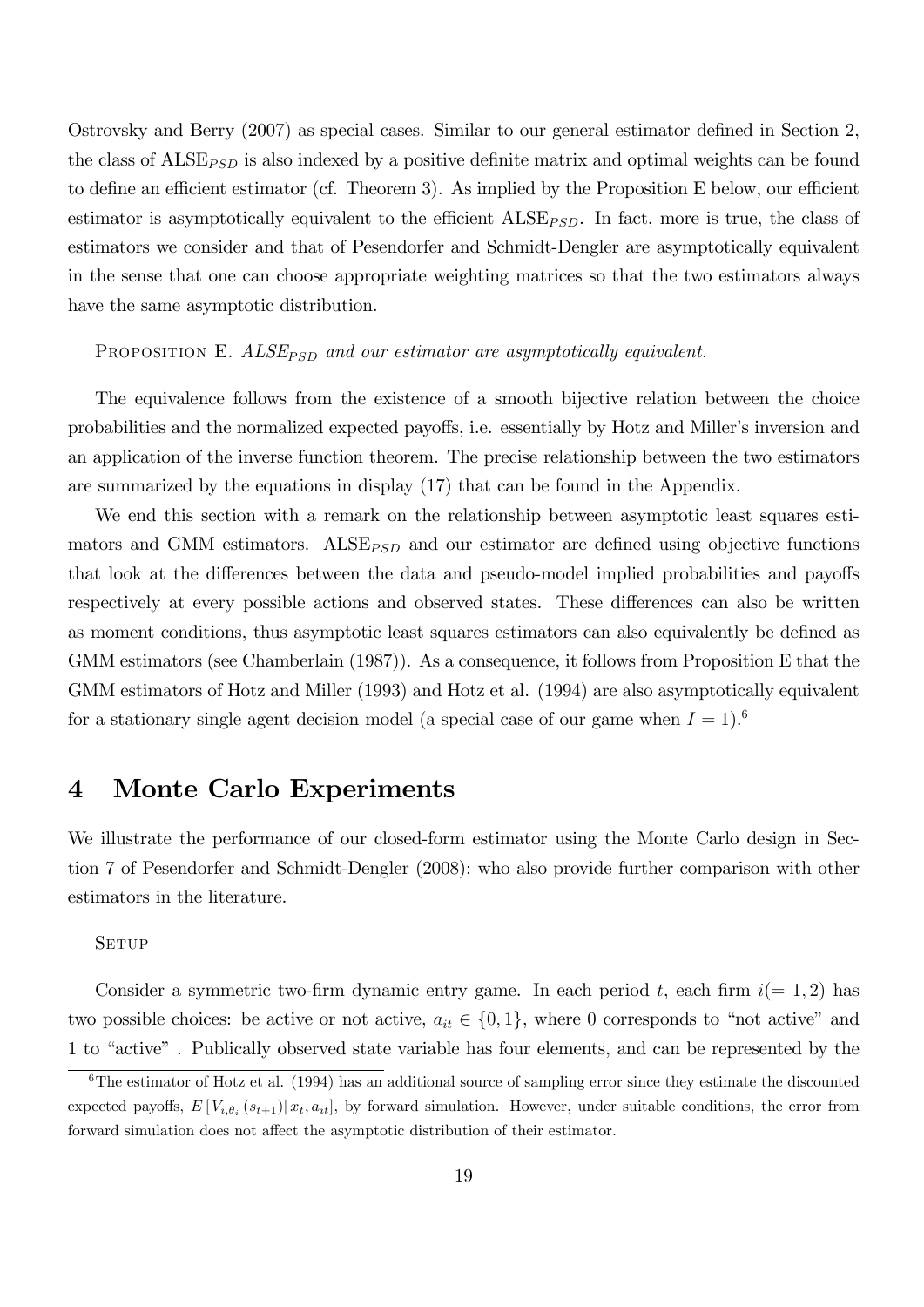Ostrovsky and Berry  $(2007)$  as special cases. Similar to our general estimator defined in Section 2, the class of  $\text{ALSE}_{\text{PSD}}$  is also indexed by a positive definite matrix and optimal weights can be found to define an efficient estimator (cf. Theorem 3). As implied by the Proposition E below, our efficient estimator is asymptotically equivalent to the efficient  $\text{ALSE}_{PSD}$ . In fact, more is true, the class of estimators we consider and that of Pesendorfer and Schmidt-Dengler are asymptotically equivalent in the sense that one can choose appropriate weighting matrices so that the two estimators always have the same asymptotic distribution.

#### PROPOSITION E.  $ALSE_{PSD}$  and our estimator are asymptotically equivalent.

The equivalence follows from the existence of a smooth bijective relation between the choice probabilities and the normalized expected payoffs, i.e. essentially by Hotz and Miller's inversion and an application of the inverse function theorem. The precise relationship between the two estimators are summarized by the equations in display (17) that can be found in the Appendix.

We end this section with a remark on the relationship between asymptotic least squares estimators and GMM estimators.  $\text{ALSE}_{\text{PSD}}$  and our estimator are defined using objective functions that look at the differences between the data and pseudo-model implied probabilities and payoffs respectively at every possible actions and observed states. These differences can also be written as moment conditions, thus asymptotic least squares estimators can also equivalently be defined as GMM estimators (see Chamberlain (1987)). As a consequence, it follows from Proposition E that the GMM estimators of Hotz and Miller (1993) and Hotz et al. (1994) are also asymptotically equivalent for a stationary single agent decision model (a special case of our game when  $I = 1$ ).<sup>6</sup>

## 4 Monte Carlo Experiments

We illustrate the performance of our closed-form estimator using the Monte Carlo design in Section 7 of Pesendorfer and Schmidt-Dengler (2008); who also provide further comparison with other estimators in the literature.

#### **SETUP**

Consider a symmetric two-firm dynamic entry game. In each period t, each firm  $i(= 1, 2)$  has two possible choices: be active or not active,  $a_{it} \in \{0, 1\}$ , where 0 corresponds to "not active" and 1 to "active". Publically observed state variable has four elements, and can be represented by the

 $6$ The estimator of Hotz et al. (1994) has an additional source of sampling error since they estimate the discounted expected payoffs,  $E[V_{i,\theta_i}(s_{t+1})|x_t, a_{it}]$ , by forward simulation. However, under suitable conditions, the error from forward simulation does not affect the asymptotic distribution of their estimator.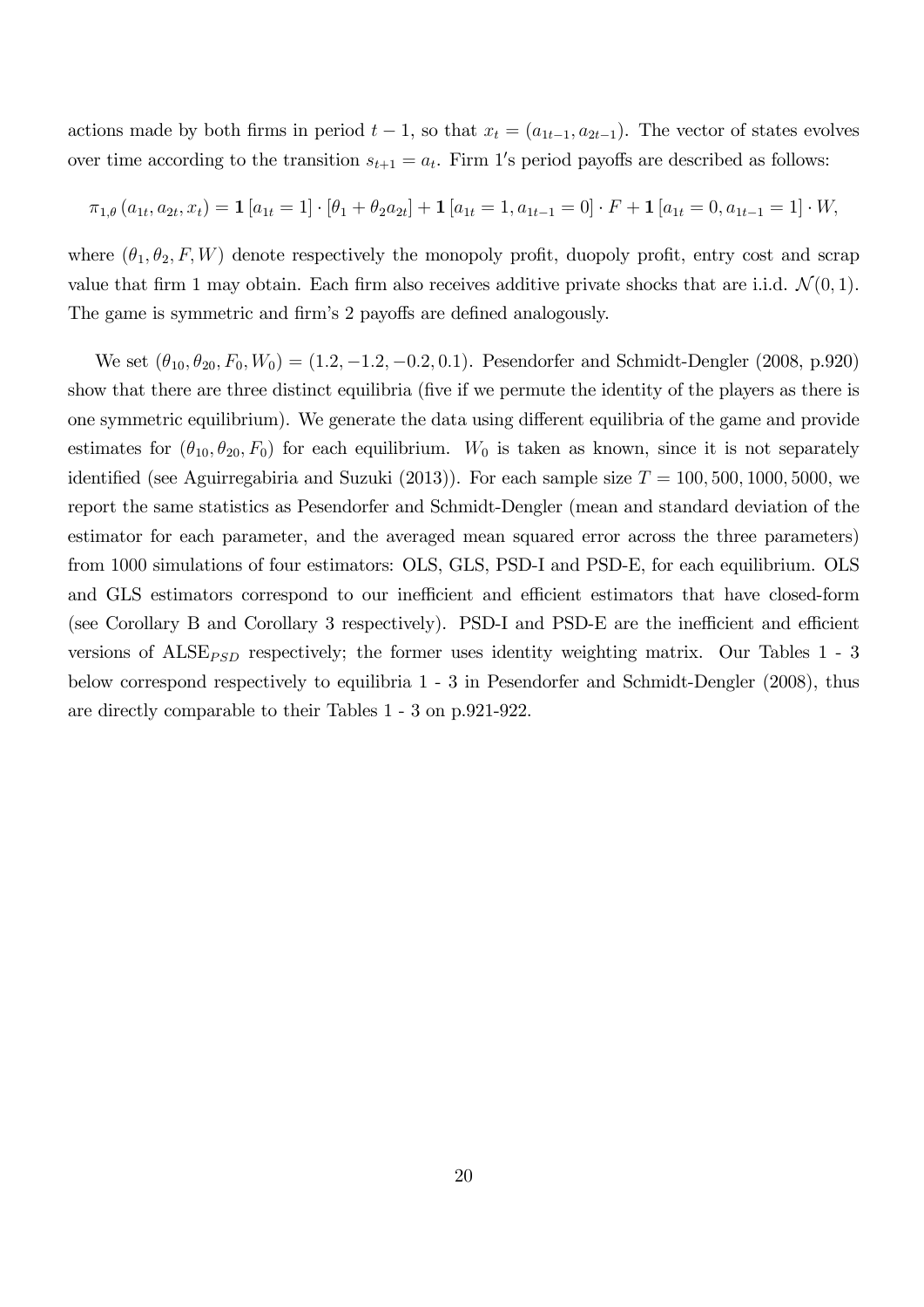actions made by both firms in period  $t - 1$ , so that  $x_t = (a_{1t-1}, a_{2t-1})$ . The vector of states evolves over time according to the transition  $s_{t+1} = a_t$ . Firm 1's period payoffs are described as follows:

$$
\pi_{1,\theta}(a_{1t}, a_{2t}, x_t) = \mathbf{1}[a_{1t} = 1] \cdot [\theta_1 + \theta_2 a_{2t}] + \mathbf{1}[a_{1t} = 1, a_{1t-1} = 0] \cdot F + \mathbf{1}[a_{1t} = 0, a_{1t-1} = 1] \cdot W,
$$

where  $(\theta_1, \theta_2, F, W)$  denote respectively the monopoly profit, duopoly profit, entry cost and scrap value that firm 1 may obtain. Each firm also receives additive private shocks that are i.i.d.  $\mathcal{N}(0, 1)$ . The game is symmetric and firm's 2 payoffs are defined analogously.

We set  $(\theta_{10}, \theta_{20}, F_0, W_0) = (1.2, -1.2, -0.2, 0.1)$ . Pesendorfer and Schmidt-Dengler (2008, p.920) show that there are three distinct equilibria (five if we permute the identity of the players as there is one symmetric equilibrium). We generate the data using different equilibria of the game and provide estimates for  $(\theta_{10}, \theta_{20}, F_0)$  for each equilibrium.  $W_0$  is taken as known, since it is not separately identified (see Aguirregabiria and Suzuki (2013)). For each sample size  $T = 100, 500, 1000, 5000$ , we report the same statistics as Pesendorfer and Schmidt-Dengler (mean and standard deviation of the estimator for each parameter, and the averaged mean squared error across the three parameters) from 1000 simulations of four estimators: OLS, GLS, PSD-I and PSD-E, for each equilibrium. OLS and GLS estimators correspond to our inefficient and efficient estimators that have closed-form (see Corollary B and Corollary 3 respectively). PSD-I and PSD-E are the inefficient and efficient versions of  $\text{ALSE}_{\text{PSD}}$  respectively; the former uses identity weighting matrix. Our Tables 1 - 3 below correspond respectively to equilibria 1 - 3 in Pesendorfer and Schmidt-Dengler (2008), thus are directly comparable to their Tables 1 - 3 on p.921-922.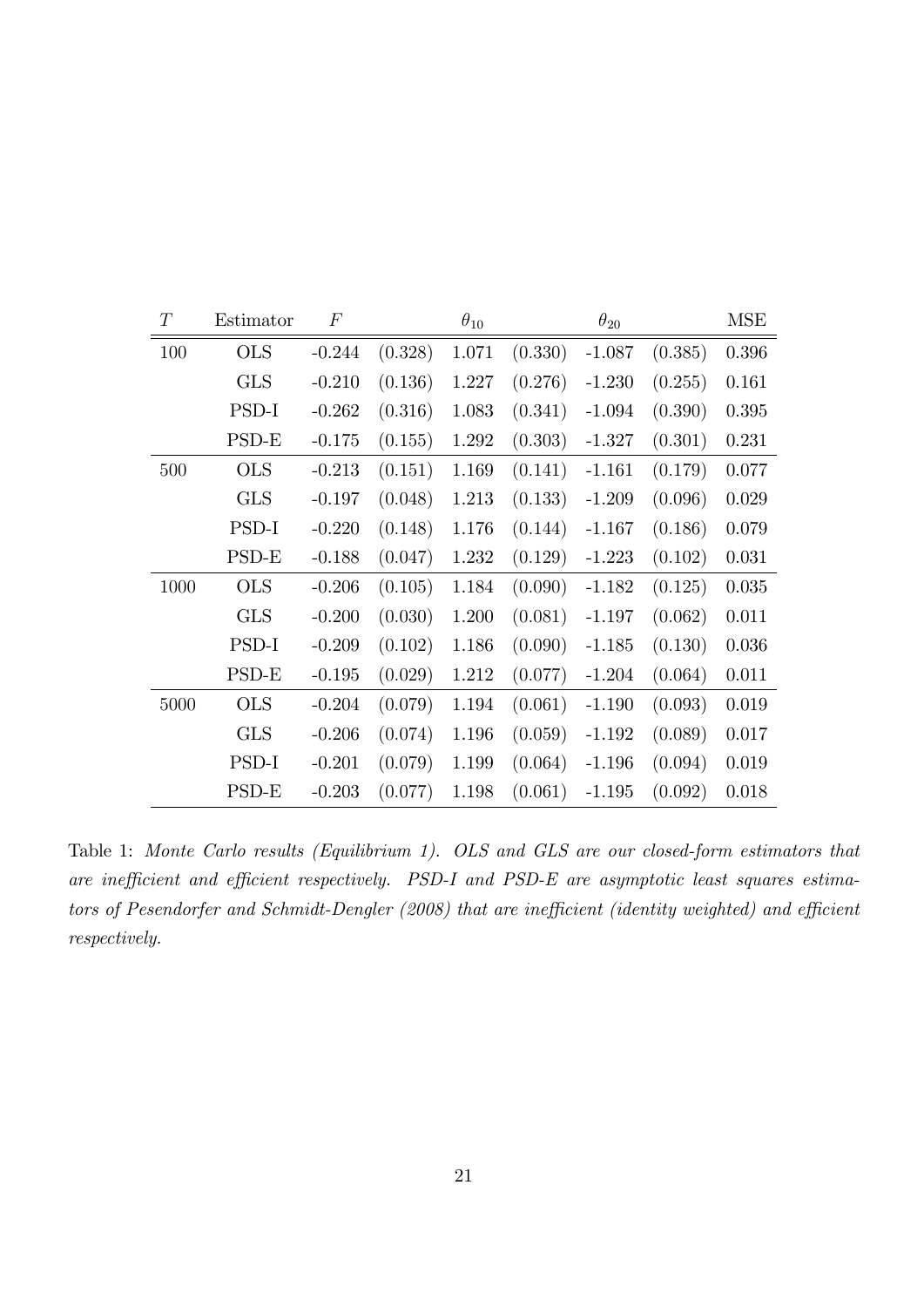| $\cal T$ | Estimator  | $\cal F$ |         | $\theta_{10}$ |         | $\theta_{20}$ |         | <b>MSE</b> |
|----------|------------|----------|---------|---------------|---------|---------------|---------|------------|
| 100      | <b>OLS</b> | $-0.244$ | (0.328) | 1.071         | (0.330) | $-1.087$      | (0.385) | 0.396      |
|          | <b>GLS</b> | $-0.210$ | (0.136) | 1.227         | (0.276) | $-1.230$      | (0.255) | 0.161      |
|          | PSD-I      | $-0.262$ | (0.316) | 1.083         | (0.341) | $-1.094$      | (0.390) | 0.395      |
|          | PSD-E      | $-0.175$ | (0.155) | 1.292         | (0.303) | $-1.327$      | (0.301) | 0.231      |
| 500      | <b>OLS</b> | $-0.213$ | (0.151) | 1.169         | (0.141) | $-1.161$      | (0.179) | 0.077      |
|          | <b>GLS</b> | $-0.197$ | (0.048) | 1.213         | (0.133) | $-1.209$      | (0.096) | 0.029      |
|          | PSD-I      | $-0.220$ | (0.148) | 1.176         | (0.144) | $-1.167$      | (0.186) | 0.079      |
|          | PSD-E      | $-0.188$ | (0.047) | 1.232         | (0.129) | $-1.223$      | (0.102) | 0.031      |
| 1000     | <b>OLS</b> | $-0.206$ | (0.105) | 1.184         | (0.090) | $-1.182$      | (0.125) | 0.035      |
|          | <b>GLS</b> | $-0.200$ | (0.030) | 1.200         | (0.081) | $-1.197$      | (0.062) | 0.011      |
|          | PSD-I      | $-0.209$ | (0.102) | 1.186         | (0.090) | $-1.185$      | (0.130) | 0.036      |
|          | PSD-E      | $-0.195$ | (0.029) | 1.212         | (0.077) | $-1.204$      | (0.064) | 0.011      |
| 5000     | <b>OLS</b> | $-0.204$ | (0.079) | 1.194         | (0.061) | $-1.190$      | (0.093) | 0.019      |
|          | <b>GLS</b> | $-0.206$ | (0.074) | 1.196         | (0.059) | $-1.192$      | (0.089) | 0.017      |
|          | PSD-I      | $-0.201$ | (0.079) | 1.199         | (0.064) | $-1.196$      | (0.094) | 0.019      |
|          | PSD-E      | $-0.203$ | (0.077) | 1.198         | (0.061) | $-1.195$      | (0.092) | 0.018      |

Table 1: Monte Carlo results (Equilibrium 1). OLS and GLS are our closed-form estimators that are inefficient and efficient respectively. PSD-I and PSD-E are asymptotic least squares estimators of Pesendorfer and Schmidt-Dengler (2008) that are inefficient (identity weighted) and efficient respectively.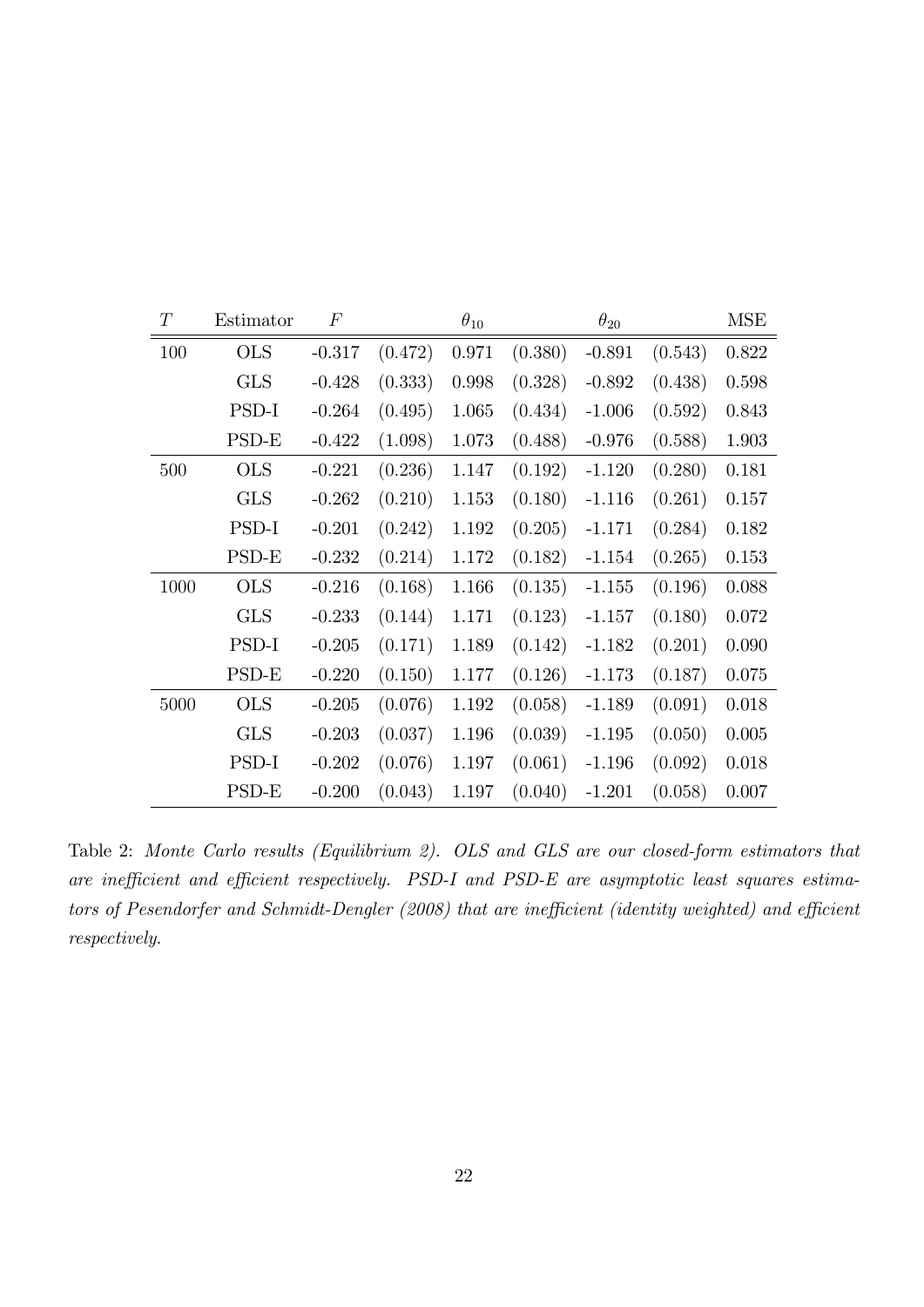| T    | Estimator  | $\boldsymbol{F}$ |         | $\theta_{10}$ |         | $\theta_{20}$ |         | <b>MSE</b> |
|------|------------|------------------|---------|---------------|---------|---------------|---------|------------|
| 100  | <b>OLS</b> | $-0.317$         | (0.472) | 0.971         | (0.380) | $-0.891$      | (0.543) | 0.822      |
|      | <b>GLS</b> | $-0.428$         | (0.333) | 0.998         | (0.328) | $-0.892$      | (0.438) | 0.598      |
|      | PSD-I      | $-0.264$         | (0.495) | 1.065         | (0.434) | $-1.006$      | (0.592) | 0.843      |
|      | $PSD-E$    | $-0.422$         | (1.098) | 1.073         | (0.488) | $-0.976$      | (0.588) | 1.903      |
| 500  | <b>OLS</b> | $-0.221$         | (0.236) | 1.147         | (0.192) | $-1.120$      | (0.280) | 0.181      |
|      | <b>GLS</b> | $-0.262$         | (0.210) | 1.153         | (0.180) | $-1.116$      | (0.261) | 0.157      |
|      | PSD-I      | $-0.201$         | (0.242) | 1.192         | (0.205) | $-1.171$      | (0.284) | 0.182      |
|      | PSD-E      | $-0.232$         | (0.214) | 1.172         | (0.182) | $-1.154$      | (0.265) | 0.153      |
| 1000 | <b>OLS</b> | $-0.216$         | (0.168) | 1.166         | (0.135) | $-1.155$      | (0.196) | 0.088      |
|      | <b>GLS</b> | $-0.233$         | (0.144) | 1.171         | (0.123) | $-1.157$      | (0.180) | 0.072      |
|      | PSD-I      | $-0.205$         | (0.171) | 1.189         | (0.142) | $-1.182$      | (0.201) | 0.090      |
|      | PSD-E      | $-0.220$         | (0.150) | 1.177         | (0.126) | $-1.173$      | (0.187) | 0.075      |
| 5000 | <b>OLS</b> | $-0.205$         | (0.076) | 1.192         | (0.058) | $-1.189$      | (0.091) | 0.018      |
|      | <b>GLS</b> | $-0.203$         | (0.037) | 1.196         | (0.039) | $-1.195$      | (0.050) | 0.005      |
|      | PSD-I      | $-0.202$         | (0.076) | 1.197         | (0.061) | $-1.196$      | (0.092) | 0.018      |
|      | $PSD-E$    | $-0.200$         | (0.043) | 1.197         | (0.040) | $-1.201$      | (0.058) | 0.007      |

Table 2: Monte Carlo results (Equilibrium 2). OLS and GLS are our closed-form estimators that are inefficient and efficient respectively. PSD-I and PSD-E are asymptotic least squares estimators of Pesendorfer and Schmidt-Dengler (2008) that are inefficient (identity weighted) and efficient respectively.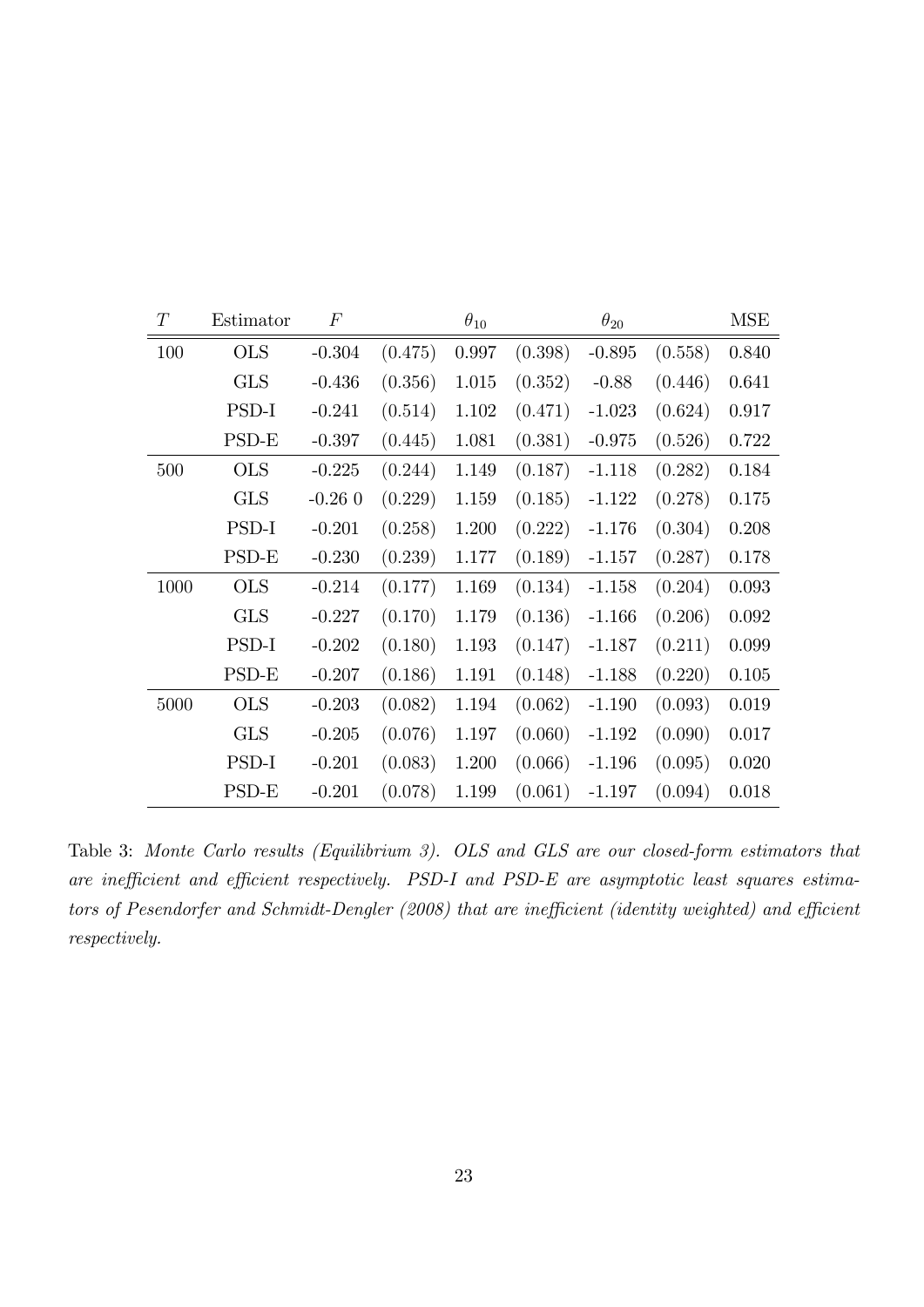| T    | Estimator  | $\boldsymbol{F}$ |         | $\theta_{10}$ |         | $\theta_{20}$ |         | <b>MSE</b> |
|------|------------|------------------|---------|---------------|---------|---------------|---------|------------|
| 100  | <b>OLS</b> | $-0.304$         | (0.475) | $0.997\,$     | (0.398) | $-0.895$      | (0.558) | 0.840      |
|      | <b>GLS</b> | $-0.436$         | (0.356) | 1.015         | (0.352) | $-0.88$       | (0.446) | 0.641      |
|      | PSD-I      | $-0.241$         | (0.514) | 1.102         | (0.471) | $-1.023$      | (0.624) | 0.917      |
|      | $PSD-E$    | $-0.397$         | (0.445) | 1.081         | (0.381) | $-0.975$      | (0.526) | 0.722      |
| 500  | <b>OLS</b> | $-0.225$         | (0.244) | 1.149         | (0.187) | $-1.118$      | (0.282) | 0.184      |
|      | <b>GLS</b> | $-0.260$         | (0.229) | 1.159         | (0.185) | $-1.122$      | (0.278) | 0.175      |
|      | PSD-I      | $-0.201$         | (0.258) | 1.200         | (0.222) | $-1.176$      | (0.304) | 0.208      |
|      | PSD-E      | $-0.230$         | (0.239) | 1.177         | (0.189) | $-1.157$      | (0.287) | $0.178\,$  |
| 1000 | <b>OLS</b> | $-0.214$         | (0.177) | 1.169         | (0.134) | $-1.158$      | (0.204) | 0.093      |
|      | <b>GLS</b> | $-0.227$         | (0.170) | 1.179         | (0.136) | $-1.166$      | (0.206) | 0.092      |
|      | PSD-I      | $-0.202$         | (0.180) | 1.193         | (0.147) | $-1.187$      | (0.211) | 0.099      |
|      | PSD-E      | $-0.207$         | (0.186) | 1.191         | (0.148) | $-1.188$      | (0.220) | 0.105      |
| 5000 | <b>OLS</b> | $-0.203$         | (0.082) | 1.194         | (0.062) | $-1.190$      | (0.093) | 0.019      |
|      | <b>GLS</b> | $-0.205$         | (0.076) | 1.197         | (0.060) | $-1.192$      | (0.090) | 0.017      |
|      | PSD-I      | $-0.201$         | (0.083) | 1.200         | (0.066) | $-1.196$      | (0.095) | 0.020      |
|      | PSD-E      | $-0.201$         | (0.078) | 1.199         | (0.061) | $-1.197$      | (0.094) | 0.018      |

Table 3: Monte Carlo results (Equilibrium 3). OLS and GLS are our closed-form estimators that are inefficient and efficient respectively. PSD-I and PSD-E are asymptotic least squares estimators of Pesendorfer and Schmidt-Dengler (2008) that are inefficient (identity weighted) and efficient respectively.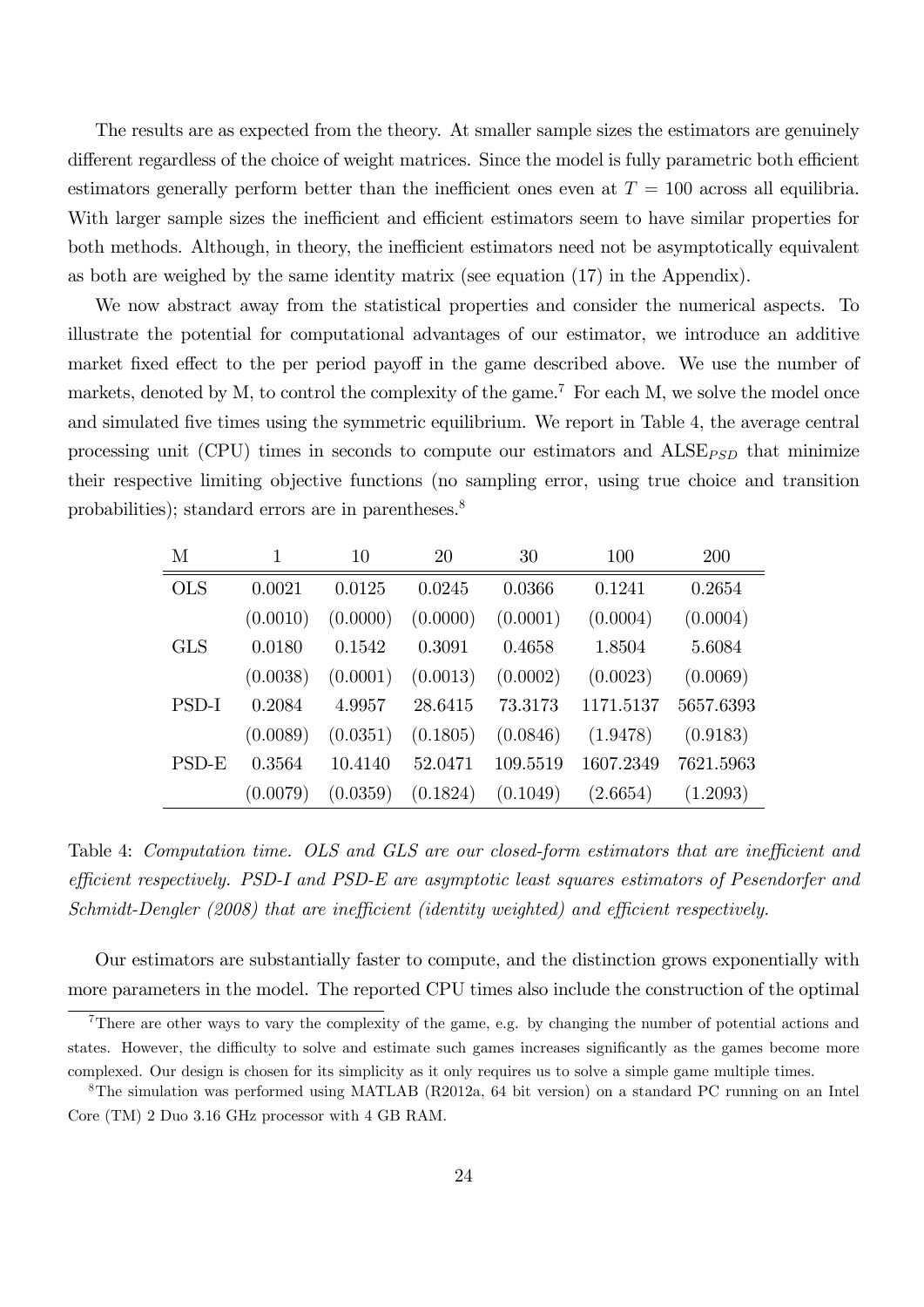The results are as expected from the theory. At smaller sample sizes the estimators are genuinely different regardless of the choice of weight matrices. Since the model is fully parametric both efficient estimators generally perform better than the inefficient ones even at  $T = 100$  across all equilibria. With larger sample sizes the inefficient and efficient estimators seem to have similar properties for both methods. Although, in theory, the inefficient estimators need not be asymptotically equivalent as both are weighed by the same identity matrix (see equation (17) in the Appendix).

We now abstract away from the statistical properties and consider the numerical aspects. To illustrate the potential for computational advantages of our estimator, we introduce an additive market fixed effect to the per period payoff in the game described above. We use the number of markets, denoted by M, to control the complexity of the game.<sup>7</sup> For each M, we solve the model once and simulated five times using the symmetric equilibrium. We report in Table 4, the average central processing unit (CPU) times in seconds to compute our estimators and  $\text{ALSE}_{\text{PSD}}$  that minimize their respective limiting objective functions (no sampling error, using true choice and transition probabilities); standard errors are in parentheses.<sup>8</sup>

| М            |          | 10       | 20       | 30       | 100       | 200       |
|--------------|----------|----------|----------|----------|-----------|-----------|
| <b>OLS</b>   | 0.0021   | 0.0125   | 0.0245   | 0.0366   | 0.1241    | 0.2654    |
|              | (0.0010) | (0.0000) | (0.0000) | (0.0001) | (0.0004)  | (0.0004)  |
| <b>GLS</b>   | 0.0180   | 0.1542   | 0.3091   | 0.4658   | 1.8504    | 5.6084    |
|              | (0.0038) | (0.0001) | (0.0013) | (0.0002) | (0.0023)  | (0.0069)  |
| PSD-I        | 0.2084   | 4.9957   | 28.6415  | 73.3173  | 1171.5137 | 5657.6393 |
|              | (0.0089) | (0.0351) | (0.1805) | (0.0846) | (1.9478)  | (0.9183)  |
| <b>PSD-E</b> | 0.3564   | 10.4140  | 52.0471  | 109.5519 | 1607.2349 | 7621.5963 |
|              | (0.0079) | (0.0359) | (0.1824) | (0.1049) | (2.6654)  | (1.2093)  |

Table 4: Computation time. OLS and GLS are our closed-form estimators that are inefficient and efficient respectively. PSD-I and PSD-E are asymptotic least squares estimators of Pesendorfer and Schmidt-Dengler (2008) that are inefficient (identity weighted) and efficient respectively.

Our estimators are substantially faster to compute, and the distinction grows exponentially with more parameters in the model. The reported CPU times also include the construction of the optimal

<sup>&</sup>lt;sup>7</sup>There are other ways to vary the complexity of the game, e.g. by changing the number of potential actions and states. However, the difficulty to solve and estimate such games increases significantly as the games become more complexed. Our design is chosen for its simplicity as it only requires us to solve a simple game multiple times.

<sup>8</sup>The simulation was performed using MATLAB (R2012a, 64 bit version) on a standard PC running on an Intel Core (TM) 2 Duo 3.16 GHz processor with 4 GB RAM.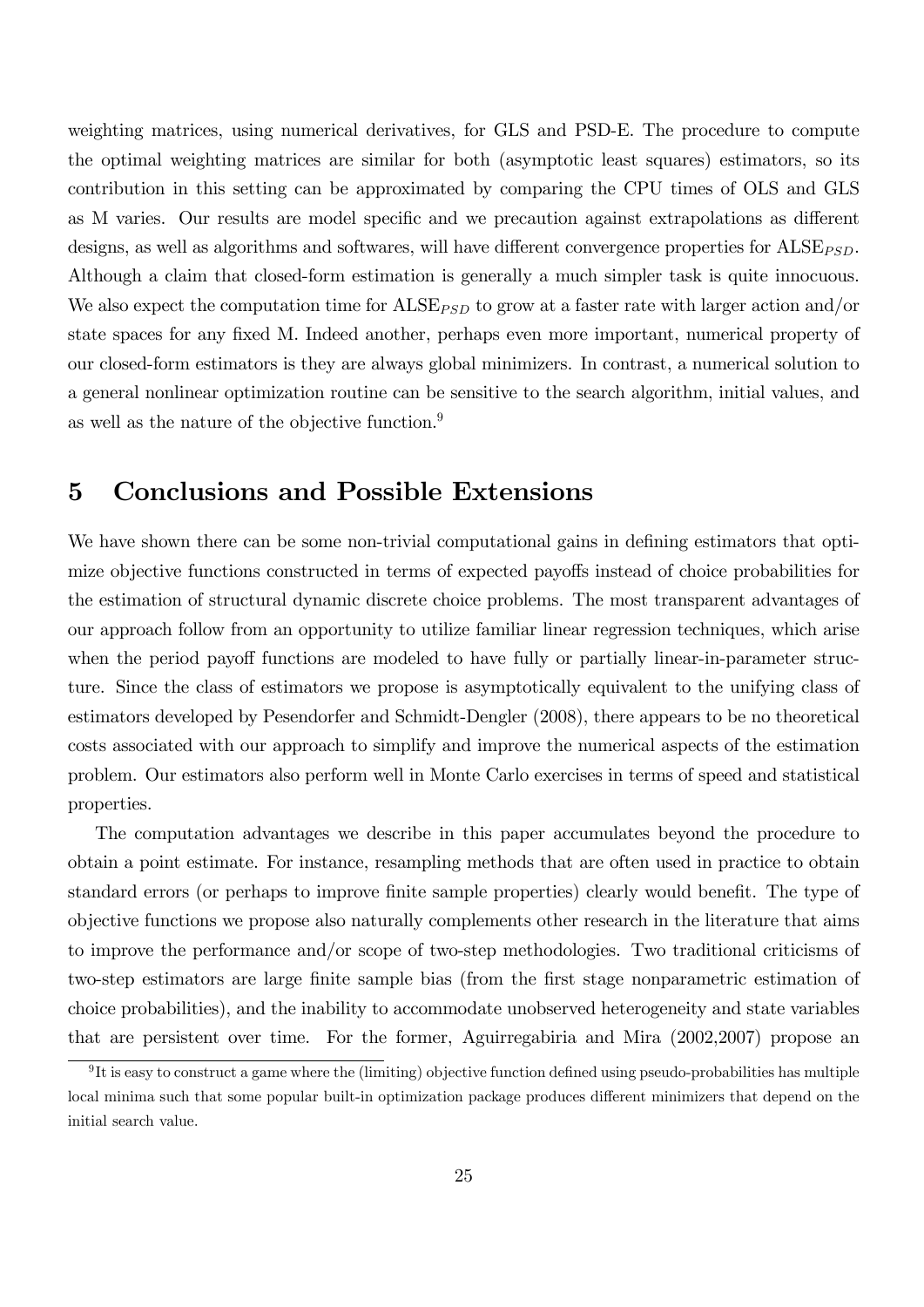weighting matrices, using numerical derivatives, for GLS and PSD-E. The procedure to compute the optimal weighting matrices are similar for both (asymptotic least squares) estimators, so its contribution in this setting can be approximated by comparing the CPU times of OLS and GLS as M varies. Our results are model specific and we precaution against extrapolations as different designs, as well as algorithms and softwares, will have different convergence properties for  $\text{ALSE}_{\text{PSD}}$ . Although a claim that closed-form estimation is generally a much simpler task is quite innocuous. We also expect the computation time for  $\text{ALSE}_{PSD}$  to grow at a faster rate with larger action and/or state spaces for any fixed M. Indeed another, perhaps even more important, numerical property of our closed-form estimators is they are always global minimizers. In contrast, a numerical solution to a general nonlinear optimization routine can be sensitive to the search algorithm, initial values, and as well as the nature of the objective function.<sup>9</sup>

## 5 Conclusions and Possible Extensions

We have shown there can be some non-trivial computational gains in defining estimators that optimize objective functions constructed in terms of expected payoffs instead of choice probabilities for the estimation of structural dynamic discrete choice problems. The most transparent advantages of our approach follow from an opportunity to utilize familiar linear regression techniques, which arise when the period payoff functions are modeled to have fully or partially linear-in-parameter structure. Since the class of estimators we propose is asymptotically equivalent to the unifying class of estimators developed by Pesendorfer and Schmidt-Dengler (2008), there appears to be no theoretical costs associated with our approach to simplify and improve the numerical aspects of the estimation problem. Our estimators also perform well in Monte Carlo exercises in terms of speed and statistical properties.

The computation advantages we describe in this paper accumulates beyond the procedure to obtain a point estimate. For instance, resampling methods that are often used in practice to obtain standard errors (or perhaps to improve finite sample properties) clearly would benefit. The type of objective functions we propose also naturally complements other research in the literature that aims to improve the performance and/or scope of two-step methodologies. Two traditional criticisms of two-step estimators are large finite sample bias (from the first stage nonparametric estimation of choice probabilities), and the inability to accommodate unobserved heterogeneity and state variables that are persistent over time. For the former, Aguirregabiria and Mira (2002,2007) propose an

 ${}^{9}$ It is easy to construct a game where the (limiting) objective function defined using pseudo-probabilities has multiple local minima such that some popular built-in optimization package produces different minimizers that depend on the initial search value.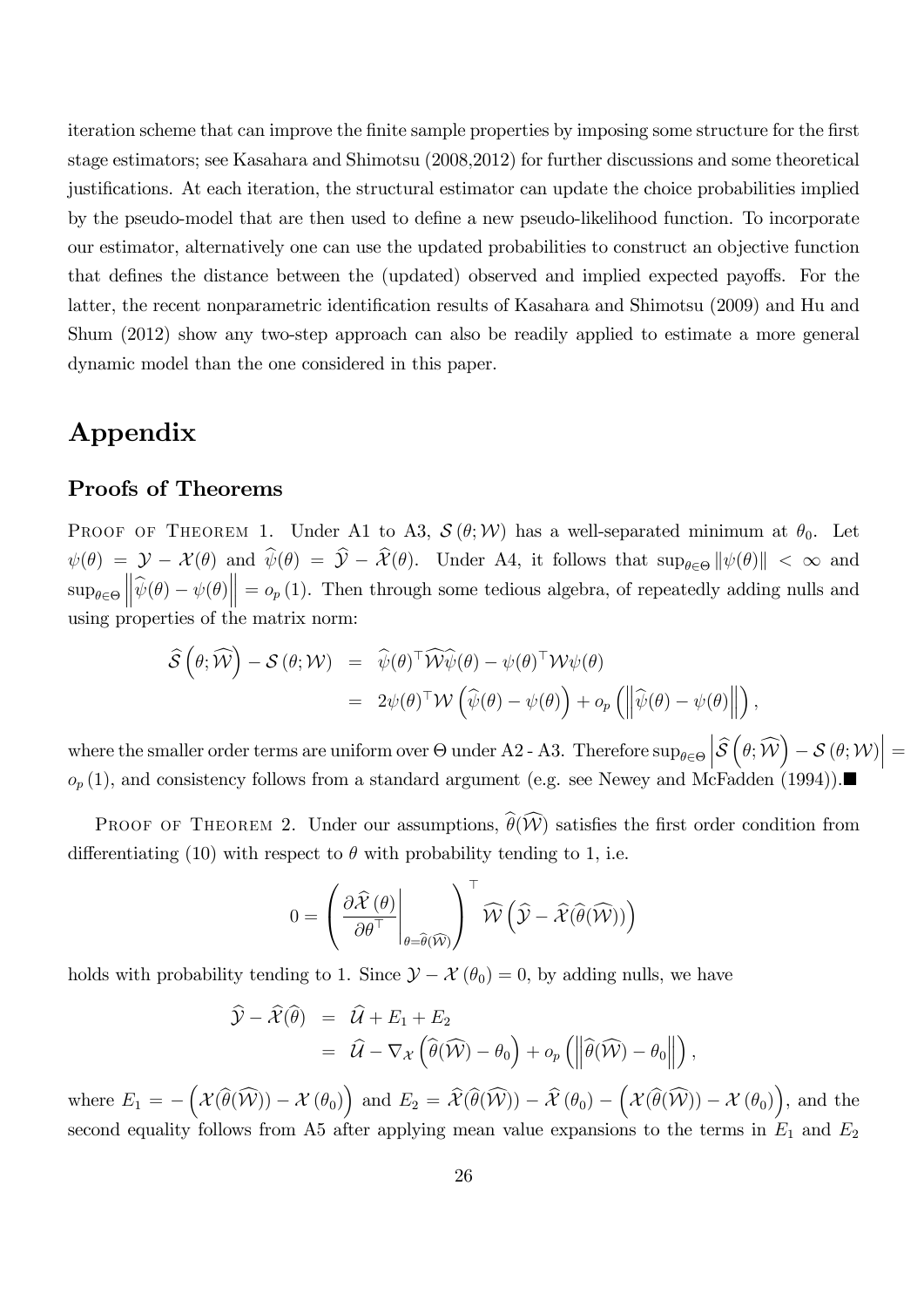iteration scheme that can improve the finite sample properties by imposing some structure for the first stage estimators; see Kasahara and Shimotsu (2008,2012) for further discussions and some theoretical justifications. At each iteration, the structural estimator can update the choice probabilities implied by the pseudo-model that are then used to define a new pseudo-likelihood function. To incorporate our estimator, alternatively one can use the updated probabilities to construct an objective function that defines the distance between the (updated) observed and implied expected payoffs. For the latter, the recent nonparametric identification results of Kasahara and Shimotsu (2009) and Hu and Shum (2012) show any two-step approach can also be readily applied to estimate a more general dynamic model than the one considered in this paper.

## Appendix

## Proofs of Theorems

PROOF OF THEOREM 1. Under A1 to A3,  $\mathcal{S}(\theta;\mathcal{W})$  has a well-separated minimum at  $\theta_0$ . Let  $\psi(\theta) = \mathcal{Y} - \mathcal{X}(\theta)$  and  $\psi(\theta) = \mathcal{Y} - \mathcal{X}(\theta)$ . Under A4, it follows that  $\sup_{\theta \in \Theta} ||\psi(\theta)|| < \infty$  and  $\sup_{\theta \in \Theta}$  $\left\|\widehat{\psi}(\theta) - \psi(\theta)\right\| = o_p(1)$ . Then through some tedious algebra, of repeatedly adding nulls and using properties of the matrix norm:

$$
\hat{\mathcal{S}}(\theta; \widehat{\mathcal{W}}) - \mathcal{S}(\theta; \mathcal{W}) = \widehat{\psi}(\theta)^{\top} \widehat{\mathcal{W}\psi}(\theta) - \psi(\theta)^{\top} \mathcal{W}\psi(\theta) \n= 2\psi(\theta)^{\top} \mathcal{W}(\widehat{\psi}(\theta) - \psi(\theta)) + o_p \left( \left\| \widehat{\psi}(\theta) - \psi(\theta) \right\| \right),
$$

where the smaller order terms are uniform over  $\Theta$  under A2 - A3. Therefore  $\sup_{\theta \in \Theta}$  $|\hat{s}|$  $\left(\theta;\widehat{\mathcal{W}}\right)-\mathcal{S}\left(\theta;\mathcal{W}\right)\Bigr|=\displaystyle$  $o_p(1)$ , and consistency follows from a standard argument (e.g. see Newey and McFadden (1994)).

PROOF OF THEOREM 2. Under our assumptions,  $\widehat{\theta}(\widehat{\mathcal{W}})$  satisfies the first order condition from differentiating (10) with respect to  $\theta$  with probability tending to 1, i.e.

$$
0 = \left(\frac{\partial \widehat{\mathcal{X}}\left(\theta\right)}{\partial \theta^{\top}}\Bigg|_{\theta = \widehat{\theta}\left(\widehat{\mathcal{W}}\right)}\right)^{\top} \widehat{\mathcal{W}}\left(\widehat{\mathcal{Y}} - \widehat{\mathcal{X}}\left(\widehat{\theta}\left(\widehat{\mathcal{W}}\right)\right)\right)
$$

holds with probability tending to 1. Since  $\mathcal{Y} - \mathcal{X}(\theta_0) = 0$ , by adding nulls, we have

$$
\widehat{\mathcal{Y}} - \widehat{\mathcal{X}}(\widehat{\theta}) = \widehat{\mathcal{U}} + E_1 + E_2 \n= \widehat{\mathcal{U}} - \nabla_{\mathcal{X}} (\widehat{\theta}(\widehat{\mathcal{W}}) - \theta_0) + o_p \left( \left\| \widehat{\theta}(\widehat{\mathcal{W}}) - \theta_0 \right\| \right),
$$

where  $E_1 = -\left(\mathcal{X}(\widehat{\theta}(\widehat{\mathcal{W}})) - \mathcal{X}(\theta_0)\right)$  and  $E_2 = \widehat{\mathcal{X}}(\widehat{\theta}(\widehat{\mathcal{W}})) - \widehat{\mathcal{X}}(\theta_0) - \left(\mathcal{X}(\widehat{\theta}(\widehat{\mathcal{W}})) - \mathcal{X}(\theta_0)\right)$ , and the second equality follows from A5 after applying mean value expansions to the terms in  $E_1$  and  $E_2$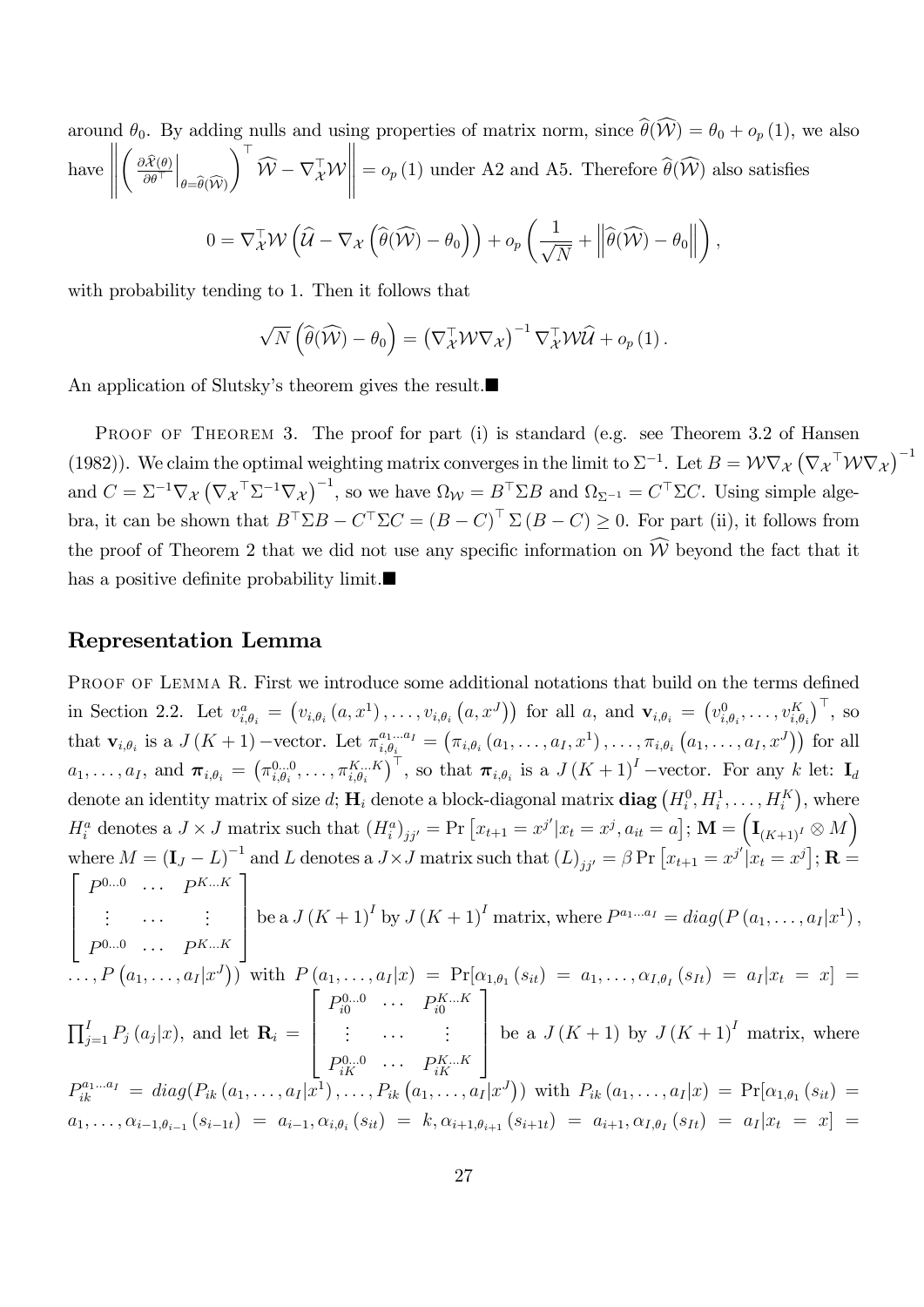around  $\theta_0$ . By adding nulls and using properties of matrix norm, since  $\hat{\theta}(\widehat{W}) = \theta_0 + o_p(1)$ , we also have  $\begin{tabular}{|c|c|c|c|} \hline \quad \quad & \quad \quad & \quad \quad \\ \hline \quad \quad & \quad \quad & \quad \quad \\ \hline \quad \quad & \quad \quad & \quad \quad \\ \hline \quad \quad & \quad \quad & \quad \quad \\ \hline \end{tabular}$  $\Bigg( \frac{\partial \widehat{\mathcal{X}}(\boldsymbol{\theta})}{\partial \boldsymbol{\theta}^\top}$  $\Big|_{\theta=\widehat{\theta}(\widehat{\mathcal{W}})}$  $\Delta^{\top}$  $\mathcal{W} - \nabla_{\mathcal{X}}^{\perp} \mathcal{W}$   $= o_p(1)$  under A2 and A5. Therefore  $\theta(\mathcal{W})$  also satisfies

$$
0 = \nabla_{\mathcal{X}}^{\top} \mathcal{W} \left( \widehat{\mathcal{U}} - \nabla_{\mathcal{X}} \left( \widehat{\theta}(\widehat{\mathcal{W}}) - \theta_0 \right) \right) + o_p \left( \frac{1}{\sqrt{N}} + \left\| \widehat{\theta}(\widehat{\mathcal{W}}) - \theta_0 \right\| \right),
$$

with probability tending to 1. Then it follows that

$$
\sqrt{N}\left(\widehat{\theta}(\widehat{\mathcal{W}})-\theta_0\right)=\left(\nabla_{\mathcal{X}}^{\top}\mathcal{W}\nabla_{\mathcal{X}}\right)^{-1}\nabla_{\mathcal{X}}^{\top}\mathcal{W}\widehat{\mathcal{U}}+o_p\left(1\right).
$$

An application of Slutsky's theorem gives the result.

PROOF OF THEOREM 3. The proof for part (i) is standard (e.g. see Theorem 3.2 of Hansen (1982)). We claim the optimal weighting matrix converges in the limit to  $\Sigma^{-1}$ . Let  $B = \mathcal{W} \nabla_{\mathcal{X}} (\nabla_{\mathcal{X}}^\top \mathcal{W} \nabla_{\mathcal{X}})^{-1}$ and  $C = \Sigma^{-1} \nabla_{\mathcal{X}} (\nabla_{\mathcal{X}}^\top \Sigma^{-1} \nabla_{\mathcal{X}})^{-1}$ , so we have  $\Omega_{\mathcal{W}} = B^\top \Sigma B$  and  $\Omega_{\Sigma^{-1}} = C^\top \Sigma C$ . Using simple algebra, it can be shown that  $B^{\perp} \Sigma B - C^{\perp} \Sigma C = (B - C)^{\perp} \Sigma (B - C) \geq 0$ . For part (ii), it follows from the proof of Theorem 2 that we did not use any specific information on  $\widehat{W}$  beyond the fact that it has a positive definite probability limit. $\blacksquare$ 

#### Representation Lemma

PROOF OF LEMMA R. First we introduce some additional notations that build on the terms defined in Section 2.2. Let  $v_{i,\theta_i}^a = (v_{i,\theta_i}(a,x^1),\ldots,v_{i,\theta_i}(a,x^J))$  for all a, and  $\mathbf{v}_{i,\theta_i} = (v_{i,\theta_i}^0,\ldots,v_{i,\theta_i}^K)^\top$ , so that  $\mathbf{v}_{i,\theta_i}$  is a  $J(K+1)$  -vector. Let  $\pi_{i,\theta_i}^{a_1...a_I} = (\pi_{i,\theta_i} (a_1,\ldots,a_I,x^1),\ldots,\pi_{i,\theta_i} (a_1,\ldots,a_I,x^J))$  for all  $a_1,\ldots,a_I,$  and  $\boldsymbol{\pi}_{i,\theta_i} = \left(\pi^{0...0}_{i,\theta_i},\ldots,\pi^{K...K}_{i,\theta_i}\right)^\top$ , so that  $\boldsymbol{\pi}_{i,\theta_i}$  is a  $J(K+1)^I$  -vector. For any k let:  $\mathbf{I}_d$ denote an identity matrix of size  $d$ ;  $\mathbf{H}_i$  denote a block-diagonal matrix  $\mathbf{diag}\left(H_i^0, H_i^1, \ldots, H_i^K\right)$ , where  $H_i^a$  denotes a  $J \times J$  matrix such that  $(H_i^a)_{jj'} = \Pr\left[x_{t+1} = x^{j'} | x_t = x^j, a_{it} = a\right]$ ;  $\mathbf{M} = \left(\mathbf{I}_{(K+1)^I} \otimes M\right)$ where  $M = (\mathbf{I}_J - L)^{-1}$  and L denotes a  $J \times J$  matrix such that  $(L)_{jj'} = \beta \Pr[x_{t+1} = x^{j'}]x_t = x^j$ ;  $\mathbf{R} =$  $\sqrt{2}$  $\overline{\phantom{a}}$  $P^{0...0}$  ...  $P^{K...K}$ : ... . :  $P^{0...0}$  ...  $P^{K...K}$ 1  $\overline{\phantom{a}}$ be a  $J(K + 1)^{I}$  by  $J(K + 1)^{I}$  matrix, where  $P^{a_1...a_I} = diag(P(a_1,..., a_I|x^1)),$  $\left[ \begin{array}{rcl} \ldots, P\left(a_1, \ldots, a_I | x^J\right) \end{array} \right] \text{ with } \, P\left(a_1, \ldots, a_I | x\right) \;=\; \Pr[\alpha_{1, \theta_1}\left(s_{it}\right) \;=\; a_1, \ldots, \alpha_{I, \theta_I}\left(s_{It}\right) \;=\; a_I | x_t \;=\; x \right] \;=\; \cdots$  $\prod_{j=1}^{I} P_j(a_j|x)$ , and let  $\mathbf{R}_i =$  $\sqrt{2}$  $\begin{array}{c} \hline \end{array}$  $P_{i0}^{0...0}$  ...  $P_{i0}^{K...K}$ <br>: ... :  $P_{iK}^{0...0}$  ...  $P_{iK}^{K...K}$ 1  $\begin{matrix} \phantom{-} \end{matrix}$ be a  $J(K+1)$  by  $J(K+1)^I$  matrix, where  $P_{ik}^{a_1...a_I} = diag(P_{ik}(a_1,...,a_I|x^1),...,P_{ik}(a_1,...,a_I|x^J))$  with  $P_{ik}(a_1,...,a_I|x) = Pr[\alpha_{1,\theta_1}(s_{it}) =$  $a_1, \ldots, \alpha_{i-1, \theta_{i-1}} (s_{i-1t}) = a_{i-1}, \alpha_{i, \theta_i} (s_{it}) = k, \alpha_{i+1, \theta_{i+1}} (s_{i+1t}) = a_{i+1}, \alpha_{I, \theta_I} (s_{It}) = a_I |x_t = x] =$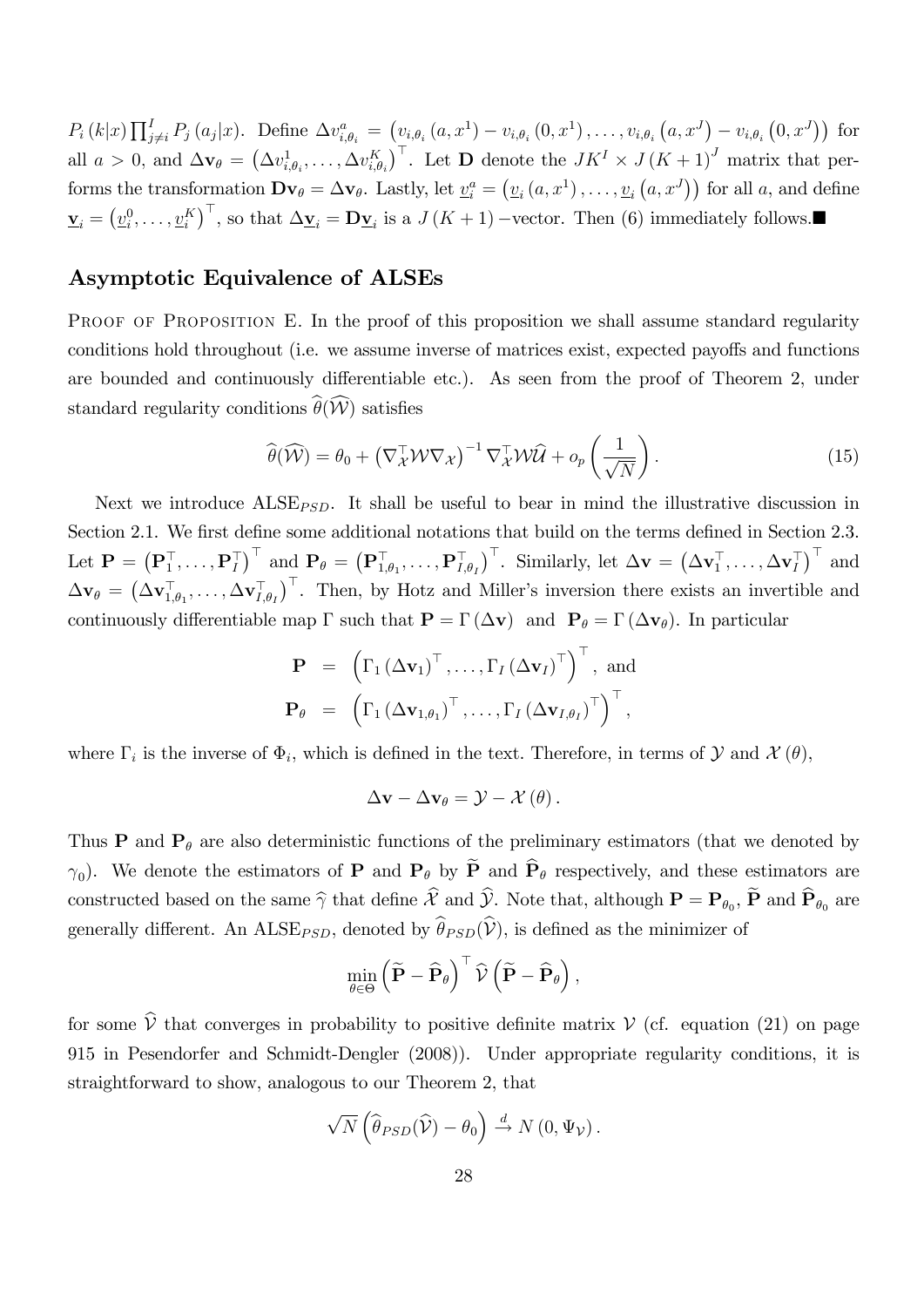$P_i(k|x) \prod_{j \neq i}^{I} P_j(a_j|x)$ . Define  $\Delta v_{i,\theta_i}^a = (v_{i,\theta_i}(a,x^1) - v_{i,\theta_i}(0,x^1), \ldots, v_{i,\theta_i}(a,x^J) - v_{i,\theta_i}(0,x^J))$  for all  $a > 0$ , and  $\Delta \mathbf{v}_{\theta} = (\Delta v_{i,\theta_i}^1, \ldots, \Delta v_{i,\theta_i}^K)^{\top}$ . Let **D** denote the  $JK^I \times J(K+1)^J$  matrix that performs the transformation  $\mathbf{D} \mathbf{v}_{\theta} = \Delta \mathbf{v}_{\theta}$ . Lastly, let  $\underline{v}_{i}^{a} = (\underline{v}_{i}(a, x^{1}), \dots, \underline{v}_{i}(a, x^{J}))$  for all a, and define  $\underline{\mathbf{v}}_i = (\underline{v}_i^0, \dots, \underline{v}_i^K)^{\top}$ , so that  $\Delta \underline{\mathbf{v}}_i = \mathbf{D} \underline{\mathbf{v}}_i$  is a  $J(K+1)$  –vector. Then (6) immediately follows.

### Asymptotic Equivalence of ALSEs

PROOF OF PROPOSITION E. In the proof of this proposition we shall assume standard regularity conditions hold throughout (i.e. we assume inverse of matrices exist, expected payoffs and functions are bounded and continuously differentiable etc.). As seen from the proof of Theorem 2, under standard regularity conditions  $\widehat{\theta}(\widehat{\mathcal{W}})$  satisfies

$$
\widehat{\theta}(\widehat{\mathcal{W}}) = \theta_0 + \left(\nabla_{\mathcal{X}}^\top \mathcal{W} \nabla_{\mathcal{X}}\right)^{-1} \nabla_{\mathcal{X}}^\top \mathcal{W} \widehat{\mathcal{U}} + o_p\left(\frac{1}{\sqrt{N}}\right). \tag{15}
$$

Next we introduce  $\text{ALSE}_{\text{PSD}}$ . It shall be useful to bear in mind the illustrative discussion in Section 2.1. We first define some additional notations that build on the terms defined in Section 2.3. Let  $\mathbf{P} = \left( \mathbf{P}_1^{\top}, \ldots, \mathbf{P}_I^{\top} \right)^{\top}$  and  $\mathbf{P}_{\theta} = \left( \mathbf{P}_{1, \theta_1}^{\top}, \ldots, \mathbf{P}_{I, \theta_I}^{\top} \right)^{\top}$ . Similarly, let  $\Delta \mathbf{v} = \left( \Delta \mathbf{v}_1^{\top}, \ldots, \Delta \mathbf{v}_I^{\top} \right)^{\top}$  and  $\Delta \mathbf{v}_{\theta} = \left( \Delta \mathbf{v}_{1,\theta_1}^{\top}, \ldots, \Delta \mathbf{v}_{I,\theta_I}^{\top} \right)^{\top}$ . Then, by Hotz and Miller's inversion there exists an invertible and continuously differentiable map  $\Gamma$  such that  $\mathbf{P} = \Gamma(\Delta \mathbf{v})$  and  $\mathbf{P}_{\theta} = \Gamma(\Delta \mathbf{v}_{\theta})$ . In particular

$$
\mathbf{P} = \left(\Gamma_1 (\Delta \mathbf{v}_1)^{\top}, \dots, \Gamma_I (\Delta \mathbf{v}_I)^{\top}\right)^{\top}, \text{ and}
$$

$$
\mathbf{P}_{\theta} = \left(\Gamma_1 (\Delta \mathbf{v}_{1,\theta_1})^{\top}, \dots, \Gamma_I (\Delta \mathbf{v}_{I,\theta_I})^{\top}\right)^{\top},
$$

where  $\Gamma_i$  is the inverse of  $\Phi_i$ , which is defined in the text. Therefore, in terms of  $\mathcal Y$  and  $\mathcal X(\theta)$ ,

$$
\Delta \mathbf{v} - \Delta \mathbf{v}_{\theta} = \mathcal{Y} - \mathcal{X}(\theta).
$$

Thus **P** and  $P_{\theta}$  are also deterministic functions of the preliminary estimators (that we denoted by  $\gamma_0$ ). We denote the estimators of **P** and **P**<sub> $\theta$ </sub> by **P** and **P**<sub> $\theta$ </sub> respectively, and these estimators are constructed based on the same  $\widehat{\gamma}$  that define X and Y. Note that, although  $\mathbf{P} = \mathbf{P}_{\theta_0}$ ,  $\mathbf{P}$  and  $\mathbf{P}_{\theta_0}$  are generally different. An ALSE<sub>PSD</sub>, denoted by  $\widehat{\theta}_{PSD}(\widehat{\mathcal{V}})$ , is defined as the minimizer of

$$
\min_{\theta \in \Theta} \left( \widetilde{\mathbf{P}} - \widehat{\mathbf{P}}_{\theta} \right)^{\top} \widehat{\mathcal{V}} \left( \widetilde{\mathbf{P}} - \widehat{\mathbf{P}}_{\theta} \right),
$$

for some  $\hat{V}$  that converges in probability to positive definite matrix  $V$  (cf. equation (21) on page 915 in Pesendorfer and Schmidt-Dengler (2008)). Under appropriate regularity conditions, it is straightforward to show, analogous to our Theorem 2, that

$$
\sqrt{N}\left(\widehat{\theta}_{PSD}(\widehat{\mathcal{V}})-\theta_0\right) \stackrel{d}{\rightarrow} N\left(0,\Psi_{\mathcal{V}}\right).
$$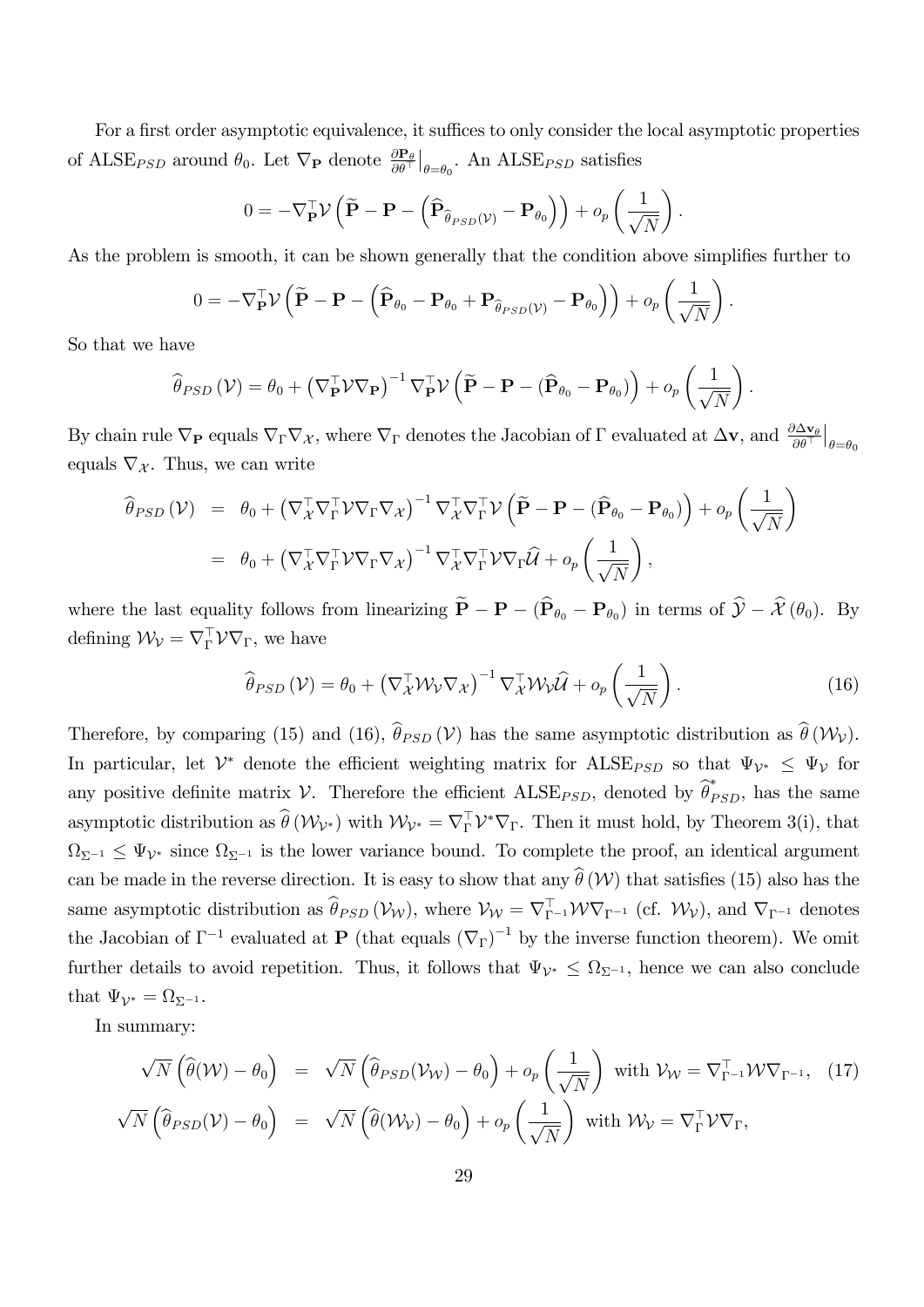For a first order asymptotic equivalence, it suffices to only consider the local asymptotic properties of ALSE<sub>PSD</sub> around  $\theta_0$ . Let  $\nabla_P$  denote  $\frac{\partial P_\theta}{\partial \theta^\top}\big|_{\theta=\theta_0}$ . An ALSE<sub>PSD</sub> satisfies

$$
0 = -\nabla_{\mathbf{P}}^{\top} \mathcal{V} \left( \widetilde{\mathbf{P}} - \mathbf{P} - \left( \widehat{\mathbf{P}}_{\widehat{\theta}_{PSD}(\mathcal{V})} - \mathbf{P}_{\theta_0} \right) \right) + o_p \left( \frac{1}{\sqrt{N}} \right).
$$

As the problem is smooth, it can be shown generally that the condition above simplifies further to

$$
0 = -\nabla_{\mathbf{P}}^{\top} \mathcal{V} \left( \widetilde{\mathbf{P}} - \mathbf{P} - \left( \widehat{\mathbf{P}}_{\theta_0} - \mathbf{P}_{\theta_0} + \mathbf{P}_{\widehat{\theta}_{PSD}(\mathcal{V})} - \mathbf{P}_{\theta_0} \right) \right) + o_p \left( \frac{1}{\sqrt{N}} \right).
$$

So that we have

$$
\widehat{\theta}_{PSD}(\mathcal{V}) = \theta_0 + \left(\nabla_{\mathbf{P}}^{\top} \mathcal{V} \nabla_{\mathbf{P}}\right)^{-1} \nabla_{\mathbf{P}}^{\top} \mathcal{V} \left(\widetilde{\mathbf{P}} - \mathbf{P} - (\widehat{\mathbf{P}}_{\theta_0} - \mathbf{P}_{\theta_0})\right) + o_p\left(\frac{1}{\sqrt{N}}\right).
$$

By chain rule  $\nabla_{\mathbf{P}}$  equals  $\nabla_{\Gamma}\nabla_{\mathcal{X}}$ , where  $\nabla_{\Gamma}$  denotes the Jacobian of  $\Gamma$  evaluated at  $\Delta \mathbf{v}$ , and  $\frac{\partial \Delta \mathbf{v}_{\theta}}{\partial \theta^{\top}}|_{\theta=\theta_0}$ equals  $\nabla_{\mathcal{X}}$ . Thus, we can write

$$
\widehat{\theta}_{PSD}(\mathcal{V}) = \theta_0 + \left(\nabla_{\mathcal{X}}^{\top} \nabla_{\Gamma}^{\top} \mathcal{V} \nabla_{\Gamma} \nabla_{\mathcal{X}}\right)^{-1} \nabla_{\mathcal{X}}^{\top} \nabla_{\Gamma}^{\top} \mathcal{V} \left(\widetilde{\mathbf{P}} - \mathbf{P} - (\widehat{\mathbf{P}}_{\theta_0} - \mathbf{P}_{\theta_0})\right) + o_p\left(\frac{1}{\sqrt{N}}\right) \n= \theta_0 + \left(\nabla_{\mathcal{X}}^{\top} \nabla_{\Gamma}^{\top} \mathcal{V} \nabla_{\Gamma} \nabla_{\mathcal{X}}\right)^{-1} \nabla_{\mathcal{X}}^{\top} \nabla_{\Gamma}^{\top} \mathcal{V} \nabla_{\Gamma} \widehat{\mathcal{U}} + o_p\left(\frac{1}{\sqrt{N}}\right),
$$

where the last equality follows from linearizing  $P - P - (P_{\theta_0} - P_{\theta_0})$  in terms of  $\mathcal{Y} - \mathcal{X}(\theta_0)$ . By defining  $\mathcal{W}_{\mathcal{V}} = \nabla_{\Gamma}^{\perp} \mathcal{V} \nabla_{\Gamma}$ , we have

$$
\widehat{\theta}_{PSD}(\mathcal{V}) = \theta_0 + \left(\nabla_{\mathcal{X}}^\top \mathcal{W}_{\mathcal{V}} \nabla_{\mathcal{X}}\right)^{-1} \nabla_{\mathcal{X}}^\top \mathcal{W}_{\mathcal{V}} \widehat{\mathcal{U}} + o_p\left(\frac{1}{\sqrt{N}}\right). \tag{16}
$$

Therefore, by comparing (15) and (16),  $\hat{\theta}_{PSD} (\mathcal{V})$  has the same asymptotic distribution as  $\hat{\theta} (\mathcal{W}_{\mathcal{V}})$ . In particular, let  $\mathcal{V}^*$  denote the efficient weighting matrix for  $\text{ALSE}_{PSD}$  so that  $\Psi_{\mathcal{V}^*} \leq \Psi_{\mathcal{V}}$  for any positive definite matrix V. Therefore the efficient  $\text{ALSE}_{PSD}$ , denoted by  $\hat{\theta}_{PSD}^*$ , has the same asymptotic distribution as  $\theta(W_{\mathcal{V}^*})$  with  $\mathcal{W}_{\mathcal{V}^*} = \nabla_{\Gamma}^{\perp} \mathcal{V}^* \nabla_{\Gamma}$ . Then it must hold, by Theorem 3(i), that  $\Omega_{\Sigma^{-1}} \leq \Psi_{\mathcal{V}^*}$  since  $\Omega_{\Sigma^{-1}}$  is the lower variance bound. To complete the proof, an identical argument can be made in the reverse direction. It is easy to show that any  $\hat{\theta}$  (W) that satisfies (15) also has the same asymptotic distribution as  $\theta_{PSD}(\mathcal{V}_{W})$ , where  $\mathcal{V}_{W} = \nabla_{\Gamma^{-1}}^{\perp} \mathcal{W} \nabla_{\Gamma^{-1}}$  (cf.  $\mathcal{W}_{V}$ ), and  $\nabla_{\Gamma^{-1}}$  denotes the Jacobian of  $\Gamma^{-1}$  evaluated at **P** (that equals  $(\nabla_{\Gamma})^{-1}$  by the inverse function theorem). We omit further details to avoid repetition. Thus, it follows that  $\Psi_{\mathcal{V}^*} \leq \Omega_{\Sigma^{-1}}$ , hence we can also conclude that  $\Psi_{\mathcal{V}^*} = \Omega_{\Sigma^{-1}}$ .

In summary:

$$
\sqrt{N} \left( \widehat{\theta}(\mathcal{W}) - \theta_0 \right) = \sqrt{N} \left( \widehat{\theta}_{PSD}(\mathcal{V}_{\mathcal{W}}) - \theta_0 \right) + o_p \left( \frac{1}{\sqrt{N}} \right) \text{ with } \mathcal{V}_{\mathcal{W}} = \nabla_{\Gamma^{-1}}^{\top} \mathcal{W} \nabla_{\Gamma^{-1}}, \quad (17)
$$

$$
\sqrt{N} \left( \widehat{\theta}_{PSD}(\mathcal{V}) - \theta_0 \right) = \sqrt{N} \left( \widehat{\theta}(\mathcal{W}_{\mathcal{V}}) - \theta_0 \right) + o_p \left( \frac{1}{\sqrt{N}} \right) \text{ with } \mathcal{W}_{\mathcal{V}} = \nabla_{\Gamma}^{\top} \mathcal{V} \nabla_{\Gamma},
$$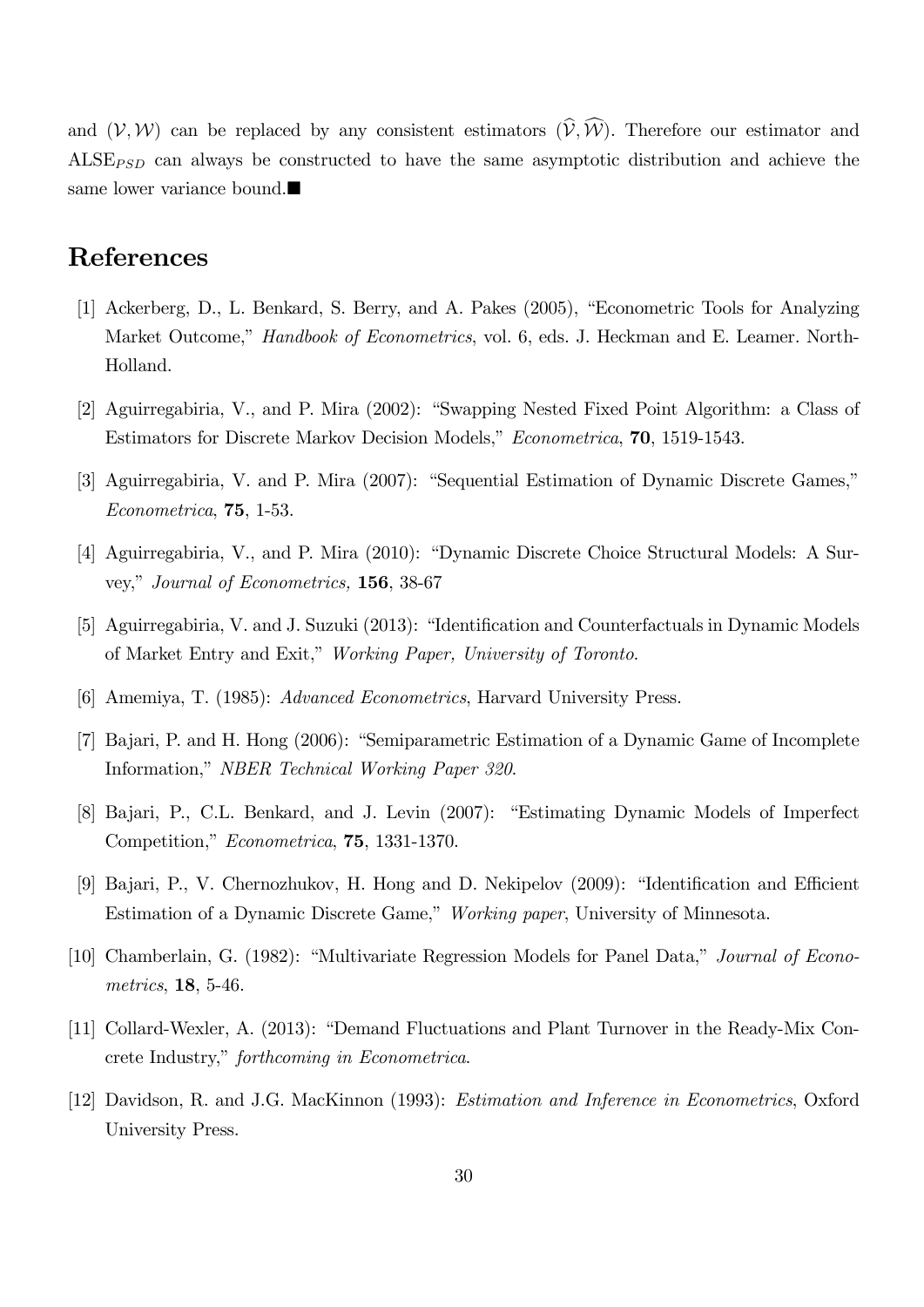and  $(V, W)$  can be replaced by any consistent estimators  $(\widehat{V}, \widehat{W})$ . Therefore our estimator and  $\text{ALSE}_{\text{PSD}}$  can always be constructed to have the same asymptotic distribution and achieve the same lower variance bound.

# References

- [1] Ackerberg, D., L. Benkard, S. Berry, and A. Pakes (2005), "Econometric Tools for Analyzing Market Outcome," Handbook of Econometrics, vol. 6, eds. J. Heckman and E. Leamer. North-Holland.
- [2] Aguirregabiria, V., and P. Mira (2002): "Swapping Nested Fixed Point Algorithm: a Class of Estimators for Discrete Markov Decision Models," Econometrica, 70, 1519-1543.
- [3] Aguirregabiria, V. and P. Mira (2007): "Sequential Estimation of Dynamic Discrete Games," Econometrica, 75, 1-53.
- [4] Aguirregabiria, V., and P. Mira (2010): "Dynamic Discrete Choice Structural Models: A Survey," Journal of Econometrics, 156, 38-67
- [5] Aguirregabiria, V. and J. Suzuki (2013): "Identification and Counterfactuals in Dynamic Models of Market Entry and Exit," Working Paper, University of Toronto.
- [6] Amemiya, T. (1985): Advanced Econometrics, Harvard University Press.
- [7] Bajari, P. and H. Hong (2006): "Semiparametric Estimation of a Dynamic Game of Incomplete Information," NBER Technical Working Paper 320.
- [8] Bajari, P., C.L. Benkard, and J. Levin (2007): "Estimating Dynamic Models of Imperfect Competition," Econometrica, 75, 1331-1370.
- [9] Bajari, P., V. Chernozhukov, H. Hong and D. Nekipelov (2009): "Identification and Efficient Estimation of a Dynamic Discrete Game," Working paper, University of Minnesota.
- [10] Chamberlain, G. (1982): "Multivariate Regression Models for Panel Data," Journal of Econometrics, 18, 5-46.
- [11] Collard-Wexler, A. (2013): "Demand Fluctuations and Plant Turnover in the Ready-Mix Concrete Industry," forthcoming in Econometrica.
- [12] Davidson, R. and J.G. MacKinnon (1993): Estimation and Inference in Econometrics, Oxford University Press.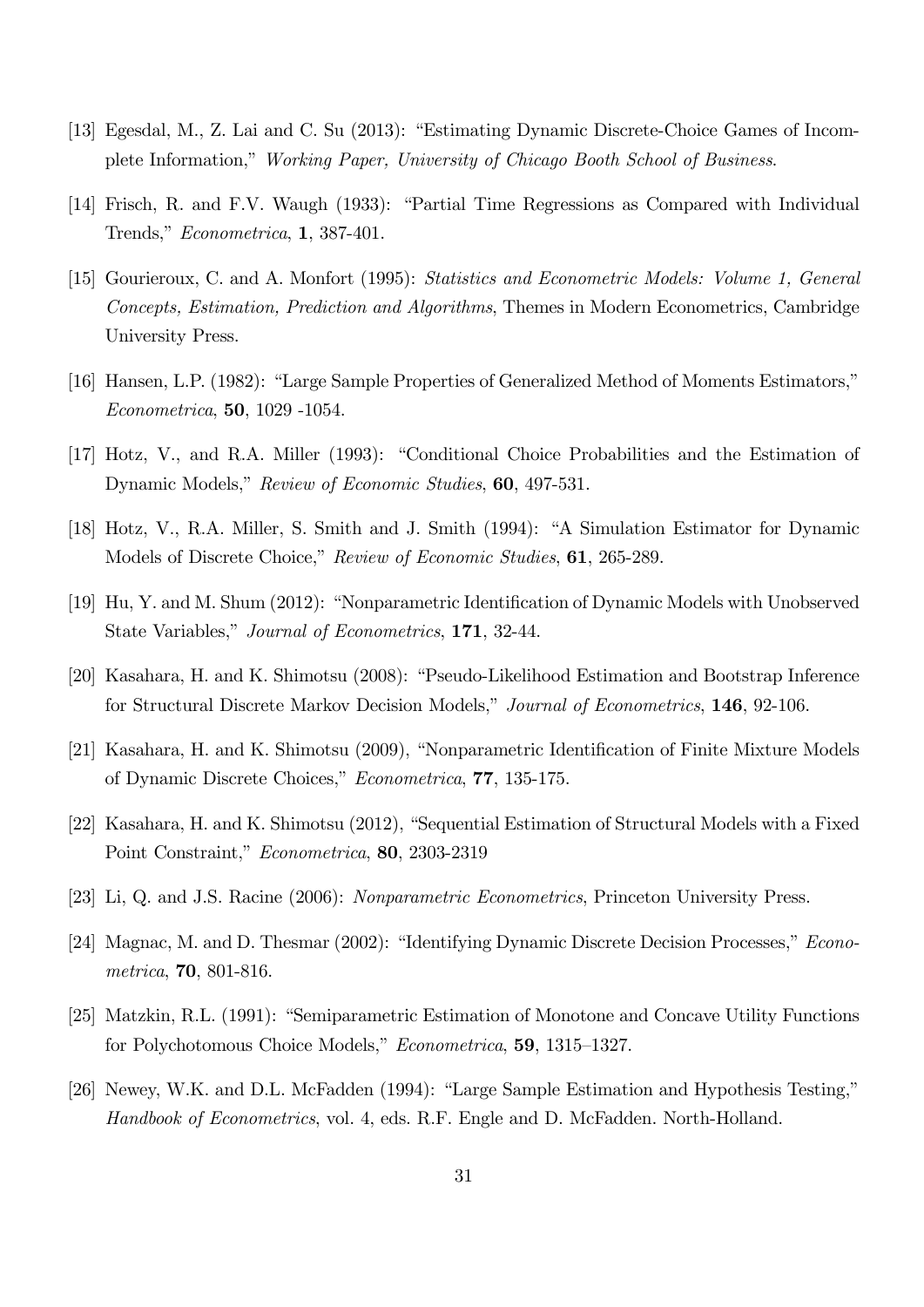- [13] Egesdal, M., Z. Lai and C. Su (2013): "Estimating Dynamic Discrete-Choice Games of Incomplete Information," Working Paper, University of Chicago Booth School of Business.
- [14] Frisch, R. and F.V. Waugh (1933): "Partial Time Regressions as Compared with Individual Trends,"  $Econometrica$ , 1, 387-401.
- [15] Gourieroux, C. and A. Monfort (1995): Statistics and Econometric Models: Volume 1, General Concepts, Estimation, Prediction and Algorithms, Themes in Modern Econometrics, Cambridge University Press.
- [16] Hansen, L.P. (1982): "Large Sample Properties of Generalized Method of Moments Estimators," Econometrica, 50, 1029 -1054.
- [17] Hotz, V., and R.A. Miller (1993): "Conditional Choice Probabilities and the Estimation of Dynamic Models," Review of Economic Studies, 60, 497-531.
- [18] Hotz, V., R.A. Miller, S. Smith and J. Smith (1994): "A Simulation Estimator for Dynamic Models of Discrete Choice," Review of Economic Studies, 61, 265-289.
- [19] Hu, Y. and M. Shum (2012): "Nonparametric Identification of Dynamic Models with Unobserved State Variables," Journal of Econometrics, 171, 32-44.
- [20] Kasahara, H. and K. Shimotsu (2008): "Pseudo-Likelihood Estimation and Bootstrap Inference for Structural Discrete Markov Decision Models," Journal of Econometrics, 146, 92-106.
- [21] Kasahara, H. and K. Shimotsu (2009), "Nonparametric Identification of Finite Mixture Models of Dynamic Discrete Choices," Econometrica, 77, 135-175.
- [22] Kasahara, H. and K. Shimotsu (2012), "Sequential Estimation of Structural Models with a Fixed Point Constraint," Econometrica, 80, 2303-2319
- [23] Li, Q. and J.S. Racine (2006): Nonparametric Econometrics, Princeton University Press.
- [24] Magnac, M. and D. Thesmar (2002): "Identifying Dynamic Discrete Decision Processes," Econometrica, 70, 801-816.
- [25] Matzkin, R.L. (1991): "Semiparametric Estimation of Monotone and Concave Utility Functions for Polychotomous Choice Models," Econometrica, 59, 1315–1327.
- [26] Newey, W.K. and D.L. McFadden (1994): "Large Sample Estimation and Hypothesis Testing," Handbook of Econometrics, vol. 4, eds. R.F. Engle and D. McFadden. North-Holland.